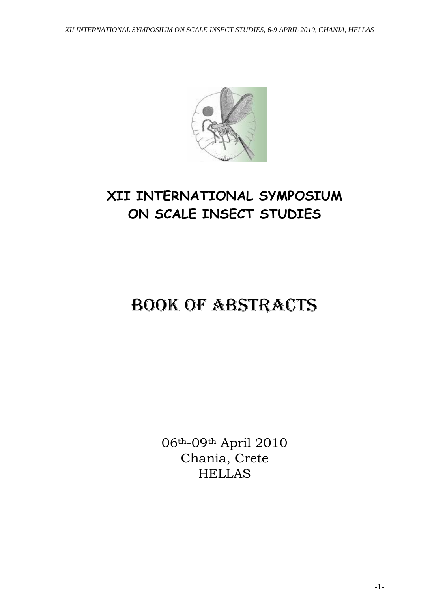

# **XII INTERNATIONAL SYMPOSIUM ON SCALE INSECT STUDIES**

# BOOK OF ABSTRACTS

06th-09th April 2010 Chania, Crete HELLAS

-1-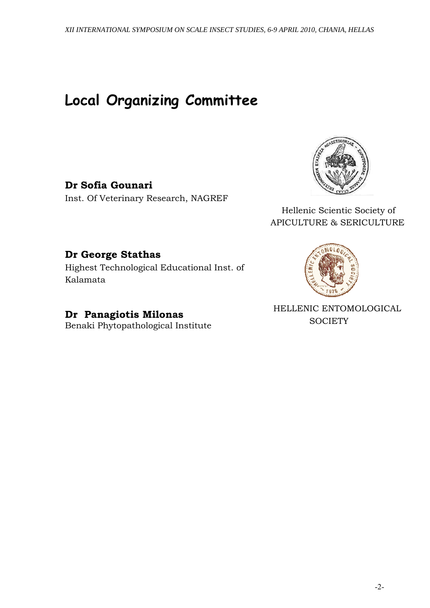# **Local Organizing Committee**

**Dr Sofia Gounari**  Inst. Of Veterinary Research, NAGREF



 Hellenic Scientic Society of APICULTURE & SERICULTURE

# **Dr George Stathas**

Highest Technological Educational Inst. of Kalamata

**Dr Panagiotis Milonas**  Benaki Phytopathological Institute



 HELLENIC ENTOMOLOGICAL **SOCIETY**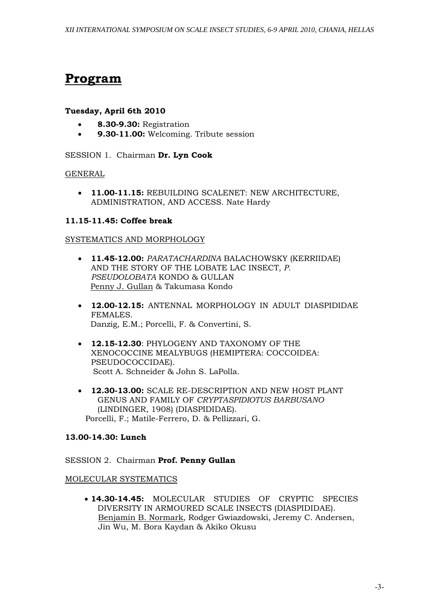# **Program**

### **Tuesday, April 6th 2010**

- **8.30-9.30:** Registration
- **9.30-11.00:** Welcoming. Tribute session

### SESSION 1. Chairman **Dr. Lyn Cook**

### GENERAL

• **11.00-11.15:** REBUILDING SCALENET: NEW ARCHITECTURE, ADMINISTRATION, AND ACCESS. Nate Hardy

# **11.15-11.45: Coffee break**

### SYSTEMATICS AND MORPHOLOGY

- **11.45-12.00:** *PARATACHARDINA* BALACHOWSKY (KERRIIDAE) AND THE STORY OF THE LOBATE LAC INSECT, *P. PSEUDOLOBATA* KONDO & GULLAN Penny J. Gullan & Takumasa Kondo
- **12.00-12.15:** ANTENNAL MORPHOLOGY IN ADULT DIASPIDIDAE FEMALES. Danzig, E.M.; Porcelli, F. & Convertini, S.
- **12.15-12.30**: PHYLOGENY AND TAXONOMY OF THE XENOCOCCINE MEALYBUGS (HEMIPTERA: COCCOIDEA: PSEUDOCOCCIDAE). Scott A. Schneider & John S. LaPolla.
- **12.30-13.00:** SCALE RE-DESCRIPTION AND NEW HOST PLANT GENUS AND FAMILY OF *CRYPTASPIDIOTUS BARBUSANO* (LINDINGER, 1908) (DIASPIDIDAE). Porcelli, F.; Matile-Ferrero, D. & Pellizzari, G.

# **13.00-14.30: Lunch**

SESSION 2. Chairman **Prof. Penny Gullan**

### MOLECULAR SYSTEMATICS

• **14.30-14.45:** MOLECULAR STUDIES OF CRYPTIC SPECIES DIVERSITY IN ARMOURED SCALE INSECTS (DIASPIDIDAE). Benjamin B. Normark, Rodger Gwiazdowski, Jeremy C. Andersen, Jin Wu, M. Bora Kaydan & Akiko Okusu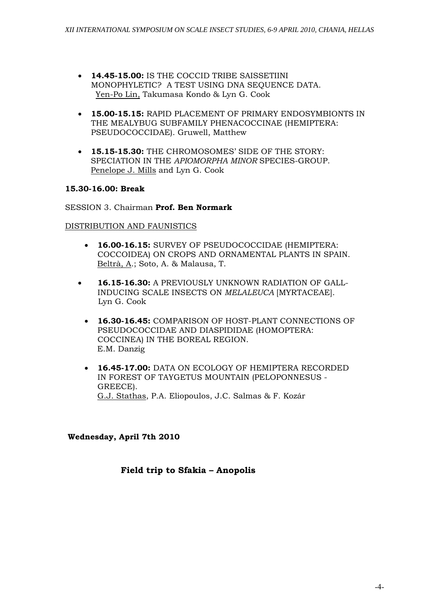- **14.45-15.00:** IS THE COCCID TRIBE SAISSETIINI MONOPHYLETIC? A TEST USING DNA SEOUENCE DATA. Yen-Po Lin, Takumasa Kondo & Lyn G. Cook
- **15.00-15.15:** RAPID PLACEMENT OF PRIMARY ENDOSYMBIONTS IN THE MEALYBUG SUBFAMILY PHENACOCCINAE (HEMIPTERA: PSEUDOCOCCIDAE). Gruwell, Matthew
- **15.15-15.30:** THE CHROMOSOMES' SIDE OF THE STORY: SPECIATION IN THE *APIOMORPHA MINOR* SPECIES-GROUP. Penelope J. Mills and Lyn G. Cook

### **15.30-16.00: Break**

SESSION 3. Chairman **Prof. Ben Normark**

### DISTRIBUTION AND FAUNISTICS

- **16.00-16.15:** SURVEY OF PSEUDOCOCCIDAE (HEMIPTERA: COCCOIDEA) ON CROPS AND ORNAMENTAL PLANTS IN SPAIN. Beltrà, A.; Soto, A. & Malausa, T.
- **16.15-16.30:** A PREVIOUSLY UNKNOWN RADIATION OF GALL-INDUCING SCALE INSECTS ON *MELALEUCA* [MYRTACEAE]. Lyn G. Cook
	- **16.30-16.45:** COMPARISON OF HOST-PLANT CONNECTIONS OF PSEUDOCOCCIDAE AND DIASPIDIDAE (HOMOPTERA: COCCINEA) IN THE BOREAL REGION. E.M. Danzig
	- **16.45-17.00:** DATA ON ECOLOGY OF HEMIPTERA RECORDED IN FOREST OF TAYGETUS MOUNTAIN (PELOPONNESUS - GREECE). G.J. Stathas, P.A. Eliopoulos, J.C. Salmas & F. Kozár

 **Wednesday, April 7th 2010** 

# **Field trip to Sfakia – Anopolis**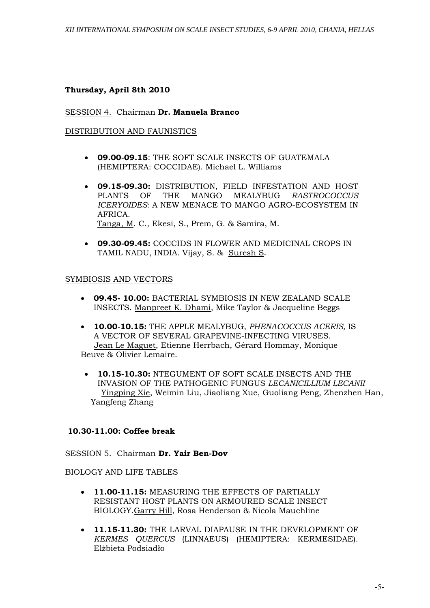### **Thursday, April 8th 2010**

#### SESSION 4. Chairman **Dr. Manuela Branco**

#### DISTRIBUTION AND FAUNISTICS

- **09.00-09.15**: THE SOFT SCALE INSECTS OF GUATEMALA (HEMIPTERA: COCCIDAE). Michael L. Williams
- **09.15-09.30:** DISTRIBUTION, FIELD INFESTATION AND HOST PLANTS OF THE MANGO MEALYBUG *RASTROCOCCUS ICERYOIDES*: A NEW MENACE TO MANGO AGRO-ECOSYSTEM IN AFRICA. Tanga, M. C., Ekesi, S., Prem, G. & Samira, M.
- **09.30-09.45:** COCCIDS IN FLOWER AND MEDICINAL CROPS IN TAMIL NADU, INDIA. Vijay, S. & Suresh S.

#### SYMBIOSIS AND VECTORS

- **09.45- 10.00:** BACTERIAL SYMBIOSIS IN NEW ZEALAND SCALE INSECTS. Manpreet K. Dhami, Mike Taylor & Jacqueline Beggs
- **10.00-10.15:** THE APPLE MEALYBUG, *PHENACOCCUS ACERIS,* IS A VECTOR OF SEVERAL GRAPEVINE-INFECTING VIRUSES. Jean Le Maguet, Etienne Herrbach, Gérard Hommay, Monique Beuve & Olivier Lemaire.
	- **10.15-10.30:** NTEGUMENT OF SOFT SCALE INSECTS AND THE INVASION OF THE PATHOGENIC FUNGUS *LECANICILLIUM LECANII* Yingping Xie, Weimin Liu, Jiaoliang Xue, Guoliang Peng, Zhenzhen Han, Yangfeng Zhang

### **10.30-11.00: Coffee break**

SESSION 5.Chairman **Dr. Yair Ben-Dov** 

### BIOLOGY AND LIFE TABLES

- **11.00-11.15:** MEASURING THE EFFECTS OF PARTIALLY RESISTANT HOST PLANTS ON ARMOURED SCALE INSECT BIOLOGY.Garry Hill, Rosa Henderson & Nicola Mauchline
- **11.15-11.30:** THE LARVAL DIAPAUSE IN THE DEVELOPMENT OF *KERMES QUERCUS* (LINNAEUS) (HEMIPTERA: KERMESIDAE). Elżbieta Podsiadło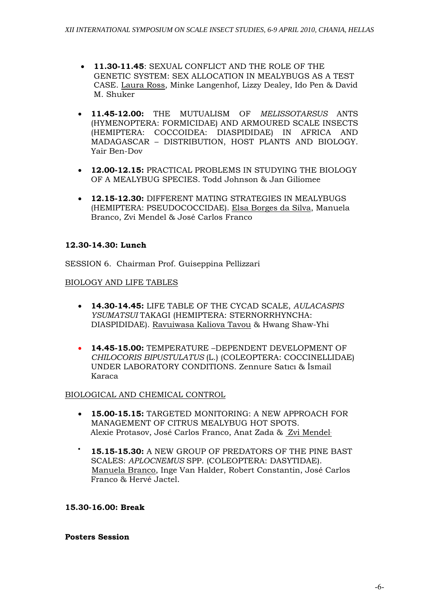- **11.30-11.45**: SEXUAL CONFLICT AND THE ROLE OF THE GENETIC SYSTEM: SEX ALLOCATION IN MEALYBUGS AS A TEST CASE. Laura Ross, Minke Langenhof, Lizzy Dealey, Ido Pen & David M. Shuker
- **11.45-12.00:** THE MUTUALISM OF *MELISSOTARSUS* ANTS (HYMENOPTERA: FORMICIDAE) AND ARMOURED SCALE INSECTS (HEMIPTERA: COCCOIDEA: DIASPIDIDAE) IN AFRICA AND MADAGASCAR – DISTRIBUTION, HOST PLANTS AND BIOLOGY. Yair Ben-Dov
- **12.00-12.15:** PRACTICAL PROBLEMS IN STUDYING THE BIOLOGY OF A MEALYBUG SPECIES. Todd Johnson & Jan Giliomee
- **12.15-12.30:** DIFFERENT MATING STRATEGIES IN MEALYBUGS (HEMIPTERA: PSEUDOCOCCIDAE). Elsa Borges da Silva, Manuela Branco, Zvi Mendel & José Carlos Franco

# **12.30-14.30: Lunch**

SESSION 6. Chairman Prof. Guiseppina Pellizzari

# BIOLOGY AND LIFE TABLES

- **14.30-14.45:** LIFE TABLE OF THE CYCAD SCALE, *AULACASPIS YSUMATSUI* TAKAGI (HEMIPTERA: STERNORRHYNCHA: DIASPIDIDAE). Ravuiwasa Kaliova Tavou & Hwang Shaw-Yhi
- **14.45-15.00:** TEMPERATURE –DEPENDENT DEVELOPMENT OF *CHILOCORIS BIPUSTULATUS* (L.) (COLEOPTERA: COCCINELLIDAE) UNDER LABORATORY CONDITIONS. Zennure Satıcı & İsmail Karaca

# BIOLOGICAL AND CHEMICAL CONTROL

- **15.00-15.15:** TARGETED MONITORING: A NEW APPROACH FOR MANAGEMENT OF CITRUS MEALYBUG HOT SPOTS. Alexie Protasov, José Carlos Franco, Anat Zada & Zvi Mendel
	- **15.15-15.30:** A NEW GROUP OF PREDATORS OF THE PINE BAST SCALES: *APLOCNEMUS* SPP. (COLEOPTERA: DASYTIDAE). Manuela Branco, Inge Van Halder, Robert Constantin, José Carlos Franco & Hervé Jactel.

### **15.30-16.00: Break**

### **Posters Session**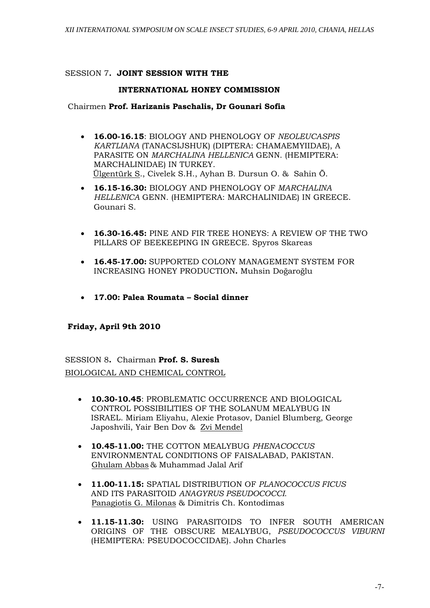### SESSION 7**. JOINT SESSION WITH THE**

### **INTERNATIONAL HONEY COMMISSION**

### Chairmen **Prof. Harizanis Paschalis, Dr Gounari Sofia**

- **16.00-16.15**: BIOLOGY AND PHENOLOGY OF *NEOLEUCASPIS KARTLIANA* (TANACSIJSHUK) (DIPTERA: CHAMAEMYIIDAE), A PARASITE ON *MARCHALINA HELLENICA* GENN. (HEMIPTERA: MARCHALINIDAE) IN TURKEY. Ülgentürk S., Civelek S.H., Ayhan B. Dursun O. & Sahin Ö.
- **16.15-16.30:** BIOLOGY AND PHENOLOGY OF *MARCHALINA HELLENICA* GENN. (HEMIPTERA: MARCHALINIDAE) IN GREECE. Gounari S.
- **16.30-16.45:** PINE AND FIR TREE HONEYS: A REVIEW OF THE TWO PILLARS OF BEEKEEPING IN GREECE. Spyros Skareas
- **16.45-17.00:** SUPPORTED COLONY MANAGEMENT SYSTEM FOR INCREASING HONEY PRODUCTION**.** Muhsin Doğaroğlu
- **17.00: Palea Roumata Social dinner**

# **Friday, April 9th 2010**

SESSION 8**.** Chairman **Prof. S. Suresh**  BIOLOGICAL AND CHEMICAL CONTROL

- **10.30-10.45**: PROBLEMATIC OCCURRENCE AND BIOLOGICAL CONTROL POSSIBILITIES OF THE SOLANUM MEALYBUG IN ISRAEL. Miriam Eliyahu, Alexie Protasov, Daniel Blumberg, George Japoshvili, Yair Ben Dov & Zvi Mendel
- **10.45-11.00:** THE COTTON MEALYBUG *PHENACOCCUS*  ENVIRONMENTAL CONDITIONS OF FAISALABAD, PAKISTAN. Ghulam Abbas & Muhammad Jalal Arif
- **11.00-11.15:** SPATIAL DISTRIBUTION OF *PLANOCOCCUS FICUS* AND ITS PARASITOID *ANAGYRUS PSEUDOCOCCI*. Panagiotis G. Milonas & Dimitris Ch. Kontodimas
- **11.15-11.30:** USING PARASITOIDS TO INFER SOUTH AMERICAN ORIGINS OF THE OBSCURE MEALYBUG, *PSEUDOCOCCUS VIBURNI* (HEMIPTERA: PSEUDOCOCCIDAE). John Charles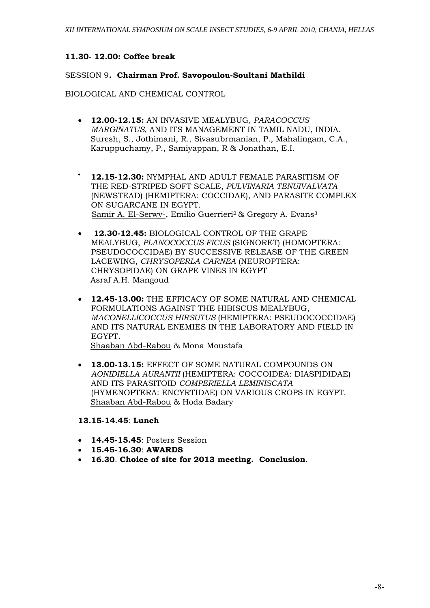### **11.30- 12.00: Coffee break**

#### SESSION 9**. Chairman Prof. Savopoulou-Soultani Mathildi**

#### BIOLOGICAL AND CHEMICAL CONTROL

- **12.00-12.15:** AN INVASIVE MEALYBUG, *PARACOCCUS MARGINATUS,* AND ITS MANAGEMENT IN TAMIL NADU, INDIA. Suresh, S., Jothimani, R., Sivasubrmanian, P., Mahalingam, C.A., Karuppuchamy, P., Samiyappan, R & Jonathan, E.I.
- **12.15-12.30:** NYMPHAL AND ADULT FEMALE PARASITISM OF THE RED-STRIPED SOFT SCALE, *PULVINARIA TENUIVALVATA*  (NEWSTEAD) (HEMIPTERA: COCCIDAE), AND PARASITE COMPLEX ON SUGARCANE IN EGYPT. Samir A. El-Serwy<sup>1</sup>, Emilio Guerrieri<sup>2</sup> & Gregory A. Evans<sup>3</sup>
- • **12.30-12.45:** BIOLOGICAL CONTROL OF THE GRAPE MEALYBUG, *PLANOCOCCUS FICUS* (SIGNORET) (HOMOPTERA: PSEUDOCOCCIDAE) BY SUCCESSIVE RELEASE OF THE GREEN LACEWING*, CHRYSOPERLA CARNEA* (NEUROPTERA: CHRYSOPIDAE) ON GRAPE VINES IN EGYPT Asraf A.H. Mangoud
- **12.45-13.00:** THE EFFICACY OF SOME NATURAL AND CHEMICAL FORMULATIONS AGAINST THE HIBISCUS MEALYBUG, *MACONELLICOCCUS HIRSUTUS* (HEMIPTERA: PSEUDOCOCCIDAE) AND ITS NATURAL ENEMIES IN THE LABORATORY AND FIELD IN EGYPT.

Shaaban Abd-Rabou & Mona Moustafa

• **13.00-13.15:** EFFECT OF SOME NATURAL COMPOUNDS ON *AONIDIELLA AURANTII* (HEMIPTERA: COCCOIDEA: DIASPIDIDAE) AND ITS PARASITOID *COMPERIELLA LEMINISCATA*  (HYMENOPTERA: ENCYRTIDAE) ON VARIOUS CROPS IN EGYPT. Shaaban Abd-Rabou & Hoda Badary

#### **13.15-14.45**: **Lunch**

- **14.45-15.45**: Posters Session
- **15.45-16.30**: **AWARDS**
- **16.30**. **Choice of site for 2013 meeting. Conclusion**.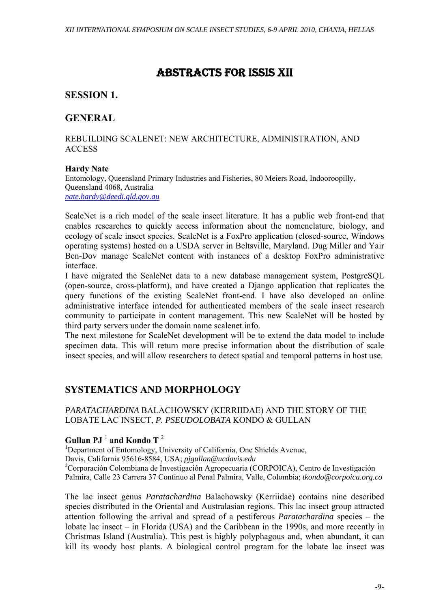# ABSTRACTS FOR ISSIS XII

# **SESSION 1.**

# **GENERAL**

### REBUILDING SCALENET: NEW ARCHITECTURE, ADMINISTRATION, AND ACCESS

### **Hardy Nate**

Entomology, Queensland Primary Industries and Fisheries, 80 Meiers Road, Indooroopilly, Queensland 4068, Australia *nate.hardy@deedi.qld.gov.au*

ScaleNet is a rich model of the scale insect literature. It has a public web front-end that enables researches to quickly access information about the nomenclature, biology, and ecology of scale insect species. ScaleNet is a FoxPro application (closed-source, Windows operating systems) hosted on a USDA server in Beltsville, Maryland. Dug Miller and Yair Ben-Dov manage ScaleNet content with instances of a desktop FoxPro administrative interface.

I have migrated the ScaleNet data to a new database management system, PostgreSQL (open-source, cross-platform), and have created a Django application that replicates the query functions of the existing ScaleNet front-end. I have also developed an online administrative interface intended for authenticated members of the scale insect research community to participate in content management. This new ScaleNet will be hosted by third party servers under the domain name scalenet.info.

The next milestone for ScaleNet development will be to extend the data model to include specimen data. This will return more precise information about the distribution of scale insect species, and will allow researchers to detect spatial and temporal patterns in host use.

# **SYSTEMATICS AND MORPHOLOGY**

*PARATACHARDINA* BALACHOWSKY (KERRIIDAE) AND THE STORY OF THE LOBATE LAC INSECT, *P. PSEUDOLOBATA* KONDO & GULLAN

# $G$ ullan PJ  $^1$  and Kondo T  $^2$

<sup>1</sup>Department of Entomology, University of California, One Shields Avenue, Davis, California 95616-8584, USA; *pjgullan@ucdavis.edu* <sup>2</sup> Corporación Colombiana de Investigación Agropecuaria (CORPOICA), Centro de Investigación Palmira, Calle 23 Carrera 37 Continuo al Penal Palmira, Valle, Colombia; *tkondo@corpoica.org.co* 

The lac insect genus *Paratachardina* Balachowsky (Kerriidae) contains nine described species distributed in the Oriental and Australasian regions. This lac insect group attracted attention following the arrival and spread of a pestiferous *Paratachardina* species – the lobate lac insect – in Florida (USA) and the Caribbean in the 1990s, and more recently in Christmas Island (Australia). This pest is highly polyphagous and, when abundant, it can kill its woody host plants. A biological control program for the lobate lac insect was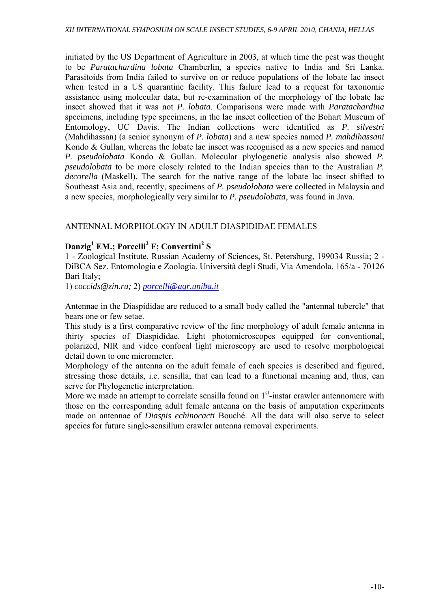initiated by the US Department of Agriculture in 2003, at which time the pest was thought to be *Paratachardina lobata* Chamberlin, a species native to India and Sri Lanka. Parasitoids from India failed to survive on or reduce populations of the lobate lac insect when tested in a US quarantine facility. This failure lead to a request for taxonomic assistance using molecular data, but re-examination of the morphology of the lobate lac insect showed that it was not *P. lobata*. Comparisons were made with *Paratachardina*  specimens, including type specimens, in the lac insect collection of the Bohart Museum of Entomology, UC Davis. The Indian collections were identified as *P. silvestri* (Mahdihassan) (a senior synonym of *P. lobata*) and a new species named *P. mahdihassani* Kondo & Gullan, whereas the lobate lac insect was recognised as a new species and named *P. pseudolobata* Kondo & Gullan. Molecular phylogenetic analysis also showed *P. pseudolobata* to be more closely related to the Indian species than to the Australian *P. decorella* (Maskell). The search for the native range of the lobate lac insect shifted to Southeast Asia and, recently, specimens of *P. pseudolobata* were collected in Malaysia and a new species, morphologically very similar to *P. pseudolobata*, was found in Java.

# ANTENNAL MORPHOLOGY IN ADULT DIASPIDIDAE FEMALES

# **Danzig1 EM.; Porcelli2 F; Convertini<sup>2</sup> S**

1 - Zoological Institute, Russian Academy of Sciences, St. Petersburg, 199034 Russia; 2 - DiBCA Sez. Entomologia e Zoologia. Università degli Studi, Via Amendola, 165/a - 70126 Bari Italy;

1) *coccids@zin.ru;* 2) *porcelli@agr.uniba.it*

Antennae in the Diaspididae are reduced to a small body called the "antennal tubercle" that bears one or few setae.

This study is a first comparative review of the fine morphology of adult female antenna in thirty species of Diaspididae. Light photomicroscopes equipped for conventional, polarized, NIR and video confocal light microscopy are used to resolve morphological detail down to one micrometer.

Morphology of the antenna on the adult female of each species is described and figured, stressing those details, i.e. sensilla, that can lead to a functional meaning and, thus, can serve for Phylogenetic interpretation.

More we made an attempt to correlate sensilla found on  $1<sup>st</sup>$ -instar crawler antennomere with those on the corresponding adult female antenna on the basis of amputation experiments made on antennae of *Diaspis echinocacti* Bouché. All the data will also serve to select species for future single-sensillum crawler antenna removal experiments.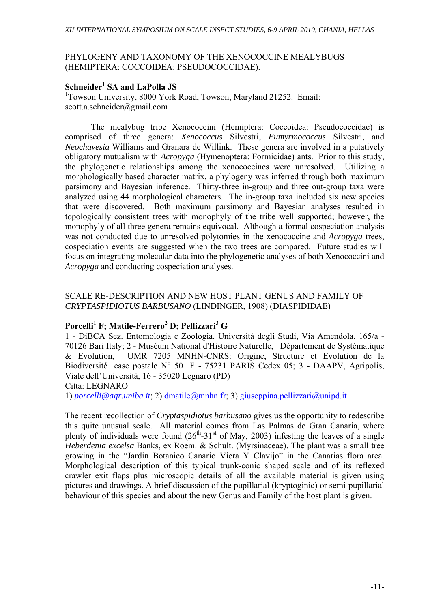### PHYLOGENY AND TAXONOMY OF THE XENOCOCCINE MEALYBUGS (HEMIPTERA: COCCOIDEA: PSEUDOCOCCIDAE).

# **Schneider<sup>1</sup> SA and LaPolla JS**

<sup>1</sup>Towson University, 8000 York Road, Towson, Maryland 21252. Email: scott.a.schneider@gmail.com

 The mealybug tribe Xenococcini (Hemiptera: Coccoidea: Pseudococcidae) is comprised of three genera: *Xenococcus* Silvestri, *Eumyrmococcus* Silvestri, and *Neochavesia* Williams and Granara de Willink. These genera are involved in a putatively obligatory mutualism with *Acropyga* (Hymenoptera: Formicidae) ants. Prior to this study, the phylogenetic relationships among the xenococcines were unresolved. Utilizing a morphologically based character matrix, a phylogeny was inferred through both maximum parsimony and Bayesian inference. Thirty-three in-group and three out-group taxa were analyzed using 44 morphological characters. The in-group taxa included six new species that were discovered. Both maximum parsimony and Bayesian analyses resulted in topologically consistent trees with monophyly of the tribe well supported; however, the monophyly of all three genera remains equivocal. Although a formal cospeciation analysis was not conducted due to unresolved polytomies in the xenococcine and *Acropyga* trees, cospeciation events are suggested when the two trees are compared. Future studies will focus on integrating molecular data into the phylogenetic analyses of both Xenococcini and *Acropyga* and conducting cospeciation analyses.

### SCALE RE-DESCRIPTION AND NEW HOST PLANT GENUS AND FAMILY OF *CRYPTASPIDIOTUS BARBUSANO* (LINDINGER, 1908) (DIASPIDIDAE)

# $\mathbf{P}$ orcelli $^1$  F; Matile-Ferrero $^2$  D; Pellizzari $^3$  G

1 - DiBCA Sez. Entomologia e Zoologia. Università degli Studi, Via Amendola, 165/a - 70126 Bari Italy; 2 - Muséum National d'Histoire Naturelle,Département de Systématique & Evolution, UMR 7205 MNHN-CNRS: Origine, Structure et Evolution de la Biodiversité case postale N° 50 F - 75231 PARIS Cedex 05; 3 - DAAPV, Agripolis, Viale dell'Università, 16 - 35020 Legnaro (PD)

Città: LEGNARO

1) *porcelli@agr.uniba.it*; 2) dmatile@mnhn.fr; 3) giuseppina.pellizzari@unipd.it

The recent recollection of *Cryptaspidiotus barbusano* gives us the opportunity to redescribe this quite unusual scale. All material comes from Las Palmas de Gran Canaria, where plenty of individuals were found  $(26<sup>th</sup>-31<sup>st</sup>$  of May, 2003) infesting the leaves of a single *Heberdenia excelsa* Banks, ex Roem. & Schult. (Myrsinaceae). The plant was a small tree growing in the "Jardin Botanico Canario Viera Y Clavijo" in the Canarias flora area. Morphological description of this typical trunk-conic shaped scale and of its reflexed crawler exit flaps plus microscopic details of all the available material is given using pictures and drawings. A brief discussion of the pupillarial (kryptoginic) or semi-pupillarial behaviour of this species and about the new Genus and Family of the host plant is given.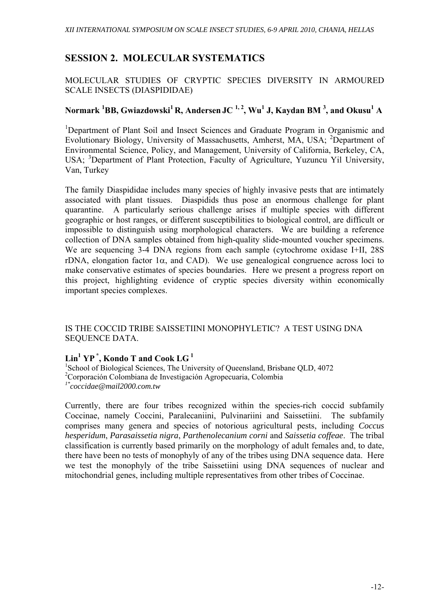# **SESSION 2. MOLECULAR SYSTEMATICS**

# MOLECULAR STUDIES OF CRYPTIC SPECIES DIVERSITY IN ARMOURED SCALE INSECTS (DIASPIDIDAE)

# **Normark 1 BB, Gwiazdowski1 R, Andersen JC 1, 2, Wu1 J, Kaydan BM 3 , and Okusu<sup>1</sup> A**

<sup>1</sup>Department of Plant Soil and Insect Sciences and Graduate Program in Organismic and Evolutionary Biology, University of Massachusetts, Amherst, MA, USA; <sup>2</sup> Department of Environmental Science, Policy, and Management, University of California, Berkeley, CA, USA; <sup>3</sup>Department of Plant Protection, Faculty of Agriculture, Yuzuncu Yil University, Van, Turkey

The family Diaspididae includes many species of highly invasive pests that are intimately associated with plant tissues. Diaspidids thus pose an enormous challenge for plant quarantine. A particularly serious challenge arises if multiple species with different geographic or host ranges, or different susceptibilities to biological control, are difficult or impossible to distinguish using morphological characters. We are building a reference collection of DNA samples obtained from high-quality slide-mounted voucher specimens. We are sequencing 3-4 DNA regions from each sample (cytochrome oxidase I+II, 28S rDNA, elongation factor  $1\alpha$ , and CAD). We use genealogical congruence across loci to make conservative estimates of species boundaries. Here we present a progress report on this project, highlighting evidence of cryptic species diversity within economically important species complexes.

### IS THE COCCID TRIBE SAISSETIINI MONOPHYLETIC? A TEST USING DNA SEQUENCE DATA.

# **Lin1 YP \*, Kondo T and Cook LG 1**

<sup>1</sup>School of Biological Sciences, The University of Queensland, Brisbane QLD, 4072 2 Corporaciόn Colombiana de Investigaciόn Agropecuaria, Colombia *1\*coccidae@mail2000.com.tw* 

Currently, there are four tribes recognized within the species-rich coccid subfamily Coccinae, namely Coccini, Paralecaniini, Pulvinariini and Saissetiini. The subfamily comprises many genera and species of notorious agricultural pests, including *Coccus hesperidum*, *Parasaissetia nigra*, *Parthenolecanium corni* and *Saissetia coffeae*. The tribal classification is currently based primarily on the morphology of adult females and, to date, there have been no tests of monophyly of any of the tribes using DNA sequence data. Here we test the monophyly of the tribe Saissetiini using DNA sequences of nuclear and mitochondrial genes, including multiple representatives from other tribes of Coccinae.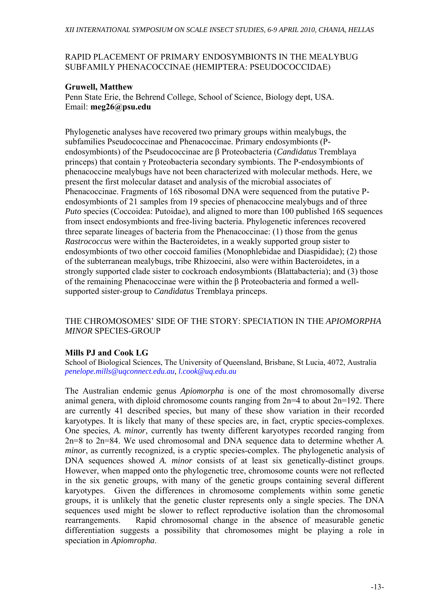# RAPID PLACEMENT OF PRIMARY ENDOSYMBIONTS IN THE MEALYBUG SUBFAMILY PHENACOCCINAE (HEMIPTERA: PSEUDOCOCCIDAE)

# **Gruwell, Matthew**

Penn State Erie, the Behrend College, School of Science, Biology dept, USA. Email: **meg26@psu.edu** 

Phylogenetic analyses have recovered two primary groups within mealybugs, the subfamilies Pseudococcinae and Phenacoccinae. Primary endosymbionts (Pendosymbionts) of the Pseudococcinae are β Proteobacteria (*Candidatus* Tremblaya princeps) that contain γ Proteobacteria secondary symbionts. The P-endosymbionts of phenacoccine mealybugs have not been characterized with molecular methods. Here, we present the first molecular dataset and analysis of the microbial associates of Phenacoccinae. Fragments of 16S ribosomal DNA were sequenced from the putative Pendosymbionts of 21 samples from 19 species of phenacoccine mealybugs and of three *Puto* species (Coccoidea: Putoidae), and aligned to more than 100 published 16S sequences from insect endosymbionts and free-living bacteria. Phylogenetic inferences recovered three separate lineages of bacteria from the Phenacoccinae: (1) those from the genus *Rastrococcus* were within the Bacteroidetes, in a weakly supported group sister to endosymbionts of two other coccoid families (Monophlebidae and Diaspididae); (2) those of the subterranean mealybugs, tribe Rhizoecini, also were within Bacteroidetes, in a strongly supported clade sister to cockroach endosymbionts (Blattabacteria); and (3) those of the remaining Phenacoccinae were within the β Proteobacteria and formed a wellsupported sister-group to *Candidatus* Tremblaya princeps.

# THE CHROMOSOMES' SIDE OF THE STORY: SPECIATION IN THE *APIOMORPHA MINOR* SPECIES-GROUP

# **Mills PJ and Cook LG**

School of Biological Sciences, The University of Queensland, Brisbane, St Lucia, 4072, Australia *penelope.mills@uqconnect.edu.au, l.cook@uq.edu.au*

The Australian endemic genus *Apiomorpha* is one of the most chromosomally diverse animal genera, with diploid chromosome counts ranging from 2n=4 to about 2n=192. There are currently 41 described species, but many of these show variation in their recorded karyotypes. It is likely that many of these species are, in fact, cryptic species-complexes. One species, *A. minor*, currently has twenty different karyotypes recorded ranging from 2n=8 to 2n=84. We used chromosomal and DNA sequence data to determine whether *A. minor*, as currently recognized, is a cryptic species-complex. The phylogenetic analysis of DNA sequences showed *A. minor* consists of at least six genetically-distinct groups. However, when mapped onto the phylogenetic tree, chromosome counts were not reflected in the six genetic groups, with many of the genetic groups containing several different karyotypes. Given the differences in chromosome complements within some genetic groups, it is unlikely that the genetic cluster represents only a single species. The DNA sequences used might be slower to reflect reproductive isolation than the chromosomal rearrangements. Rapid chromosomal change in the absence of measurable genetic differentiation suggests a possibility that chromosomes might be playing a role in speciation in *Apiomropha*.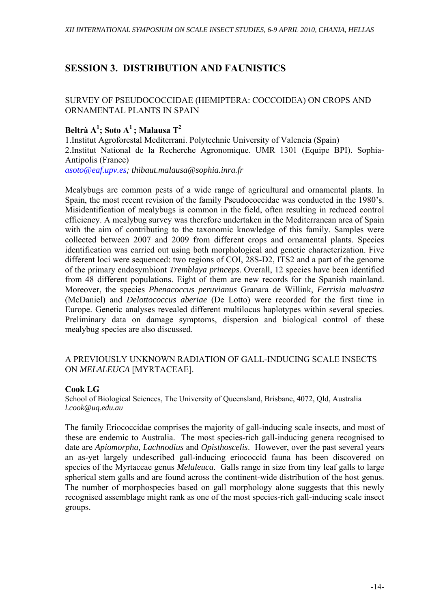# **SESSION 3. DISTRIBUTION AND FAUNISTICS**

# SURVEY OF PSEUDOCOCCIDAE (HEMIPTERA: COCCOIDEA) ON CROPS AND ORNAMENTAL PLANTS IN SPAIN

# $\mathbf{B}$ eltrà A $^1$ ; Soto A $^1$ ; Malausa T $^2$

1.Institut Agroforestal Mediterrani. Polytechnic University of Valencia (Spain) 2.Institut National de la Recherche Agronomique. UMR 1301 (Equipe BPI). Sophia-Antipolis (France) *asoto@eaf.upv.es; thibaut.malausa@sophia.inra.fr* 

Mealybugs are common pests of a wide range of agricultural and ornamental plants. In Spain, the most recent revision of the family Pseudococcidae was conducted in the 1980's. Misidentification of mealybugs is common in the field, often resulting in reduced control efficiency. A mealybug survey was therefore undertaken in the Mediterranean area of Spain with the aim of contributing to the taxonomic knowledge of this family. Samples were collected between 2007 and 2009 from different crops and ornamental plants. Species identification was carried out using both morphological and genetic characterization. Five different loci were sequenced: two regions of COI, 28S-D2, ITS2 and a part of the genome of the primary endosymbiont *Tremblaya princeps*. Overall, 12 species have been identified from 48 different populations. Eight of them are new records for the Spanish mainland. Moreover, the species *Phenacoccus peruvianus* Granara de Willink, *Ferrisia malvastra* (McDaniel) and *Delottococcus aberiae* (De Lotto) were recorded for the first time in Europe. Genetic analyses revealed different multilocus haplotypes within several species. Preliminary data on damage symptoms, dispersion and biological control of these mealybug species are also discussed.

# A PREVIOUSLY UNKNOWN RADIATION OF GALL-INDUCING SCALE INSECTS ON *MELALEUCA* [MYRTACEAE].

# **Cook LG**

School of Biological Sciences, The University of Queensland, Brisbane, 4072, Qld, Australia *l.cook@uq.edu.au*

The family Eriococcidae comprises the majority of gall-inducing scale insects, and most of these are endemic to Australia. The most species-rich gall-inducing genera recognised to date are *Apiomorpha, Lachnodius* and *Opisthoscelis*. However, over the past several years an as-yet largely undescribed gall-inducing eriococcid fauna has been discovered on species of the Myrtaceae genus *Melaleuca*. Galls range in size from tiny leaf galls to large spherical stem galls and are found across the continent-wide distribution of the host genus. The number of morphospecies based on gall morphology alone suggests that this newly recognised assemblage might rank as one of the most species-rich gall-inducing scale insect groups.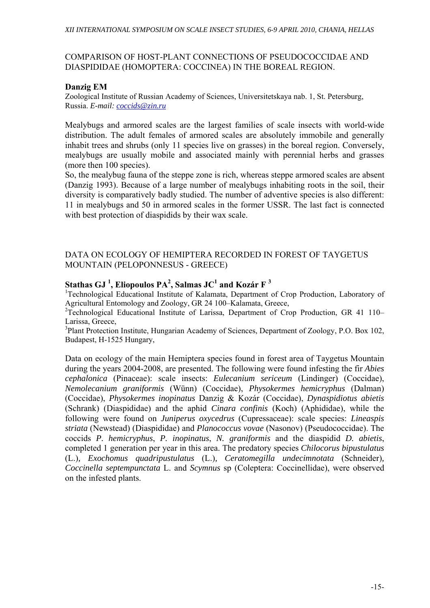### COMPARISON OF HOST-PLANT CONNECTIONS OF PSEUDOCOCCIDAE AND DIASPIDIDAE (HOMOPTERA: COCCINEA) IN THE BOREAL REGION.

# **Danzig EM**

Zoological Institute of Russian Academy of Sciences, Universitetskaya nab. 1, St. Petersburg, Russia. *E-mail: coccids@zin.ru*

Mealybugs and armored scales are the largest families of scale insects with world-wide distribution. The adult females of armored scales are absolutely immobile and generally inhabit trees and shrubs (only 11 species live on grasses) in the boreal region. Conversely, mealybugs are usually mobile and associated mainly with perennial herbs and grasses (more then 100 species).

So, the mealybug fauna of the steppe zone is rich, whereas steppe armored scales are absent (Danzig 1993). Because of a large number of mealybugs inhabiting roots in the soil, their diversity is comparatively badly studied. The number of adventive species is also different: 11 in mealybugs and 50 in armored scales in the former USSR. The last fact is connected with best protection of diaspidids by their wax scale.

### DATA ON ECOLOGY OF HEMIPTERA RECORDED IN FOREST OF TAYGETUS MOUNTAIN (PELOPONNESUS - GREECE)

# **Stathas GJ<sup>1</sup>, Eliopoulos PA<sup>2</sup>, Salmas JC<sup>1</sup> and Kozár F<sup>3</sup><br><sup>1</sup>Technological Educational Institute of Kalemate, Department of**

<sup>1</sup>Technological Educational Institute of Kalamata, Department of Crop Production, Laboratory of Agricultural Entomology and Zoology, GR 24 100–Kalamata, Greece,

<sup>2</sup>Technological Educational Institute of Larissa, Department of Crop Production, GR 41 110– Larissa, Greece,

<sup>3</sup>Plant Protection Institute, Hungarian Academy of Sciences, Department of Zoology, P.O. Box 102, Budapest, H-1525 Hungary,

Data on ecology of the main Hemiptera species found in forest area of Taygetus Mountain during the years 2004-2008, are presented. The following were found infesting the fir *Abies cephalonica* (Pinaceae): scale insects: *Eulecanium sericeum* (Lindinger) (Coccidae), *Nemolecanium graniformis* (Wünn) (Coccidae), *Physokermes hemicryphus* (Dalman) (Coccidae), *Physokermes inopinatus* Danzig & Kozár (Coccidae), *Dynaspidiotus abietis* (Schrank) (Diaspididae) and the aphid *Cinara confinis* (Koch) (Aphididae), while the following were found on *Juniperus oxycedrus* (Cupressaceae): scale species: *Lineaspis striata* (Newstead) (Diaspididae) and *Planococcus vovae* (Nasonov) (Pseudococcidae). The coccids *P. hemicryphus*, *P. inopinatus*, *N. graniformis* and the diaspidid *D. abietis*, completed 1 generation per year in this area. The predatory species *Chilocorus bipustulatus* (L.)*, Exochomus quadripustulatus* (L.)*, Ceratomegilla undecimnotata* (Schneider)*, Coccinella septempunctata* L. and *Scymnus* sp (Coleptera: Coccinellidae), were observed on the infested plants.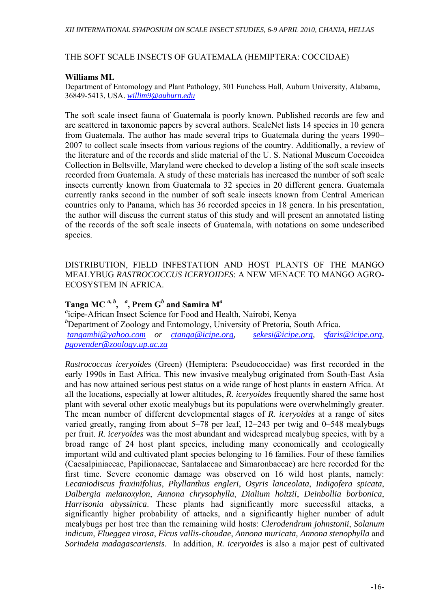### THE SOFT SCALE INSECTS OF GUATEMALA (HEMIPTERA: COCCIDAE)

### **Williams ML**

Department of Entomology and Plant Pathology, 301 Funchess Hall, Auburn University, Alabama, 36849-5413, USA. *willim9@auburn.edu*

The soft scale insect fauna of Guatemala is poorly known. Published records are few and are scattered in taxonomic papers by several authors. ScaleNet lists 14 species in 10 genera from Guatemala. The author has made several trips to Guatemala during the years 1990– 2007 to collect scale insects from various regions of the country. Additionally, a review of the literature and of the records and slide material of the U. S. National Museum Coccoidea Collection in Beltsville, Maryland were checked to develop a listing of the soft scale insects recorded from Guatemala. A study of these materials has increased the number of soft scale insects currently known from Guatemala to 32 species in 20 different genera. Guatemala currently ranks second in the number of soft scale insects known from Central American countries only to Panama, which has 36 recorded species in 18 genera. In his presentation, the author will discuss the current status of this study and will present an annotated listing of the records of the soft scale insects of Guatemala, with notations on some undescribed species.

DISTRIBUTION, FIELD INFESTATION AND HOST PLANTS OF THE MANGO MEALYBUG *RASTROCOCCUS ICERYOIDES*: A NEW MENACE TO MANGO AGRO-ECOSYSTEM IN AFRICA.

# **Tanga MC** *a, b***,** *<sup>a</sup>* **, Prem G***<sup>b</sup>*  **and Samira M***<sup>a</sup>*

*a* icipe-African Insect Science for Food and Health, Nairobi, Kenya *b* Department of Zoology and Entomology, University of Pretoria, South Africa. *tangambi@yahoo.com or ctanga@icipe.org, sekesi@icipe.org, sfaris@icipe.org, pgovender@zoology.up.ac.za*

*Rastrococcus iceryoides* (Green) (Hemiptera: Pseudococcidae) was first recorded in the early 1990s in East Africa. This new invasive mealybug originated from South-East Asia and has now attained serious pest status on a wide range of host plants in eastern Africa. At all the locations, especially at lower altitudes, *R. iceryoides* frequently shared the same host plant with several other exotic mealybugs but its populations were overwhelmingly greater. The mean number of different developmental stages of *R. iceryoides* at a range of sites varied greatly, ranging from about 5–78 per leaf, 12–243 per twig and 0–548 mealybugs per fruit. *R. iceryoides* was the most abundant and widespread mealybug species, with by a broad range of 24 host plant species, including many economically and ecologically important wild and cultivated plant species belonging to 16 families. Four of these families (Caesalpiniaceae, Papilionaceae, Santalaceae and Simaronbaceae) are here recorded for the first time. Severe economic damage was observed on 16 wild host plants, namely: *Lecaniodiscus fraxinifolius*, *Phyllanthus engleri*, *Osyris lanceolata*, *Indigofera spicata*, *Dalbergia melanoxylon*, *Annona chrysophylla*, *Dialium holtzii*, *Deinbollia borbonica*, *Harrisonia abyssinica*. These plants had significantly more successful attacks, a significantly higher probability of attacks, and a significantly higher number of adult mealybugs per host tree than the remaining wild hosts: *Clerodendrum johnstonii*, *Solanum indicum*, *Flueggea virosa*, *Ficus vallis-choudae*, *Annona muricata, Annona stenophylla* and *Sorindeia madagascariensis*. In addition, *R. iceryoides* is also a major pest of cultivated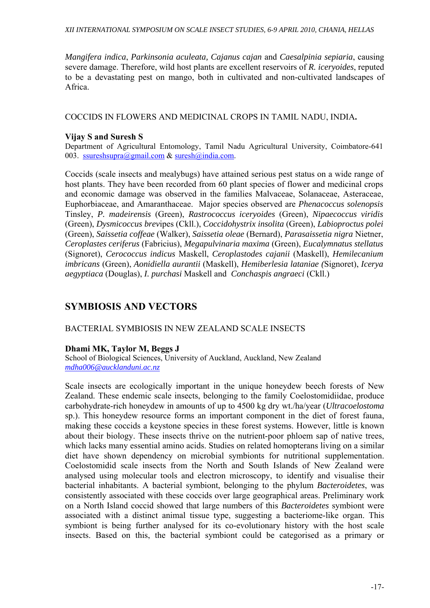*Mangifera indica*, *Parkinsonia aculeata, Cajanus cajan* and *Caesalpinia sepiaria*, causing severe damage. Therefore, wild host plants are excellent reservoirs of *R. iceryoides*, reputed to be a devastating pest on mango, both in cultivated and non-cultivated landscapes of Africa.

COCCIDS IN FLOWERS AND MEDICINAL CROPS IN TAMIL NADU, INDIA**.** 

### **Vijay S and Suresh S**

Department of Agricultural Entomology, Tamil Nadu Agricultural University, Coimbatore-641 003. ssureshsupra@gmail.com & suresh@india.com.

Coccids (scale insects and mealybugs) have attained serious pest status on a wide range of host plants. They have been recorded from 60 plant species of flower and medicinal crops and economic damage was observed in the families Malvaceae, Solanaceae, Asteraceae, Euphorbiaceae, and Amaranthaceae. Major species observed are *Phenacoccus solenopsis*  Tinsley, *P. madeirensis* (Green), *Rastrococcus iceryoides* (Green), *Nipaecoccus viridis* (Green), *Dysmicoccus brev*ipes (Ckll.), *Coccidohystrix insolita* (Green), *Labioproctus polei*  (Green), *Saissetia coffeae* (Walker), *Saissetia oleae* (Bernard), *Parasaissetia nigra* Nietner, *Ceroplastes ceriferus* (Fabricius), *Megapulvinaria maxima* (Green), *Eucalymnatus stellatus* (Signoret), *Cerococcus indicus* Maskell, *Ceroplastodes cajanii* (Maskell), *Hemilecanium imbricans* (Green), *Aonidiella aurantii* (Maskell), *Hemiberlesia lataniae (*Signoret), *Icerya aegyptiaca* (Douglas), *I. purchasi* Maskell and *Conchaspis angraeci* (Ckll.)

# **SYMBIOSIS AND VECTORS**

### BACTERIAL SYMBIOSIS IN NEW ZEALAND SCALE INSECTS

### **Dhami MK, Taylor M, Beggs J**

School of Biological Sciences, University of Auckland, Auckland, New Zealand *mdha006@aucklanduni.ac.nz*

Scale insects are ecologically important in the unique honeydew beech forests of New Zealand. These endemic scale insects, belonging to the family Coelostomidiidae, produce carbohydrate-rich honeydew in amounts of up to 4500 kg dry wt./ha/year (*Ultracoelostoma* sp.). This honeydew resource forms an important component in the diet of forest fauna, making these coccids a keystone species in these forest systems. However, little is known about their biology. These insects thrive on the nutrient-poor phloem sap of native trees, which lacks many essential amino acids. Studies on related homopterans living on a similar diet have shown dependency on microbial symbionts for nutritional supplementation. Coelostomidid scale insects from the North and South Islands of New Zealand were analysed using molecular tools and electron microscopy, to identify and visualise their bacterial inhabitants. A bacterial symbiont, belonging to the phylum *Bacteroidetes*, was consistently associated with these coccids over large geographical areas. Preliminary work on a North Island coccid showed that large numbers of this *Bacteroidetes* symbiont were associated with a distinct animal tissue type, suggesting a bacteriome-like organ. This symbiont is being further analysed for its co-evolutionary history with the host scale insects. Based on this, the bacterial symbiont could be categorised as a primary or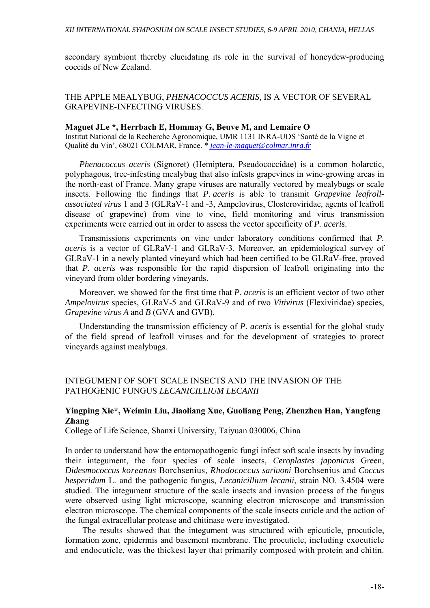secondary symbiont thereby elucidating its role in the survival of honeydew-producing coccids of New Zealand.

### THE APPLE MEALYBUG, *PHENACOCCUS ACERIS,* IS A VECTOR OF SEVERAL GRAPEVINE-INFECTING VIRUSES.

#### **Maguet JLe \*, Herrbach E, Hommay G, Beuve M, and Lemaire O**

Institut National de la Recherche Agronomique, UMR 1131 INRA-UDS 'Santé de la Vigne et Qualité du Vin', 68021 COLMAR, France. \* *jean-le-maguet@colmar.inra.fr*

*Phenacoccus aceris* (Signoret) (Hemiptera, Pseudococcidae) is a common holarctic, polyphagous, tree-infesting mealybug that also infests grapevines in wine-growing areas in the north-east of France. Many grape viruses are naturally vectored by mealybugs or scale insects. Following the findings that *P. aceris* is able to transmit *Grapevine leafrollassociated virus* 1 and 3 (GLRaV-1 and -3, Ampelovirus, Closteroviridae*,* agents of leafroll disease of grapevine) from vine to vine, field monitoring and virus transmission experiments were carried out in order to assess the vector specificity of *P. aceris*.

Transmissions experiments on vine under laboratory conditions confirmed that *P. aceris* is a vector of GLRaV-1 and GLRaV-3. Moreover, an epidemiological survey of GLRaV-1 in a newly planted vineyard which had been certified to be GLRaV-free, proved that *P. aceris* was responsible for the rapid dispersion of leafroll originating into the vineyard from older bordering vineyards.

Moreover, we showed for the first time that *P. aceris* is an efficient vector of two other *Ampelovirus* species, GLRaV-5 and GLRaV-9 and of two *Vitivirus* (Flexiviridae) species, *Grapevine virus A* and *B* (GVA and GVB).

Understanding the transmission efficiency of *P. aceris* is essential for the global study of the field spread of leafroll viruses and for the development of strategies to protect vineyards against mealybugs.

INTEGUMENT OF SOFT SCALE INSECTS AND THE INVASION OF THE PATHOGENIC FUNGUS *LECANICILLIUM LECANII*

### **Yingping Xie\*, Weimin Liu, Jiaoliang Xue, Guoliang Peng, Zhenzhen Han, Yangfeng Zhang**

College of Life Science, Shanxi University, Taiyuan 030006, China

In order to understand how the entomopathogenic fungi infect soft scale insects by invading their integument, the four species of scale insects, *Ceroplastes japonicus* Green, *Didesmococcus koreanus* Borchsenius, *Rhodococcus sariuoni* Borchsenius and *Coccus hesperidum* L. and the pathogenic fungus, *Lecanicillium lecanii*, strain NO. 3.4504 were studied. The integument structure of the scale insects and invasion process of the fungus were observed using light microscope, scanning electron microscope and transmission electron microscope. The chemical components of the scale insects cuticle and the action of the fungal extracellular protease and chitinase were investigated.

The results showed that the integument was structured with epicuticle, procuticle, formation zone, epidermis and basement membrane. The procuticle, including exocuticle and endocuticle, was the thickest layer that primarily composed with protein and chitin.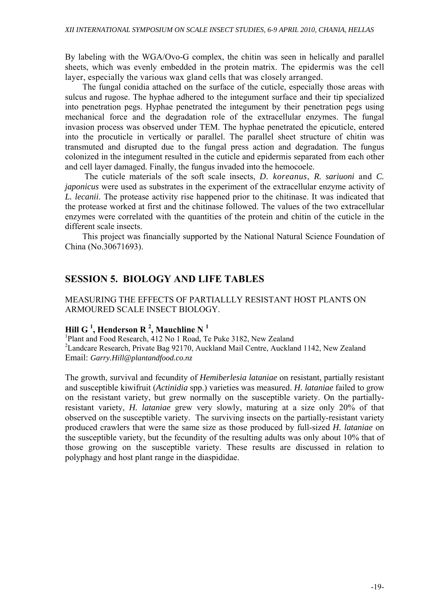By labeling with the WGA/Ovo-G complex, the chitin was seen in helically and parallel sheets, which was evenly embedded in the protein matrix. The epidermis was the cell layer, especially the various wax gland cells that was closely arranged.

The fungal conidia attached on the surface of the cuticle, especially those areas with sulcus and rugose. The hyphae adhered to the integument surface and their tip specialized into penetration pegs. Hyphae penetrated the integument by their penetration pegs using mechanical force and the degradation role of the extracellular enzymes. The fungal invasion process was observed under TEM. The hyphae penetrated the epicuticle, entered into the procuticle in vertically or parallel. The parallel sheet structure of chitin was transmuted and disrupted due to the fungal press action and degradation. The fungus colonized in the integument resulted in the cuticle and epidermis separated from each other and cell layer damaged. Finally, the fungus invaded into the hemocoele.

 The cuticle materials of the soft scale insects, *D. koreanus*, *R. sariuoni* and *C. japonicus* were used as substrates in the experiment of the extracellular enzyme activity of *L. lecanii*. The protease activity rise happened prior to the chitinase. It was indicated that the protease worked at first and the chitinase followed. The values of the two extracellular enzymes were correlated with the quantities of the protein and chitin of the cuticle in the different scale insects.

This project was financially supported by the National Natural Science Foundation of China (No.30671693).

# **SESSION 5. BIOLOGY AND LIFE TABLES**

### MEASURING THE EFFECTS OF PARTIALLLY RESISTANT HOST PLANTS ON ARMOURED SCALE INSECT BIOLOGY.

# **Hill G 1 , Henderson R <sup>2</sup> , Mauchline N <sup>1</sup>**

<sup>1</sup>Plant and Food Research, 412 No 1 Road, Te Puke 3182, New Zealand <sup>2</sup> Landcare Research, Private Bag 92170, Auckland Mail Centre, Auckland 1142, New Zealand Email: *Garry.Hill@plantandfood.co.nz* 

The growth, survival and fecundity of *Hemiberlesia lataniae* on resistant, partially resistant and susceptible kiwifruit (*Actinidia* spp.) varieties was measured. *H. lataniae* failed to grow on the resistant variety, but grew normally on the susceptible variety. On the partiallyresistant variety, *H. lataniae* grew very slowly, maturing at a size only 20% of that observed on the susceptible variety. The surviving insects on the partially-resistant variety produced crawlers that were the same size as those produced by full-sized *H. lataniae* on the susceptible variety, but the fecundity of the resulting adults was only about 10% that of those growing on the susceptible variety. These results are discussed in relation to polyphagy and host plant range in the diaspididae.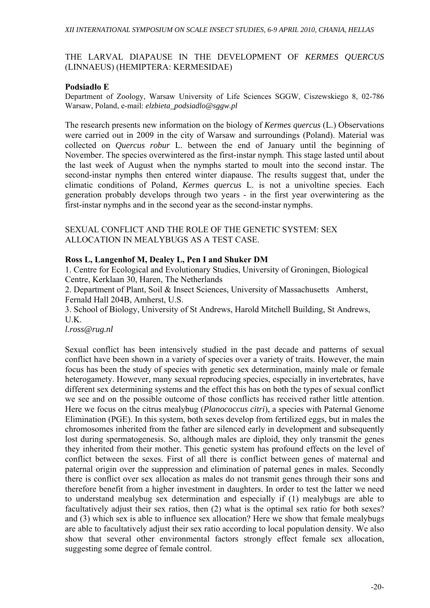# THE LARVAL DIAPAUSE IN THE DEVELOPMENT OF *KERMES QUERCUS*  (LINNAEUS) (HEMIPTERA: KERMESIDAE)

# **Podsiadło E**

Department of Zoology, Warsaw University of Life Sciences SGGW, Ciszewskiego 8, 02-786 Warsaw, Poland, e-mail: *elzbieta\_podsiadlo@sggw.pl* 

The research presents new information on the biology of *Kermes quercus* (L.) Observations were carried out in 2009 in the city of Warsaw and surroundings (Poland). Material was collected on *Quercus robur* L. between the end of January until the beginning of November. The species overwintered as the first-instar nymph. This stage lasted until about the last week of August when the nymphs started to moult into the second instar. The second-instar nymphs then entered winter diapause. The results suggest that, under the climatic conditions of Poland, *Kermes quercus* L. is not a univoltine species. Each generation probably develops through two years - in the first year overwintering as the first-instar nymphs and in the second year as the second-instar nymphs.

SEXUAL CONFLICT AND THE ROLE OF THE GENETIC SYSTEM: SEX ALLOCATION IN MEALYBUGS AS A TEST CASE.

# **Ross L, Langenhof M, Dealey L, Pen I and Shuker DM**

1. Centre for Ecological and Evolutionary Studies, University of Groningen, Biological Centre, Kerklaan 30, Haren, The Netherlands

2. Department of Plant, Soil  $\&$  Insect Sciences, University of Massachusetts Amherst, Fernald Hall 204B, Amherst, U.S.

3. School of Biology, University of St Andrews, Harold Mitchell Building, St Andrews, U.K.

*l.ross@rug.nl* 

Sexual conflict has been intensively studied in the past decade and patterns of sexual conflict have been shown in a variety of species over a variety of traits. However, the main focus has been the study of species with genetic sex determination, mainly male or female heterogamety. However, many sexual reproducing species, especially in invertebrates, have different sex determining systems and the effect this has on both the types of sexual conflict we see and on the possible outcome of those conflicts has received rather little attention. Here we focus on the citrus mealybug (*Planococcus citri*), a species with Paternal Genome Elimination (PGE). In this system, both sexes develop from fertilized eggs, but in males the chromosomes inherited from the father are silenced early in development and subsequently lost during spermatogenesis. So, although males are diploid, they only transmit the genes they inherited from their mother. This genetic system has profound effects on the level of conflict between the sexes. First of all there is conflict between genes of maternal and paternal origin over the suppression and elimination of paternal genes in males. Secondly there is conflict over sex allocation as males do not transmit genes through their sons and therefore benefit from a higher investment in daughters. In order to test the latter we need to understand mealybug sex determination and especially if (1) mealybugs are able to facultatively adjust their sex ratios, then (2) what is the optimal sex ratio for both sexes? and (3) which sex is able to influence sex allocation? Here we show that female mealybugs are able to facultatively adjust their sex ratio according to local population density. We also show that several other environmental factors strongly effect female sex allocation, suggesting some degree of female control.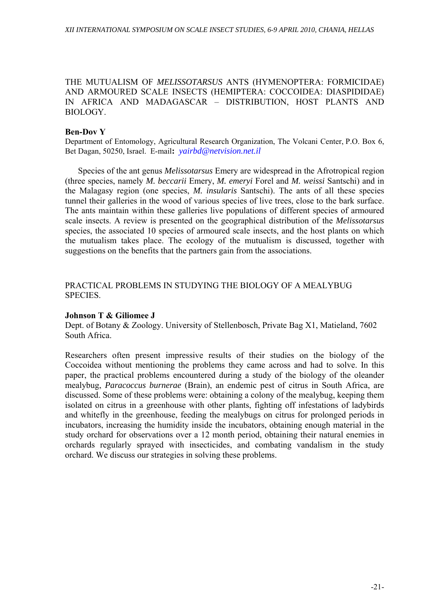THE MUTUALISM OF *MELISSOTARSUS* ANTS (HYMENOPTERA: FORMICIDAE) AND ARMOURED SCALE INSECTS (HEMIPTERA: COCCOIDEA: DIASPIDIDAE) IN AFRICA AND MADAGASCAR – DISTRIBUTION, HOST PLANTS AND BIOLOGY.

#### **Ben-Dov Y**

Department of Entomology, Agricultural Research Organization, The Volcani Center, P.O. Box 6, Bet Dagan, 50250, Israel. E-mail**:** *yairbd@netvision.net.il*

Species of the ant genus *Melissotarsus* Emery are widespread in the Afrotropical region (three species, namely *M. beccarii* Emery, *M. emeryi* Forel and *M. weissi* Santschi) and in the Malagasy region (one species, *M. insularis* Santschi). The ants of all these species tunnel their galleries in the wood of various species of live trees, close to the bark surface. The ants maintain within these galleries live populations of different species of armoured scale insects. A review is presented on the geographical distribution of the *Melissotarsus*  species, the associated 10 species of armoured scale insects, and the host plants on which the mutualism takes place. The ecology of the mutualism is discussed, together with suggestions on the benefits that the partners gain from the associations.

# PRACTICAL PROBLEMS IN STUDYING THE BIOLOGY OF A MEALYBUG SPECIES.

#### **Johnson T & Giliomee J**

Dept. of Botany & Zoology. University of Stellenbosch, Private Bag X1, Matieland, 7602 South Africa.

Researchers often present impressive results of their studies on the biology of the Coccoidea without mentioning the problems they came across and had to solve. In this paper, the practical problems encountered during a study of the biology of the oleander mealybug, *Paracoccus burnerae* (Brain), an endemic pest of citrus in South Africa, are discussed. Some of these problems were: obtaining a colony of the mealybug, keeping them isolated on citrus in a greenhouse with other plants, fighting off infestations of ladybirds and whitefly in the greenhouse, feeding the mealybugs on citrus for prolonged periods in incubators, increasing the humidity inside the incubators, obtaining enough material in the study orchard for observations over a 12 month period, obtaining their natural enemies in orchards regularly sprayed with insecticides, and combating vandalism in the study orchard. We discuss our strategies in solving these problems.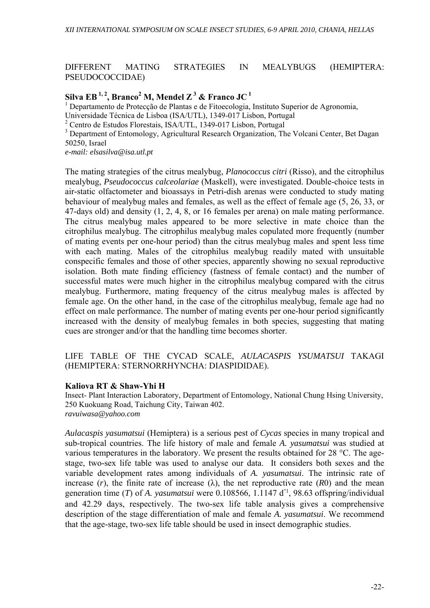DIFFERENT MATING STRATEGIES IN MEALYBUGS (HEMIPTERA: PSEUDOCOCCIDAE)

# $\textbf{Silva EB} \ ^{1,\,2}, \ \textbf{Branco}^2 \ \textbf{M}, \ \textbf{Mendel Z}^3 \ \& \ \textbf{Franco JC}^1$

1 Departamento de Protecção de Plantas e de Fitoecologia, Instituto Superior de Agronomia,

Universidade Técnica de Lisboa (ISA/UTL), 1349-017 Lisbon, Portugal

2 Centro de Estudos Florestais, ISA/UTL, 1349-017 Lisbon, Portugal

<sup>3</sup> Department of Entomology, Agricultural Research Organization, The Volcani Center, Bet Dagan 50250, Israel

*e-mail: elsasilva@isa.utl.pt* 

The mating strategies of the citrus mealybug, *Planococcus citri* (Risso), and the citrophilus mealybug, *Pseudococcus calceolariae* (Maskell), were investigated. Double-choice tests in air-static olfactometer and bioassays in Petri-dish arenas were conducted to study mating behaviour of mealybug males and females, as well as the effect of female age (5, 26, 33, or 47-days old) and density (1, 2, 4, 8, or 16 females per arena) on male mating performance. The citrus mealybug males appeared to be more selective in mate choice than the citrophilus mealybug. The citrophilus mealybug males copulated more frequently (number of mating events per one-hour period) than the citrus mealybug males and spent less time with each mating. Males of the citrophilus mealybug readily mated with unsuitable conspecific females and those of other species, apparently showing no sexual reproductive isolation. Both mate finding efficiency (fastness of female contact) and the number of successful mates were much higher in the citrophilus mealybug compared with the citrus mealybug. Furthermore, mating frequency of the citrus mealybug males is affected by female age. On the other hand, in the case of the citrophilus mealybug, female age had no effect on male performance. The number of mating events per one-hour period significantly increased with the density of mealybug females in both species, suggesting that mating cues are stronger and/or that the handling time becomes shorter.

LIFE TABLE OF THE CYCAD SCALE, *AULACASPIS YSUMATSUI* TAKAGI (HEMIPTERA: STERNORRHYNCHA: DIASPIDIDAE).

#### **Kaliova RT & Shaw-Yhi H**

Insect- Plant Interaction Laboratory, Department of Entomology, National Chung Hsing University, 250 Kuokuang Road, Taichung City, Taiwan 402. *ravuiwasa@yahoo.com*

*Aulacaspis yasumatsui* (Hemiptera) is a serious pest of *Cycas* species in many tropical and sub-tropical countries. The life history of male and female *A. yasumatsui* was studied at various temperatures in the laboratory. We present the results obtained for 28 °C. The agestage, two-sex life table was used to analyse our data. It considers both sexes and the variable development rates among individuals of *A. yasumatsui*. The intrinsic rate of increase (*r*), the finite rate of increase ( $\lambda$ ), the net reproductive rate ( $R$ 0) and the mean generation time (*T*) of *A. yasumatsui* were 0.108566, 1.1147  $d^{-1}$ , 98.63 offspring/individual and 42.29 days, respectively. The two-sex life table analysis gives a comprehensive description of the stage differentiation of male and female *A. yasumatsui*. We recommend that the age-stage, two-sex life table should be used in insect demographic studies.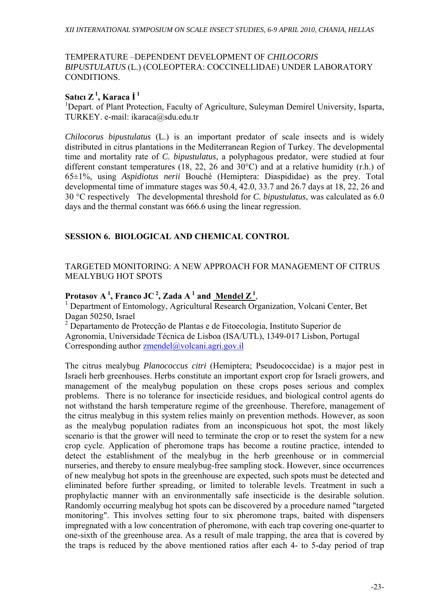### TEMPERATURE –DEPENDENT DEVELOPMENT OF *CHILOCORIS BIPUSTULATUS* (L.) (COLEOPTERA: COCCINELLIDAE) UNDER LABORATORY CONDITIONS.

# **Satıcı Z 1, Karaca İ <sup>1</sup>**<sup>1</sup>

<sup>1</sup>Depart. of Plant Protection, Faculty of Agriculture, Suleyman Demirel University, Isparta, TURKEY. e-mail: ikaraca@sdu.edu.tr

*Chilocorus bipustulatus* (L.) is an important predator of scale insects and is widely distributed in citrus plantations in the Mediterranean Region of Turkey. The developmental time and mortality rate of *C. bipustulatus*, a polyphagous predator, were studied at four different constant temperatures (18, 22, 26 and 30°C) and at a relative humidity (r.h.) of 65±1%, using *Aspidiotus nerii* Bouché (Hemiptera: Diaspididae) as the prey. Total developmental time of immature stages was 50.4, 42.0, 33.7 and 26.7 days at 18, 22, 26 and 30 °C respectively The developmental threshold for *C. bipustulatus*, was calculated as 6.0 days and the thermal constant was 666.6 using the linear regression.

# **SESSION 6. BIOLOGICAL AND CHEMICAL CONTROL**

# TARGETED MONITORING: A NEW APPROACH FOR MANAGEMENT OF CITRUS MEALYBUG HOT SPOTS

# **Protasov A**<sup>1</sup>, Franco JC<sup>2</sup>, Zada A<sup>1</sup> and Mendel  $\mathbb{Z}^1$ ,

 Department of Entomology, Agricultural Research Organization, Volcani Center, Bet Dagan 50250, Israel

<sup>2</sup> Departamento de Protecção de Plantas e de Fitoecologia, Instituto Superior de Agronomia, Universidade Técnica de Lisboa (ISA/UTL), 1349-017 Lisbon, Portugal Corresponding author zmendel@volcani.agri.gov.il

The citrus mealybug *Planococcus citri* (Hemiptera; Pseudococcidae) is a major pest in Israeli herb greenhouses. Herbs constitute an important export crop for Israeli growers, and management of the mealybug population on these crops poses serious and complex problems. There is no tolerance for insecticide residues, and biological control agents do not withstand the harsh temperature regime of the greenhouse. Therefore, management of the citrus mealybug in this system relies mainly on prevention methods. However, as soon as the mealybug population radiates from an inconspicuous hot spot, the most likely scenario is that the grower will need to terminate the crop or to reset the system for a new crop cycle. Application of pheromone traps has become a routine practice, intended to detect the establishment of the mealybug in the herb greenhouse or in commercial nurseries, and thereby to ensure mealybug-free sampling stock. However, since occurrences of new mealybug hot spots in the greenhouse are expected, such spots must be detected and eliminated before further spreading, or limited to tolerable levels. Treatment in such a prophylactic manner with an environmentally safe insecticide is the desirable solution. Randomly occurring mealybug hot spots can be discovered by a procedure named "targeted monitoring". This involves setting four to six pheromone traps, baited with dispensers impregnated with a low concentration of pheromone, with each trap covering one-quarter to one-sixth of the greenhouse area. As a result of male trapping, the area that is covered by the traps is reduced by the above mentioned ratios after each 4- to 5-day period of trap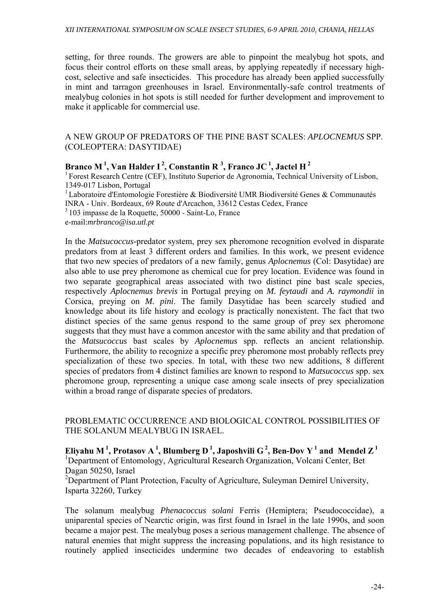setting, for three rounds. The growers are able to pinpoint the mealybug hot spots, and focus their control efforts on these small areas, by applying repeatedly if necessary highcost, selective and safe insecticides. This procedure has already been applied successfully in mint and tarragon greenhouses in Israel. Environmentally-safe control treatments of mealybug colonies in hot spots is still needed for further development and improvement to make it applicable for commercial use.

### A NEW GROUP OF PREDATORS OF THE PINE BAST SCALES: *APLOCNEMUS* SPP. (COLEOPTERA: DASYTIDAE)

# Branco M<sup>1</sup>, Van Halder I<sup>2</sup>, Constantin R<sup>3</sup>, Franco JC<sup>1</sup>, Jactel H<sup>2</sup>

<sup>1</sup> Forest Research Centre (CEF), Instituto Superior de Agronomia, Technical University of Lisbon, 1349-017 Lisbon, Portugal

<sup>1</sup> Laboratoire d'Entomologie Forestière & Biodiversité UMR Biodiversité Genes & Communautés INRA - Univ. Bordeaux, 69 Route d'Arcachon, 33612 Cestas Cedex, France

3 103 impasse de la Roquette, 50000 - Saint-Lo, France

e-mail:*mrbranco@isa.utl.pt*

In the *Matsucoccus*-predator system, prey sex pheromone recognition evolved in disparate predators from at least 3 different orders and families. In this work, we present evidence that two new species of predators of a new family, genus *Aplocnemus* (Col: Dasytidae) are also able to use prey pheromone as chemical cue for prey location. Evidence was found in two separate geographical areas associated with two distinct pine bast scale species, respectively *Aplocnemus brevis* in Portugal preying on *M. feytaudi* and *A. raymondii* in Corsica, preying on *M. pini*. The family Dasytidae has been scarcely studied and knowledge about its life history and ecology is practically nonexistent. The fact that two distinct species of the same genus respond to the same group of prey sex pheromone suggests that they must have a common ancestor with the same ability and that predation of the *Matsucoccus* bast scales by *Aplocnemus* spp. reflects an ancient relationship. Furthermore, the ability to recognize a specific prey pheromone most probably reflects prey specialization of these two species. In total, with these two new additions, 8 different species of predators from 4 distinct families are known to respond to *Matsucoccus* spp. sex pheromone group, representing a unique case among scale insects of prey specialization within a broad range of disparate species of predators.

PROBLEMATIC OCCURRENCE AND BIOLOGICAL CONTROL POSSIBILITIES OF THE SOLANUM MEALYBUG IN ISRAEL.

**Eliyahu M**<sup>1</sup>, Protasov A<sup>1</sup>, Blumberg D<sup>1</sup>, Japoshvili G<sup>2</sup>, Ben-Dov Y<sup>1</sup> and Mendel Z<sup>1</sup> <sup>1</sup>Department of Entomology, Agricultural Research Organization, Volcani Center, Bet Dagan 50250, Israel

<sup>2</sup>Department of Plant Protection, Faculty of Agriculture, Suleyman Demirel University, Isparta 32260, Turkey

The solanum mealybug *Phenacoccus solani* Ferris (Hemiptera; Pseudococcidae), a uniparental species of Nearctic origin, was first found in Israel in the late 1990s, and soon became a major pest. The mealybug poses a serious management challenge. The absence of natural enemies that might suppress the increasing populations, and its high resistance to routinely applied insecticides undermine two decades of endeavoring to establish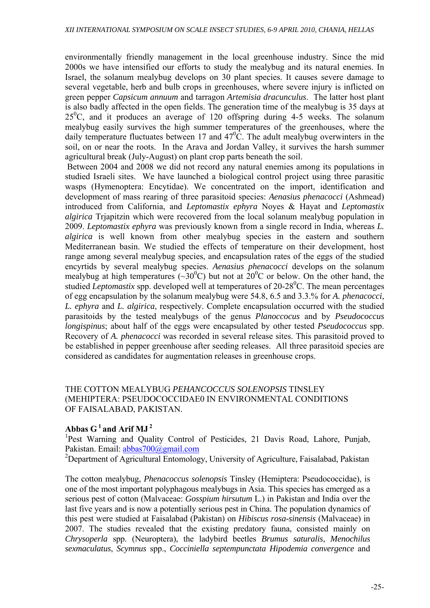environmentally friendly management in the local greenhouse industry. Since the mid 2000s we have intensified our efforts to study the mealybug and its natural enemies. In Israel, the solanum mealybug develops on 30 plant species. It causes severe damage to several vegetable, herb and bulb crops in greenhouses, where severe injury is inflicted on green pepper *Capsicum annuum* and tarragon *Artemisia dracunculus*. The latter host plant is also badly affected in the open fields. The generation time of the mealybug is 35 days at  $25\text{°C}$ , and it produces an average of 120 offspring during 4-5 weeks. The solanum mealybug easily survives the high summer temperatures of the greenhouses, where the daily temperature fluctuates between 17 and  $47^{\circ}$ C. The adult mealybug overwinters in the soil, on or near the roots. In the Arava and Jordan Valley, it survives the harsh summer agricultural break (July-August) on plant crop parts beneath the soil.

 Between 2004 and 2008 we did not record any natural enemies among its populations in studied Israeli sites. We have launched a biological control project using three parasitic wasps (Hymenoptera: Encytidae). We concentrated on the import, identification and development of mass rearing of three parasitoid species: *Aenasius phenacocci* (Ashmead) introduced from California, and *Leptomastix ephyra* Noyes & Hayat and *Leptomastix algirica* Trjapitzin which were recovered from the local solanum mealybug population in 2009. *Leptomastix ephyra* was previously known from a single record in India, whereas *L. algirica* is well known from other mealybug species in the eastern and southern Mediterranean basin. We studied the effects of temperature on their development, host range among several mealybug species, and encapsulation rates of the eggs of the studied encyrtids by several mealybug species. *Aenasius phenacocci* develops on the solanum mealybug at high temperatures ( $\sim 30^{\circ}$ C) but not at  $20^{\circ}$ C or below. On the other hand, the studied *Leptomastix* spp. developed well at temperatures of 20-28<sup>0</sup>C. The mean percentages of egg encapsulation by the solanum mealybug were 54.8, 6.5 and 3.3.% for *A. phenacocci*, *L. ephyra* and *L. algirica*, respectively. Complete encapsulation occurred with the studied parasitoids by the tested mealybugs of the genus *Planoccocus* and by *Pseudococcus longispinus*; about half of the eggs were encapsulated by other tested *Pseudococcus* spp. Recovery of *A. phenacocci* was recorded in several release sites. This parasitoid proved to be established in pepper greenhouse after seeding releases. All three parasitoid species are considered as candidates for augmentation releases in greenhouse crops.

# THE COTTON MEALYBUG *PEHANCOCCUS SOLENOPSIS* TINSLEY (MEHIPTERA: PSEUDOCOCCIDAE0 IN ENVIRONMENTAL CONDITIONS OF FAISALABAD, PAKISTAN.

# Abbas  $G<sup>1</sup>$  and Arif MJ<sup>2</sup>

<sup>1</sup>Pest Warning and Quality Control of Pesticides, 21 Davis Road, Lahore, Punjab, Pakistan. Email: abbas700@gmail.com

<sup>2</sup>Department of Agricultural Entomology, University of Agriculture, Faisalabad, Pakistan

The cotton mealybug, *Phenacoccus solenopsis* Tinsley (Hemiptera: Pseudococcidae), is one of the most important polyphagous mealybugs in Asia. This species has emerged as a serious pest of cotton (Malvaceae: *Gosspium hirsutum* L.) in Pakistan and India over the last five years and is now a potentially serious pest in China. The population dynamics of this pest were studied at Faisalabad (Pakistan) on *Hibiscus rosa-sinensis* (Malvaceae) in 2007. The studies revealed that the existing predatory fauna, consisted mainly on *Chrysoperla* spp. (Neuroptera), the ladybird beetles *Brumus saturalis*, *Menochilus sexmaculatus*, *Scymnus* spp., *Cocciniella septempunctata Hipodemia convergence* and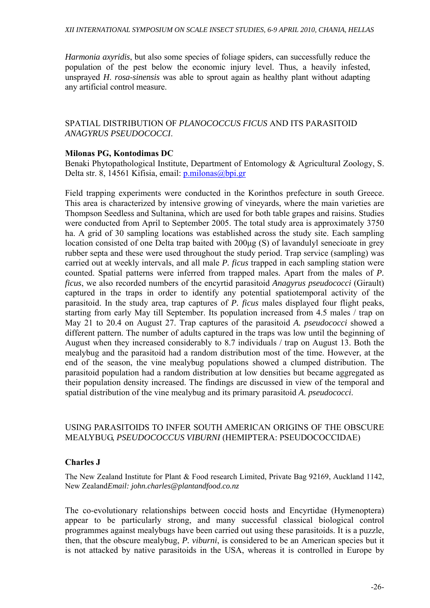*Harmonia axyridis*, but also some species of foliage spiders, can successfully reduce the population of the pest below the economic injury level. Thus, a heavily infested, unsprayed *H*. *rosa*-*sinensis* was able to sprout again as healthy plant without adapting any artificial control measure.

# SPATIAL DISTRIBUTION OF *PLANOCOCCUS FICUS* AND ITS PARASITOID *ANAGYRUS PSEUDOCOCCI*.

# **Milonas PG, Kontodimas DC**

Benaki Phytopathological Institute, Department of Entomology & Agricultural Zoology, S. Delta str. 8, 14561 Kifisia, email: p.milonas@bpi.gr

Field trapping experiments were conducted in the Korinthos prefecture in south Greece. This area is characterized by intensive growing of vineyards, where the main varieties are Thompson Seedless and Sultanina, which are used for both table grapes and raisins. Studies were conducted from April to September 2005. The total study area is approximately 3750 ha. A grid of 30 sampling locations was established across the study site. Each sampling location consisted of one Delta trap baited with 200μg (S) of lavandulyl senecioate in grey rubber septa and these were used throughout the study period. Trap service (sampling) was carried out at weekly intervals, and all male *P. ficus* trapped in each sampling station were counted. Spatial patterns were inferred from trapped males. Apart from the males of *P. ficus*, we also recorded numbers of the encyrtid parasitoid *Anagyrus pseudococci* (Girault) captured in the traps in order to identify any potential spatiotemporal activity of the parasitoid. In the study area, trap captures of *P. ficus* males displayed four flight peaks, starting from early May till September. Its population increased from 4.5 males / trap on May 21 to 20.4 on August 27. Trap captures of the parasitoid *A. pseudococci* showed a different pattern. The number of adults captured in the traps was low until the beginning of August when they increased considerably to 8.7 individuals / trap on August 13. Both the mealybug and the parasitoid had a random distribution most of the time. However, at the end of the season, the vine mealybug populations showed a clumped distribution. The parasitoid population had a random distribution at low densities but became aggregated as their population density increased. The findings are discussed in view of the temporal and spatial distribution of the vine mealybug and its primary parasitoid *A. pseudococci*.

### USING PARASITOIDS TO INFER SOUTH AMERICAN ORIGINS OF THE OBSCURE MEALYBUG, *PSEUDOCOCCUS VIBURNI* (HEMIPTERA: PSEUDOCOCCIDAE)

### **Charles J**

The New Zealand Institute for Plant & Food research Limited, Private Bag 92169, Auckland 1142, New Zealand*Email: john.charles@plantandfood.co.nz* 

The co-evolutionary relationships between coccid hosts and Encyrtidae (Hymenoptera) appear to be particularly strong, and many successful classical biological control programmes against mealybugs have been carried out using these parasitoids. It is a puzzle, then, that the obscure mealybug, *P. viburni*, is considered to be an American species but it is not attacked by native parasitoids in the USA, whereas it is controlled in Europe by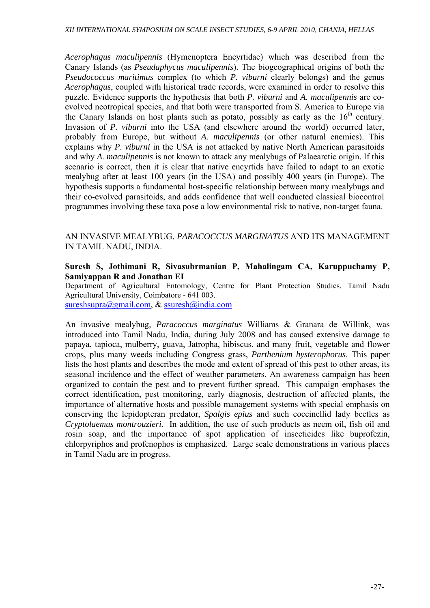*Acerophagus maculipennis* (Hymenoptera Encyrtidae) which was described from the Canary Islands (as *Pseudaphycus maculipennis*). The biogeographical origins of both the *Pseudococcus maritimus* complex (to which *P. viburni* clearly belongs) and the genus *Acerophagus*, coupled with historical trade records, were examined in order to resolve this puzzle. Evidence supports the hypothesis that both *P. viburni* and *A. maculipennis* are coevolved neotropical species, and that both were transported from S. America to Europe via the Canary Islands on host plants such as potato, possibly as early as the  $16<sup>th</sup>$  century. Invasion of *P. viburni* into the USA (and elsewhere around the world) occurred later, probably from Europe, but without *A. maculipennis* (or other natural enemies). This explains why *P. viburni* in the USA is not attacked by native North American parasitoids and why *A. maculipennis* is not known to attack any mealybugs of Palaearctic origin. If this scenario is correct, then it is clear that native encyrtids have failed to adapt to an exotic mealybug after at least 100 years (in the USA) and possibly 400 years (in Europe). The hypothesis supports a fundamental host-specific relationship between many mealybugs and their co-evolved parasitoids, and adds confidence that well conducted classical biocontrol programmes involving these taxa pose a low environmental risk to native, non-target fauna.

### AN INVASIVE MEALYBUG, *PARACOCCUS MARGINATUS* AND ITS MANAGEMENT IN TAMIL NADU, INDIA.

### **Suresh S, Jothimani R, Sivasubrmanian P, Mahalingam CA, Karuppuchamy P, Samiyappan R and Jonathan EI**

Department of Agricultural Entomology, Centre for Plant Protection Studies. Tamil Nadu Agricultural University, Coimbatore - 641 003. sureshsupra@gmail.com, & ssuresh@india.com

An invasive mealybug, *Paracoccus marginatus* Williams & Granara de Willink, was introduced into Tamil Nadu, India, during July 2008 and has caused extensive damage to papaya, tapioca, mulberry, guava, Jatropha, hibiscus, and many fruit, vegetable and flower crops, plus many weeds including Congress grass, *Parthenium hysterophorus*. This paper lists the host plants and describes the mode and extent of spread of this pest to other areas, its seasonal incidence and the effect of weather parameters. An awareness campaign has been organized to contain the pest and to prevent further spread. This campaign emphases the correct identification, pest monitoring, early diagnosis, destruction of affected plants, the importance of alternative hosts and possible management systems with special emphasis on conserving the lepidopteran predator, *Spalgis epius* and such coccinellid lady beetles as *Cryptolaemus montrouzieri.* In addition, the use of such products as neem oil, fish oil and rosin soap, and the importance of spot application of insecticides like buprofezin, chlorpyriphos and profenophos is emphasized. Large scale demonstrations in various places in Tamil Nadu are in progress.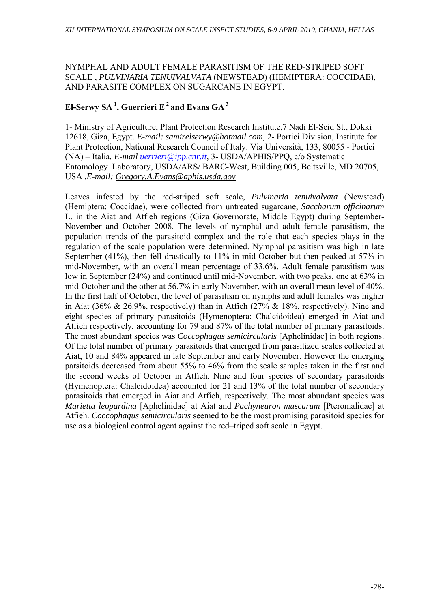NYMPHAL AND ADULT FEMALE PARASITISM OF THE RED-STRIPED SOFT SCALE , *PULVINARIA TENUIVALVATA* (NEWSTEAD) (HEMIPTERA: COCCIDAE), AND PARASITE COMPLEX ON SUGARCANE IN EGYPT.

# **El-Serwy SA 1, Guerrieri E 2 and Evans GA 3**

1- Ministry of Agriculture, Plant Protection Research Institute,7 Nadi El-Seid St., Dokki 12618, Giza, Egypt*. E-mail: samirelserwy@hotmail.com,* 2- Portici Division, Institute for Plant Protection, National Research Council of Italy. Via Università, 133, 80055 - Portici (NA) – Italia*. E-mail uerrieri@ipp.cnr.it,* 3- USDA/APHIS/PPQ, c/o Systematic Entomology Laboratory, USDA/ARS/ BARC-West, Building 005, Beltsville, MD 20705, USA *.E-mail: Gregory.A.Evans@aphis.usda.gov*

Leaves infested by the red-striped soft scale, *Pulvinaria tenuivalvata* (Newstead) (Hemiptera: Coccidae), were collected from untreated sugarcane, *Saccharum officinarum* L. in the Aiat and Atfieh regions (Giza Governorate, Middle Egypt) during September-November and October 2008. The levels of nymphal and adult female parasitism, the population trends of the parasitoid complex and the role that each species plays in the regulation of the scale population were determined. Nymphal parasitism was high in late September (41%), then fell drastically to 11% in mid-October but then peaked at 57% in mid-November, with an overall mean percentage of 33.6%. Adult female parasitism was low in September (24%) and continued until mid-November, with two peaks, one at 63% in mid-October and the other at 56.7% in early November, with an overall mean level of 40%. In the first half of October, the level of parasitism on nymphs and adult females was higher in Aiat (36% & 26.9%, respectively) than in Atfieh (27% & 18%, respectively). Nine and eight species of primary parasitoids (Hymenoptera: Chalcidoidea) emerged in Aiat and Atfieh respectively, accounting for 79 and 87% of the total number of primary parasitoids. The most abundant species was *Coccophagus semicircularis* [Aphelinidae] in both regions. Of the total number of primary parasitoids that emerged from parasitized scales collected at Aiat, 10 and 84% appeared in late September and early November. However the emerging parsitoids decreased from about 55% to 46% from the scale samples taken in the first and the second weeks of October in Atfieh. Nine and four species of secondary parasitoids (Hymenoptera: Chalcidoidea) accounted for 21 and 13% of the total number of secondary parasitoids that emerged in Aiat and Atfieh, respectively. The most abundant species was *Marietta leopardina* [Aphelinidae] at Aiat and *Pachyneuron muscarum* [Pteromalidae] at Atfieh. *Coccophagus semicircularis* seemed to be the most promising parasitoid species for use as a biological control agent against the red–triped soft scale in Egypt.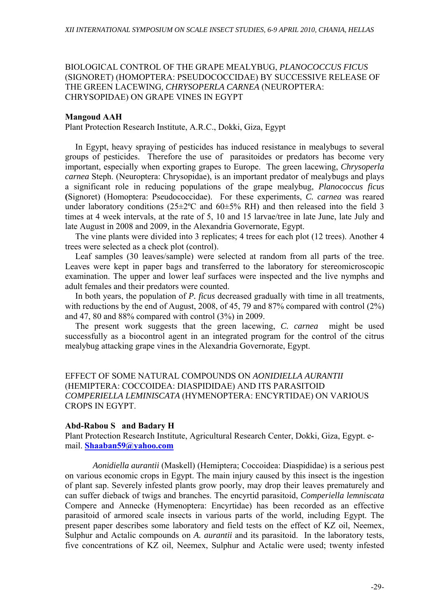### BIOLOGICAL CONTROL OF THE GRAPE MEALYBUG, *PLANOCOCCUS FICUS*  (SIGNORET) (HOMOPTERA: PSEUDOCOCCIDAE) BY SUCCESSIVE RELEASE OF THE GREEN LACEWING*, CHRYSOPERLA CARNEA* (NEUROPTERA: CHRYSOPIDAE) ON GRAPE VINES IN EGYPT

#### **Mangoud AAH**

Plant Protection Research Institute, A.R.C., Dokki, Giza, Egypt

In Egypt, heavy spraying of pesticides has induced resistance in mealybugs to several groups of pesticides. Therefore the use of parasitoides or predators has become very important, especially when exporting grapes to Europe. The green lacewing, *Chrysoperla carnea* Steph. (Neuroptera: Chrysopidae), is an important predator of mealybugs and plays a significant role in reducing populations of the grape mealybug, *Planococcus ficus*  **(**Signoret) (Homoptera: Pseudococcidae). For these experiments, *C. carnea* was reared under laboratory conditions ( $25\pm2$ °C and  $60\pm5\%$  RH) and then released into the field 3 times at 4 week intervals, at the rate of 5, 10 and 15 larvae/tree in late June, late July and late August in 2008 and 2009, in the Alexandria Governorate, Egypt.

The vine plants were divided into 3 replicates; 4 trees for each plot (12 trees). Another 4 trees were selected as a check plot (control).

Leaf samples (30 leaves/sample) were selected at random from all parts of the tree. Leaves were kept in paper bags and transferred to the laboratory for stereomicroscopic examination. The upper and lower leaf surfaces were inspected and the live nymphs and adult females and their predators were counted.

In both years, the population of *P. ficus* decreased gradually with time in all treatments, with reductions by the end of August, 2008, of 45, 79 and 87% compared with control (2%) and 47, 80 and 88% compared with control (3%) in 2009.

The present work suggests that the green lacewing, *C. carnea* might be used successfully as a biocontrol agent in an integrated program for the control of the citrus mealybug attacking grape vines in the Alexandria Governorate, Egypt.

EFFECT OF SOME NATURAL COMPOUNDS ON *AONIDIELLA AURANTII* (HEMIPTERA: COCCOIDEA: DIASPIDIDAE) AND ITS PARASITOID *COMPERIELLA LEMINISCATA* (HYMENOPTERA: ENCYRTIDAE) ON VARIOUS CROPS IN EGYPT.

### **Abd-Rabou S and Badary H**

Plant Protection Research Institute, Agricultural Research Center, Dokki, Giza, Egypt. email. **Shaaban59@yahoo.com**

 *Aonidiella aurantii* (Maskell) (Hemiptera; Coccoidea: Diaspididae) is a serious pest on various economic crops in Egypt. The main injury caused by this insect is the ingestion of plant sap. Severely infested plants grow poorly, may drop their leaves prematurely and can suffer dieback of twigs and branches. The encyrtid parasitoid, *Comperiella lemniscata*  Compere and Annecke (Hymenoptera: Encyrtidae) has been recorded as an effective parasitoid of armored scale insects in various parts of the world, including Egypt. The present paper describes some laboratory and field tests on the effect of KZ oil, Neemex, Sulphur and Actalic compounds on *A. aurantii* and its parasitoid. In the laboratory tests, five concentrations of KZ oil, Neemex, Sulphur and Actalic were used; twenty infested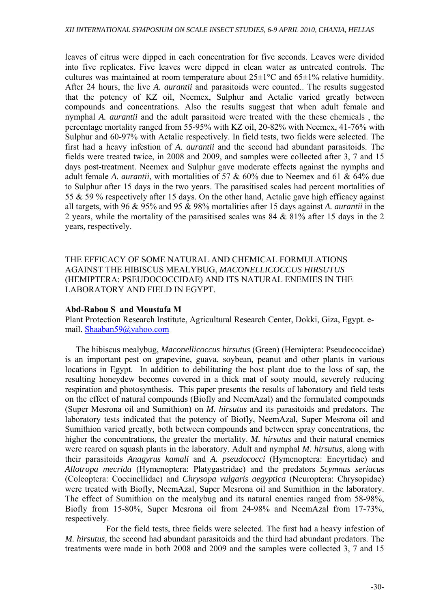leaves of citrus were dipped in each concentration for five seconds. Leaves were divided into five replicates. Five leaves were dipped in clean water as untreated controls. The cultures was maintained at room temperature about  $25\pm1\degree C$  and  $65\pm1\%$  relative humidity. After 24 hours, the live *A. aurantii* and parasitoids were counted.. The results suggested that the potency of KZ oil, Neemex, Sulphur and Actalic varied greatly between compounds and concentrations. Also the results suggest that when adult female and nymphal *A. aurantii* and the adult parasitoid were treated with the these chemicals , the percentage mortality ranged from 55-95% with KZ oil, 20-82% with Neemex, 41-76% with Sulphur and 60-97% with Actalic respectively. In field tests, two fields were selected. The first had a heavy infestion of *A. aurantii* and the second had abundant parasitoids. The fields were treated twice, in 2008 and 2009, and samples were collected after 3, 7 and 15 days post-treatment. Neemex and Sulphur gave moderate effects against the nymphs and adult female *A. aurantii*, with mortalities of 57 & 60% due to Neemex and 61 & 64% due to Sulphur after 15 days in the two years. The parasitised scales had percent mortalities of 55 & 59 % respectively after 15 days. On the other hand, Actalic gave high efficacy against all targets, with 96 & 95% and 95 & 98% mortalities after 15 days against *A. aurantii* in the 2 years, while the mortality of the parasitised scales was 84 & 81% after 15 days in the 2 years, respectively.

THE EFFICACY OF SOME NATURAL AND CHEMICAL FORMULATIONS AGAINST THE HIBISCUS MEALYBUG, *MACONELLICOCCUS HIRSUTUS* (HEMIPTERA: PSEUDOCOCCIDAE) AND ITS NATURAL ENEMIES IN THE LABORATORY AND FIELD IN EGYPT.

### **Abd-Rabou S and Moustafa M**

Plant Protection Research Institute, Agricultural Research Center, Dokki, Giza, Egypt. email. Shaaban59@yahoo.com

 The hibiscus mealybug, *Maconellicoccus hirsutus* (Green) (Hemiptera: Pseudococcidae) is an important pest on grapevine, guava, soybean, peanut and other plants in various locations in Egypt. In addition to debilitating the host plant due to the loss of sap, the resulting honeydew becomes covered in a thick mat of sooty mould, severely reducing respiration and photosynthesis. This paper presents the results of laboratory and field tests on the effect of natural compounds (Biofly and NeemAzal) and the formulated compounds (Super Mesrona oil and Sumithion) on *M. hirsutus* and its parasitoids and predators. The laboratory tests indicated that the potency of Biofly, NeemAzal, Super Mesrona oil and Sumithion varied greatly, both between compounds and between spray concentrations, the higher the concentrations, the greater the mortality. *M. hirsutus* and their natural enemies were reared on squash plants in the laboratory. Adult and nymphal *M. hirsutus*, along with their parasitoids *Anagyrus kamali* and *A. pseudococci* (Hymenoptera: Encyrtidae) and *Allotropa mecrida* (Hymenoptera: Platygastridae) and the predators *Scymnus seriacu*s (Coleoptera: Coccinellidae) and *Chrysopa vulgaris aegyptica* (Neuroptera: Chrysopidae) were treated with Biofly, NeemAzal, Super Mesrona oil and Sumithion in the laboratory. The effect of Sumithion on the mealybug and its natural enemies ranged from 58-98%, Biofly from 15-80%, Super Mesrona oil from 24-98% and NeemAzal from 17-73%, respectively.

 For the field tests, three fields were selected. The first had a heavy infestion of *M. hirsutus*, the second had abundant parasitoids and the third had abundant predators. The treatments were made in both 2008 and 2009 and the samples were collected 3, 7 and 15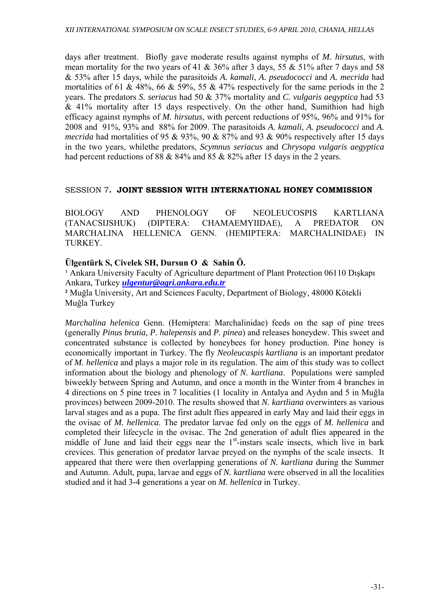days after treatment. Biofly gave moderate results against nymphs of *M. hirsutus*, with mean mortality for the two years of 41 & 36% after 3 days, 55 & 51% after 7 days and 58 & 53% after 15 days, while the parasitoids *A. kamali*, *A. pseudococci* and *A. mecrida* had mortalities of 61 & 48%, 66 & 59%, 55 & 47% respectively for the same periods in the 2 years. The predators *S. seriacus* had 50 & 37% mortality and *C. vulgaris aegyptica* had 53 & 41% mortality after 15 days respectively. On the other hand, Sumithion had high efficacy against nymphs of *M. hirsutus*, with percent reductions of 95%, 96% and 91% for 2008 and 91%, 93% and 88% for 2009. The parasitoids *A. kamali*, *A. pseudococci* and *A. mecrida* had mortalities of 95 & 93%, 90 & 87% and 93 & 90% respectively after 15 days in the two years, whilethe predators, *Scymnus seriacus* and *Chrysopa vulgaris aegyptica*  had percent reductions of 88 & 84% and 85 & 82% after 15 days in the 2 years.

### SESSION 7**. JOINT SESSION WITH INTERNATIONAL HONEY COMMISSION**

BIOLOGY AND PHENOLOGY OF NEOLEUCOSPIS KARTLIANA (TANACSIJSHUK) (DIPTERA: CHAMAEMYIIDAE), A PREDATOR ON MARCHALINA HELLENICA GENN. (HEMIPTERA: MARCHALINIDAE) IN TURKEY.

# **Ülgentürk S, Civelek SH, Dursun O & Sahin Ö.**

<sup>1</sup> Ankara University Faculty of Agriculture department of Plant Protection 06110 Diskapi Ankara, Turkey *ulgentur@agri.ankara.edu.tr*

**²** Muğla University, Art and Sciences Faculty, Department of Biology, 48000 Kötekli Muğla Turkey

*Marchalina helenica* Genn. (Hemiptera: Marchalinidae) feeds on the sap of pine trees (generally *Pinus brutia*, *P. halepensis* and *P. pinea*) and releases honeydew. This sweet and concentrated substance is collected by honeybees for honey production. Pine honey is economically important in Turkey. The fly *Neoleucaspis kartliana* is an important predator of *M. hellenica* and plays a major role in its regulation. The aim of this study was to collect information about the biology and phenology of *N. kartliana*. Populations were sampled biweekly between Spring and Autumn, and once a month in the Winter from 4 branches in 4 directions on 5 pine trees in 7 localities (1 locality in Antalya and Aydın and 5 in Muğla provinces) between 2009-2010. The results showed that *N. kartliana* overwinters as various larval stages and as a pupa. The first adult flies appeared in early May and laid their eggs in the ovisac of *M. hellenica*. The predator larvae fed only on the eggs of *M. hellenica* and completed their lifecycle in the ovisac. The 2nd generation of adult flies appeared in the middle of June and laid their eggs near the  $1<sup>st</sup>$ -instars scale insects, which live in bark crevices. This generation of predator larvae preyed on the nymphs of the scale insects. It appeared that there were then overlapping generations of *N. kartliana* during the Summer and Autumn. Adult, pupa, larvae and eggs of *N. kartliana* were observed in all the localities studied and it had 3-4 generations a year on *M. hellenica* in Turkey.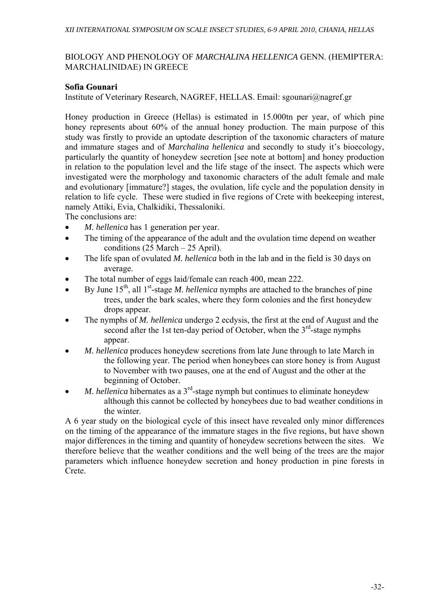# BIOLOGY AND PHENOLOGY OF *MARCHALINA HELLENICA* GENN. (HEMIPTERA: MARCHALINIDAE) IN GREECE

# **Sofia Gounari**

Institute of Veterinary Research, NAGREF, HELLAS. Email: sgounari@nagref.gr

Honey production in Greece (Hellas) is estimated in 15.000tn per year, of which pine honey represents about 60% of the annual honey production. The main purpose of this study was firstly to provide an uptodate description of the taxonomic characters of mature and immature stages and of *Marchalina hellenica* and secondly to study it's bioecology, particularly the quantity of honeydew secretion [see note at bottom] and honey production in relation to the population level and the life stage of the insect. The aspects which were investigated were the morphology and taxonomic characters of the adult female and male and evolutionary [immature?] stages, the ovulation, life cycle and the population density in relation to life cycle. These were studied in five regions of Crete with beekeeping interest, namely Attiki, Evia, Chalkidiki, Thessaloniki.

The conclusions are:

- *M. hellenica* has 1 generation per year.
- The timing of the appearance of the adult and the ovulation time depend on weather conditions (25 March – 25 April).
- The life span of ovulated *M. hellenica* both in the lab and in the field is 30 days on average.
- The total number of eggs laid/female can reach 400, mean 222.
- By June 15th, all 1st-stage *M. hellenica* nymphs are attached to the branches of pine trees, under the bark scales, where they form colonies and the first honeydew drops appear.
- The nymphs of *M. hellenica* undergo 2 ecdysis, the first at the end of August and the second after the 1st ten-day period of October, when the  $3<sup>rd</sup>$ -stage nymphs appear.
- *M. hellenica* produces honeydew secretions from late June through to late March in the following year. The period when honeybees can store honey is from August to November with two pauses, one at the end of August and the other at the beginning of October.
- *M. hellenica* hibernates as a 3<sup>rd</sup>-stage nymph but continues to eliminate honeydew although this cannot be collected by honeybees due to bad weather conditions in the winter.

A 6 year study on the biological cycle of this insect have revealed only minor differences on the timing of the appearance of the immature stages in the five regions, but have shown major differences in the timing and quantity of honeydew secretions between the sites. We therefore believe that the weather conditions and the well being of the trees are the major parameters which influence honeydew secretion and honey production in pine forests in Crete.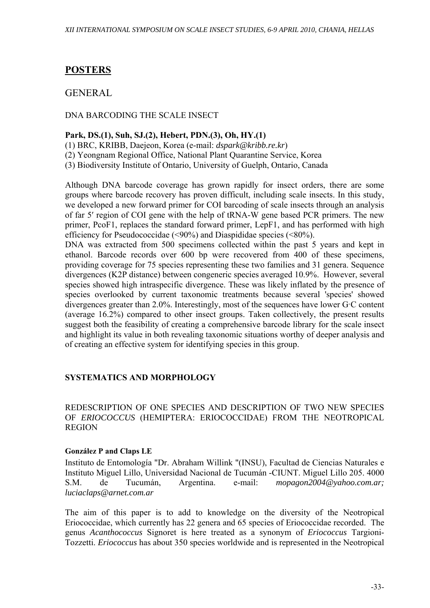# **POSTERS**

# GENERAL

# DNA BARCODING THE SCALE INSECT

### **Park, DS.(1), Suh, SJ.(2), Hebert, PDN.(3), Oh, HY.(1)**

- (1) BRC, KRIBB, Daejeon, Korea (e-mail: *dspark@kribb.re.kr*)
- (2) Yeongnam Regional Office, National Plant Quarantine Service, Korea
- (3) Biodiversity Institute of Ontario, University of Guelph, Ontario, Canada

Although DNA barcode coverage has grown rapidly for insect orders, there are some groups where barcode recovery has proven difficult, including scale insects. In this study, we developed a new forward primer for COI barcoding of scale insects through an analysis of far 5′ region of COI gene with the help of tRNA-W gene based PCR primers. The new primer, PcoF1, replaces the standard forward primer, LepF1, and has performed with high efficiency for Pseudococcidae (<90%) and Diaspididae species (<80%).

DNA was extracted from 500 specimens collected within the past 5 years and kept in ethanol. Barcode records over 600 bp were recovered from 400 of these specimens, providing coverage for 75 species representing these two families and 31 genera. Sequence divergences (K2P distance) between congeneric species averaged 10.9%. However, several species showed high intraspecific divergence. These was likely inflated by the presence of species overlooked by current taxonomic treatments because several 'species' showed divergences greater than  $2.0\%$ . Interestingly, most of the sequences have lower G·C content (average 16.2%) compared to other insect groups. Taken collectively, the present results suggest both the feasibility of creating a comprehensive barcode library for the scale insect and highlight its value in both revealing taxonomic situations worthy of deeper analysis and of creating an effective system for identifying species in this group.

# **SYSTEMATICS AND MORPHOLOGY**

REDESCRIPTION OF ONE SPECIES AND DESCRIPTION OF TWO NEW SPECIES OF *ERIOCOCCUS* (HEMIPTERA: ERIOCOCCIDAE) FROM THE NEOTROPICAL REGION

### **González P and Claps LE**

Instituto de Entomología "Dr. Abraham Willink "(INSU), Facultad de Ciencias Naturales e Instituto Miguel Lillo, Universidad Nacional de Tucumán -CIUNT. Miguel Lillo 205. 4000 S.M. de Tucumán, Argentina. e-mail: *mopagon2004@yahoo.com.ar; luciaclaps@arnet.com.ar* 

The aim of this paper is to add to knowledge on the diversity of the Neotropical Eriococcidae, which currently has 22 genera and 65 species of Eriococcidae recorded. The genus *Acanthococcus* Signoret is here treated as a synonym of *Eriococcus* Targioni-Tozzetti. *Eriococcus* has about 350 species worldwide and is represented in the Neotropical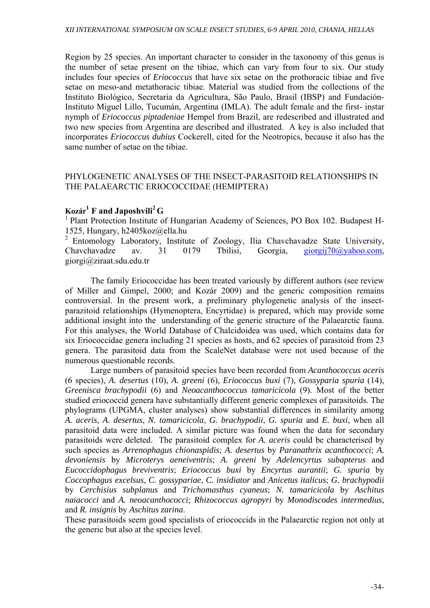Region by 25 species. An important character to consider in the taxonomy of this genus is the number of setae present on the tibiae, which can vary from four to six. Our study includes four species of *Eriococcus* that have six setae on the prothoracic tibiae and five setae on meso-and metathoracic tibiae. Material was studied from the collections of the Instituto Biológico, Secretaria da Agricultura, São Paulo, Brasil (IBSP) and Fundación-Instituto Miguel Lillo, Tucumán, Argentina (IMLA). The adult female and the first- instar nymph of *Eriococcus piptadeniae* Hempel from Brazil, are redescribed and illustrated and two new species from Argentina are described and illustrated. A key is also included that incorporates *Eriococcus dubius* Cockerell, cited for the Neotropics, because it also has the same number of setae on the tibiae.

### PHYLOGENETIC ANALYSES OF THE INSECT-PARASITOID RELATIONSHIPS IN THE PALAEARCTIC ERIOCOCCIDAE (HEMIPTERA)

# **Kozár1 F and Japoshvili2 G**

1 Plant Protection Institute of Hungarian Academy of Sciences, PO Box 102. Budapest H-1525, Hungary, h2405koz@ella.hu

2 Entomology Laboratory, Institute of Zoology, Ilia Chavchavadze State University, Chavchavadze av. 31 0179 Tbilisi, Georgia, giorgij70@yahoo.com, giorgi@ziraat.sdu.edu.tr

The family Eriococcidae has been treated variously by different authors (see review of Miller and Gimpel, 2000; and Kozár 2009) and the generic composition remains controversial. In the present work, a preliminary phylogenetic analysis of the insectparazitoid relationships (Hymenoptera, Encyrtidae) is prepared, which may provide some additional insight into the understanding of the generic structure of the Palaearctic fauna. For this analyses, the World Database of Chalcidoidea was used, which contains data for six Eriococcidae genera including 21 species as hosts, and 62 species of parasitoid from 23 genera. The parasitoid data from the ScaleNet database were not used because of the numerous questionable records.

Large numbers of parasitoid species have been recorded from *Acanthococcus aceris* (6 species), *A. desertus* (10), *A. greeni* (6), *Eriococcus buxi* (7), *Gossyparia spuria* (14), *Greenisca brachypodii* (6) and *Neoacanthococcus tamaricicola* (9). Most of the better studied eriococcid genera have substantially different generic complexes of parasitoids. The phylograms (UPGMA, cluster analyses) show substantial differences in similarity among *A. aceris*, *A. desertus*, *N. tamaricicola*, *G. brachypodii*, *G. spuria* and *E. buxi*, when all parasitoid data were included. A similar picture was found when the data for secondary parasitoids were deleted. The parasitoid complex for *A. aceris* could be characterised by such species as *Arrenophagus chionaspidis*; *A. desertus* by *Paranathrix acanthococci*; *A. devoniensis* by *Microterys aeneiventris*; *A. greeni* by *Adelencyrtus subapterus* and *Eucoccidophagus breviventris*; *Eriococcus buxi* by *Encyrtus aurantii*; *G. spuria* by *Coccophagus excelsus*, *C. gossypariae*, *C. insidiator* and *Anicetus italicus*; *G. brachypodii* by *Cerchisius subplanus* and *Trichomasthus cyaneus*; *N. tamaricicola* by *Aschitus naiacocci* and *A. neoacanthococci*; *Rhizococcus agropyri* by *Monodiscodes intermedius*, and *R. insignis* by *Aschitus zarina*.

These parasitoids seem good specialists of eriococcids in the Palaearctic region not only at the generic but also at the species level.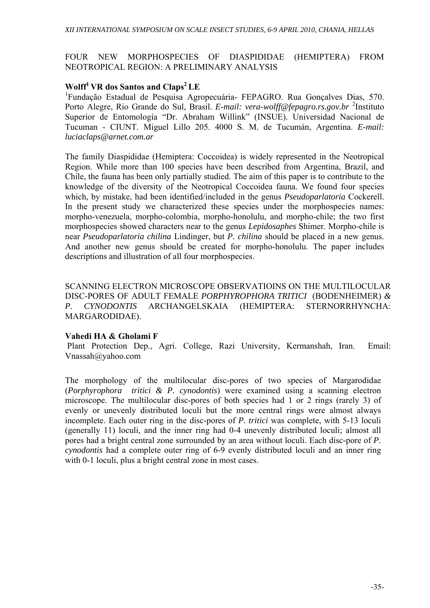# FOUR NEW MORPHOSPECIES OF DIASPIDIDAE (HEMIPTERA) FROM NEOTROPICAL REGION: A PRELIMINARY ANALYSIS

# **Wolff1 VR dos Santos and Claps2 LE**

<sup>1</sup>Fundação Estadual de Pesquisa Agropecuária- FEPAGRO. Rua Gonçalves Dias, 570. Porto Alegre, Rio Grande do Sul, Brasil. *E-mail: vera-wolff@fepagro.rs.gov.br* <sup>2</sup> Instituto Superior de Entomología "Dr. Abraham Willink" (INSUE). Universidad Nacional de Tucuman - CIUNT. Miguel Lillo 205. 4000 S. M. de Tucumán, Argentina. *E-mail: luciaclaps@arnet.com.ar*

The family Diaspididae (Hemiptera: Coccoidea) is widely represented in the Neotropical Region. While more than 100 species have been described from Argentina, Brazil, and Chile, the fauna has been only partially studied. The aim of this paper is to contribute to the knowledge of the diversity of the Neotropical Coccoidea fauna. We found four species which, by mistake, had been identified/included in the genus *Pseudoparlatoria* Cockerell. In the present study we characterized these species under the morphospecies names: morpho-venezuela, morpho-colombia, morpho-honolulu, and morpho-chile; the two first morphospecies showed characters near to the genus *Lepidosaphes* Shimer. Morpho-chile is near *Pseudoparlatoria chilina* Lindinger, but *P. chilina* should be placed in a new genus. And another new genus should be created for morpho-honolulu. The paper includes descriptions and illustration of all four morphospecies.

SCANNING ELECTRON MICROSCOPE OBSERVATIOINS ON THE MULTILOCULAR DISC-PORES OF ADULT FEMALE *PORPHYROPHORA TRITICI* (BODENHEIMER) *& P. CYNODONTIS* ARCHANGELSKAIA (HEMIPTERA: STERNORRHYNCHA: MARGARODIDAE).

### **Vahedi HA & Gholami F**

 Plant Protection Dep., Agri. College, Razi University, Kermanshah, Iran. Email: Vnassah@yahoo.com

The morphology of the multilocular disc-pores of two species of Margarodidae (*Porphyrophora tritici & P. cynodontis*) were examined using a scanning electron microscope. The multilocular disc-pores of both species had 1 or 2 rings (rarely 3) of evenly or unevenly distributed loculi but the more central rings were almost always incomplete. Each outer ring in the disc-pores of *P. tritici* was complete, with 5-13 loculi (generally 11) loculi, and the inner ring had 0-4 unevenly distributed loculi; almost all pores had a bright central zone surrounded by an area without loculi. Each disc-pore of *P. cynodontis* had a complete outer ring of 6-9 evenly distributed loculi and an inner ring with 0-1 loculi, plus a bright central zone in most cases.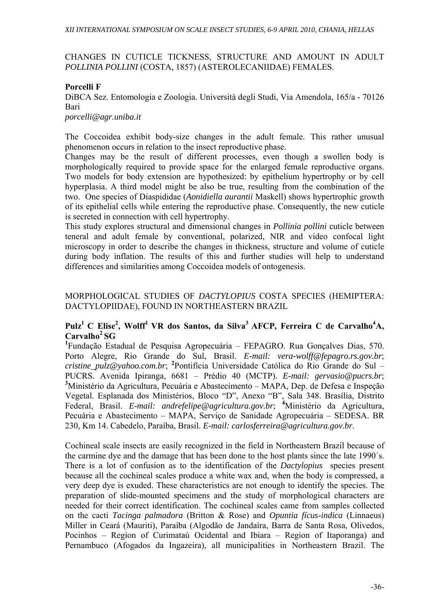### CHANGES IN CUTICLE TICKNESS, STRUCTURE AND AMOUNT IN ADULT *POLLINIA POLLINI* (COSTA, 1857) (ASTEROLECANIIDAE) FEMALES.

### **Porcelli F**

DiBCA Sez. Entomologia e Zoologia. Università degli Studi, Via Amendola, 165/a - 70126 Bari

#### *porcelli@agr.uniba.it*

The Coccoidea exhibit body-size changes in the adult female. This rather unusual phenomenon occurs in relation to the insect reproductive phase.

Changes may be the result of different processes, even though a swollen body is morphologically required to provide space for the enlarged female reproductive organs. Two models for body extension are hypothesized: by epithelium hypertrophy or by cell hyperplasia. A third model might be also be true, resulting from the combination of the two. One species of Diaspididae (*Aonidiella aurantii* Maskell) shows hypertrophic growth of its epithelial cells while entering the reproductive phase. Consequently, the new cuticle is secreted in connection with cell hypertrophy.

This study explores structural and dimensional changes in *Pollinia pollini* cuticle between teneral and adult female by conventional, polarized, NIR and video confocal light microscopy in order to describe the changes in thickness, structure and volume of cuticle during body inflation. The results of this and further studies will help to understand differences and similarities among Coccoidea models of ontogenesis.

# MORPHOLOGICAL STUDIES OF *DACTYLOPIUS* COSTA SPECIES (HEMIPTERA: DACTYLOPIIDAE), FOUND IN NORTHEASTERN BRAZIL

# $\mathbf{Pulz}^1 \gets \mathbf{Elise}^2, \mathbf{Wolff}^1 \ \mathbf{VR} \ \textbf{dos Santos, da Silva}^3 \ \mathbf{AFCP, Ferreira C de Carvalho}^4 \mathbf{A,}$ **Carvalho2 SG**

**1** Fundação Estadual de Pesquisa Agropecuária – FEPAGRO. Rua Gonçalves Dias, 570. Porto Alegre, Rio Grande do Sul, Brasil. *E-mail: vera-wolff@fepagro.rs.gov.br*; *cristine\_pulz@yahoo.com.br*; **<sup>2</sup>** Pontifícia Universidade Católica do Rio Grande do Sul – PUCRS. Avenida Ipiranga, 6681 – Prédio 40 (MCTP). *E-mail: gervasio@pucrs.br*; **3** Ministério da Agricultura, Pecuária e Abastecimento – MAPA, Dep. de Defesa e Inspeção Vegetal. Esplanada dos Ministérios, Bloco "D", Anexo "B", Sala 348. Brasília, Distrito Federal, Brasil. *E-mail: andrefelipe@agricultura.gov.br*; **<sup>4</sup>** Ministério da Agricultura, Pecuária e Abastecimento – MAPA, Serviço de Sanidade Agropecuária – SEDESA. BR 230, Km 14. Cabedelo, Paraíba, Brasil. *E-mail: carlosferreira@agricultura.gov.br*.

Cochineal scale insects are easily recognized in the field in Northeastern Brazil because of the carmine dye and the damage that has been done to the host plants since the late 1990´s. There is a lot of confusion as to the identification of the *Dactylopius* species present because all the cochineal scales produce a white wax and, when the body is compressed, a very deep dye is exuded. These characteristics are not enough to identify the species. The preparation of slide-mounted specimens and the study of morphological characters are needed for their correct identification. The cochineal scales came from samples collected on the cacti *Tacinga palmadora* (Britton & Rose) and *Opuntia fícus-indica* (Linnaeus) Miller in Ceará (Mauriti), Paraíba (Algodão de Jandaíra, Barra de Santa Rosa, Olivedos, Pocinhos – Region of Curimataú Ocidental and Ibiara – Region of Itaporanga) and Pernambuco (Afogados da Ingazeira), all municipalities in Northeastern Brazil. The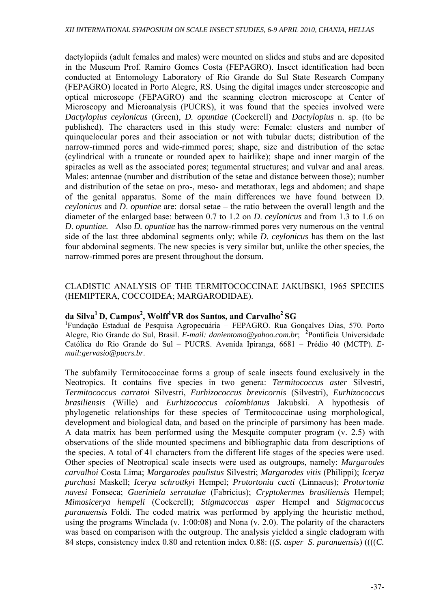dactylopiids (adult females and males) were mounted on slides and stubs and are deposited in the Museum Prof. Ramiro Gomes Costa (FEPAGRO). Insect identification had been conducted at Entomology Laboratory of Rio Grande do Sul State Research Company (FEPAGRO) located in Porto Alegre, RS. Using the digital images under stereoscopic and optical microscope (FEPAGRO) and the scanning electron microscope at Center of Microscopy and Microanalysis (PUCRS), it was found that the species involved were *Dactylopius ceylonicus* (Green), *D. opuntiae* (Cockerell) and *Dactylopius* n. sp. (to be published). The characters used in this study were: Female: clusters and number of quinquelocular pores and their association or not with tubular ducts; distribution of the narrow-rimmed pores and wide-rimmed pores; shape, size and distribution of the setae (cylindrical with a truncate or rounded apex to hairlike); shape and inner margin of the spiracles as well as the associated pores; tegumental structures; and vulvar and anal areas. Males: antennae (number and distribution of the setae and distance between those); number and distribution of the setae on pro-, meso- and metathorax, legs and abdomen; and shape of the genital apparatus. Some of the main differences we have found between D. *ceylonicus* and *D*. *opuntiae* are: dorsal setae – the ratio between the overall length and the diameter of the enlarged base: between 0.7 to 1.2 on *D*. *ceylonicus* and from 1.3 to 1.6 on *D*. *opuntiae.* Also *D. opuntiae* has the narrow-rimmed pores very numerous on the ventral side of the last three abdominal segments only; while *D*. *ceylonicus* has them on the last four abdominal segments. The new species is very similar but, unlike the other species, the narrow-rimmed pores are present throughout the dorsum.

## CLADISTIC ANALYSIS OF THE TERMITOCOCCINAE JAKUBSKI, 1965 SPECIES (HEMIPTERA, COCCOIDEA; MARGARODIDAE).

## **da Silva1 D, Campos2 , Wolff1 VR dos Santos, and Carvalho2 SG**

1 Fundação Estadual de Pesquisa Agropecuária – FEPAGRO. Rua Gonçalves Dias, 570. Porto Alegre, Rio Grande do Sul, Brasil. *E-mail: danientomo@yahoo.com.br*; **<sup>2</sup>** Pontifícia Universidade Católica do Rio Grande do Sul – PUCRS. Avenida Ipiranga, 6681 – Prédio 40 (MCTP). *Email:gervasio@pucrs.br*.

The subfamily Termitococcinae forms a group of scale insects found exclusively in the Neotropics. It contains five species in two genera: *Termitococcus aster* Silvestri, *Termitococcus carratoi* Silvestri, *Eurhizococcus brevicornis* (Silvestri), *Eurhizococcus brasiliensis* (Wille) and *Eurhizococcus colombianus* Jakubski. A hypothesis of phylogenetic relationships for these species of Termitococcinae using morphological, development and biological data, and based on the principle of parsimony has been made. A data matrix has been performed using the Mesquite computer program (v. 2.5) with observations of the slide mounted specimens and bibliographic data from descriptions of the species. A total of 41 characters from the different life stages of the species were used. Other species of Neotropical scale insects were used as outgroups, namely: *Margarodes carvalhoi* Costa Lima; *Margarodes paulistus* Silvestri; *Margarodes vitis* (Philippi); *Icerya purchasi* Maskell; *Icerya schrottkyi* Hempel; *Protortonia cacti* (Linnaeus); *Protortonia navesi* Fonseca; *Gueriniela serratulae* (Fabricius); *Cryptokermes brasiliensis* Hempel; *Mimosicerya hempeli* (Cockerell); *Stigmacoccus asper* Hempel and *Stigmacoccus paranaensis* Foldi. The coded matrix was performed by applying the heuristic method, using the programs Winclada (v. 1:00:08) and Nona (v. 2.0). The polarity of the characters was based on comparison with the outgroup. The analysis yielded a single cladogram with 84 steps, consistency index 0.80 and retention index 0.88: ((*S. asper S. paranaensis*) ((((*C.*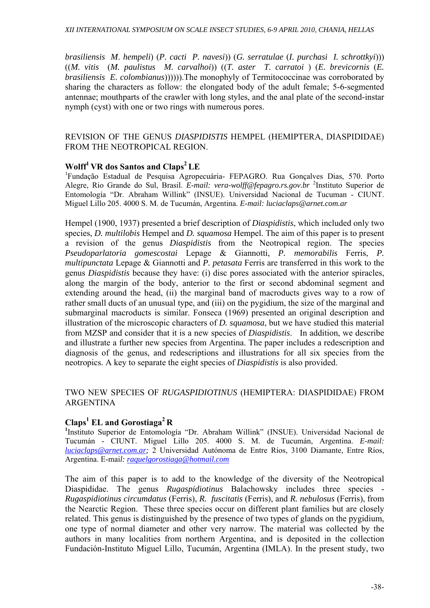*brasiliensis M*. *hempeli*) (*P. cacti P. navesi*)) (*G. serratulae* (*I. purchasi I. schrottkyi*))) ((*M. vitis* (*M. paulistus M. carvalhoi*)) ((*T. aster T. carratoi* ) (*E. brevicornis* (*E. brasiliensis E. colombianus*)))))).The monophyly of Termitococcinae was corroborated by sharing the characters as follow: the elongated body of the adult female; 5-6-segmented antennae; mouthparts of the crawler with long styles, and the anal plate of the second-instar nymph (cyst) with one or two rings with numerous pores.

#### REVISION OF THE GENUS *DIASPIDISTIS* HEMPEL (HEMIPTERA, DIASPIDIDAE) FROM THE NEOTROPICAL REGION.

#### **Wolff<sup>1</sup> VR dos Santos and Claps<sup>2</sup> LE**

<sup>1</sup>Fundação Estadual de Pesquisa Agropecuária- FEPAGRO. Rua Gonçalves Dias, 570. Porto Alegre, Rio Grande do Sul, Brasil. *E-mail: vera-wolff@fepagro.rs.gov.br* <sup>2</sup> Instituto Superior de Entomología "Dr. Abraham Willink" (INSUE). Universidad Nacional de Tucuman - CIUNT. Miguel Lillo 205. 4000 S. M. de Tucumán, Argentina. *E-mail: luciaclaps@arnet.com.ar* 

Hempel (1900, 1937) presented a brief description of *Diaspidistis*, which included only two species, *D. multilobis* Hempel and *D. squamosa* Hempel. The aim of this paper is to present a revision of the genus *Diaspidistis* from the Neotropical region. The species *Pseudoparlatoria gomescostai* Lepage & Giannotti, *P. memorabilis* Ferris, *P. multipunctata* Lepage & Giannotti and *P. petasata* Ferris are transferred in this work to the genus *Diaspidistis* because they have: (i) disc pores associated with the anterior spiracles, along the margin of the body, anterior to the first or second abdominal segment and extending around the head, (ii) the marginal band of macroducts gives way to a row of rather small ducts of an unusual type, and (iii) on the pygidium, the size of the marginal and submarginal macroducts is similar. Fonseca (1969) presented an original description and illustration of the microscopic characters of *D. squamosa*, but we have studied this material from MZSP and consider that it is a new species of *Diaspidistis*. In addition, we describe and illustrate a further new species from Argentina. The paper includes a redescription and diagnosis of the genus, and redescriptions and illustrations for all six species from the neotropics. A key to separate the eight species of *Diaspidistis* is also provided.

### TWO NEW SPECIES OF *RUGASPIDIOTINUS* (HEMIPTERA: DIASPIDIDAE) FROM ARGENTINA

## **Claps<sup>1</sup> EL and Gorostiaga2 R**

<sup>1</sup>Instituto Superior de Entomología "Dr. Abraham Willink" (INSUE). Universidad Nacional de Tucumán - CIUNT. Miguel Lillo 205. 4000 S. M. de Tucumán, Argentina. *E-mail: luciaclaps@arnet.com.ar;* 2 Universidad Autónoma de Entre Ríos, 3100 Diamante, Entre Ríos, Argentina. E-mai*l: raquelgorostiaga@hotmail.com*

The aim of this paper is to add to the knowledge of the diversity of the Neotropical Diaspididae. The genus *Rugaspidiotinus* Balachowsky includes three species - *Rugaspidiotinus circumdatus* (Ferris), *R. fuscitatis* (Ferris), and *R. nebulosus* (Ferris), from the Nearctic Region. These three species occur on different plant families but are closely related. This genus is distinguished by the presence of two types of glands on the pygidium, one type of normal diameter and other very narrow. The material was collected by the authors in many localities from northern Argentina, and is deposited in the collection Fundación-Instituto Miguel Lillo, Tucumán, Argentina (IMLA). In the present study, two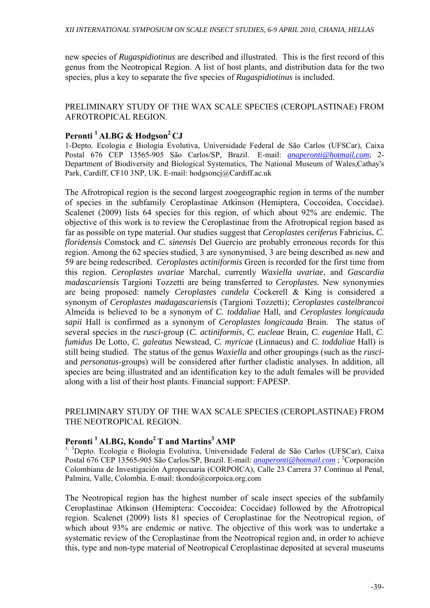new species of *Rugaspidiotinus* are described and illustrated. This is the first record of this genus from the Neotropical Region. A list of host plants, and distribution data for the two species, plus a key to separate the five species of *Rugaspidiotinus* is included.

## PRELIMINARY STUDY OF THE WAX SCALE SPECIES (CEROPLASTINAE) FROM AFROTROPICAL REGION.

## Peronti <sup>1</sup> ALBG & Hodgson<sup>2</sup> CJ

1-Depto. Ecologia e Biologia Evolutiva, Universidade Federal de São Carlos (UFSCar), Caixa Postal 676 CEP 13565-905 São Carlos/SP, Brazil. E-mail: *anaperonti@hotmail.com*; 2- Department of Biodiversity and Biological Systematics, The National Museum of Wales,Cathay's Park, Cardiff, CF10 3NP, UK. E-mail: hodgsoncj@Cardiff.ac.uk

The Afrotropical region is the second largest zoogeographic region in terms of the number of species in the subfamily Ceroplastinae Atkinson (Hemiptera, Coccoidea, Coccidae). Scalenet (2009) lists 64 species for this region, of which about 92% are endemic. The objective of this work is to review the Ceroplastinae from the Afrotropical region based as far as possible on type material. Our studies suggest that *Ceroplastes ceriferus* Fabricius, *C. floridensis* Comstock and *C. sinensis* Del Guercio are probably erroneous records for this region. Among the 62 species studied, 3 are synonymised, 3 are being described as new and 59 are being redescribed. *Ceroplastes actiniformis* Green is recorded for the first time from this region. *Ceroplastes uvariae* Marchal, currently *Waxiella uvariae*, and *Gascardia madascariensis* Targioni Tozzetti are being transferred to *Ceroplastes*. New synonymies are being proposed: namely *Ceroplastes candela* Cockerell & King is considered a synonym of *Ceroplastes madagascariensis* (Targioni Tozzetti); *Ceroplastes castelbrancoi* Almeida is believed to be a synonym of *C. toddaliae* Hall, and *Ceroplastes longicauda sapii* Hall is confirmed as a synonym of *Ceroplastes longicauda* Brain. The status of several species in the *rusci*-group (*C. actiniformis*, *C. eucleae* Brain, *C. eugeniae* Hall, *C. fumidus* De Lotto, *C. galeatus* Newstead, *C. myricae* (Linnaeus) and *C. toddaliae* Hall) is still being studied. The status of the genus *Waxiella* and other groupings (such as the *rusci*and *personatus*-groups) will be considered after further cladistic analyses. In addition, all species are being illustrated and an identification key to the adult females will be provided along with a list of their host plants. Financial support: FAPESP.

## PRELIMINARY STUDY OF THE WAX SCALE SPECIES (CEROPLASTINAE) FROM THE NEOTROPICAL REGION.

## Peronti <sup>1</sup> ALBG, Kondo<sup>2</sup> T and Martins<sup>3</sup> AMP

<sup>1, 3</sup>Depto. Ecologia e Biologia Evolutiva, Universidade Federal de São Carlos (UFSCar), Caixa Postal 676 CEP 13565-905 São Carlos/SP, Brazil. E-mail: *anaperonti@hotmail.com*; <sup>2</sup>Corporación Colombiana de Investigación Agropecuaria (CORPOICA), Calle 23 Carrera 37 Continuo al Penal, Palmira, Valle, Colombia. E-mail: tkondo@corpoica.org.com

The Neotropical region has the highest number of scale insect species of the subfamily Ceroplastinae Atkinson (Hemiptera: Coccoidea: Coccidae) followed by the Afrotropical region. Scalenet (2009) lists 81 species of Ceroplastinae for the Neotropical region, of which about 93% are endemic or native. The objective of this work was to undertake a systematic review of the Ceroplastinae from the Neotropical region and, in order to achieve this, type and non-type material of Neotropical Ceroplastinae deposited at several museums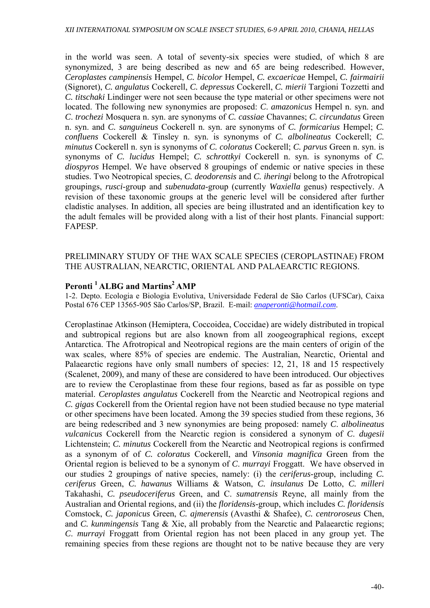in the world was seen. A total of seventy-six species were studied, of which 8 are synonymized, 3 are being described as new and 65 are being redescribed. However, *Ceroplastes campinensis* Hempel, *C. bicolor* Hempel, *C. excaericae* Hempel, *C. fairmairii* (Signoret), *C. angulatus* Cockerell, *C. depressus* Cockerell, *C. mierii* Targioni Tozzetti and *C. titschaki* Lindinger were not seen because the type material or other specimens were not located. The following new synonymies are proposed: *C*. *amazonicus* Hempel n. syn. and *C*. *trochezi* Mosquera n. syn. are synonyms of *C. cassiae* Chavannes; *C. circundatus* Green n. syn. and *C. sanguineus* Cockerell n. syn. are synonyms of *C. formicarius* Hempel; *C. confluens* Cockerell & Tinsley n. syn. is synonyms of *C. albolineatus* Cockerell; *C. minutus* Cockerell n. syn is synonyms of *C. coloratus* Cockerell; *C. parvus* Green n. syn. is synonyms of *C. lucidus* Hempel; *C. schrottkyi* Cockerell n. syn. is synonyms of *C. diospyros* Hempel. We have observed 8 groupings of endemic or native species in these studies. Two Neotropical species, *C. deodorensis* and *C. iheringi* belong to the Afrotropical groupings, *rusci*-group and *subenudata*-group (currently *Waxiella* genus) respectively. A revision of these taxonomic groups at the generic level will be considered after further cladistic analyses. In addition, all species are being illustrated and an identification key to the adult females will be provided along with a list of their host plants. Financial support: FAPESP.

### PRELIMINARY STUDY OF THE WAX SCALE SPECIES (CEROPLASTINAE) FROM THE AUSTRALIAN, NEARCTIC, ORIENTAL AND PALAEARCTIC REGIONS.

## Peronti <sup>1</sup> ALBG and Martins<sup>2</sup> AMP

1-2. Depto. Ecologia e Biologia Evolutiva, Universidade Federal de São Carlos (UFSCar), Caixa Postal 676 CEP 13565-905 São Carlos/SP, Brazil. E-mail: *anaperonti@hotmail.com*.

Ceroplastinae Atkinson (Hemiptera, Coccoidea, Coccidae) are widely distributed in tropical and subtropical regions but are also known from all zoogeographical regions, except Antarctica. The Afrotropical and Neotropical regions are the main centers of origin of the wax scales, where 85% of species are endemic. The Australian, Nearctic, Oriental and Palaearctic regions have only small numbers of species: 12, 21, 18 and 15 respectively (Scalenet, 2009), and many of these are considered to have been introduced. Our objectives are to review the Ceroplastinae from these four regions, based as far as possible on type material. *Ceroplastes angulatus* Cockerell from the Nearctic and Neotropical regions and *C. gigas* Cockerell from the Oriental region have not been studied because no type material or other specimens have been located. Among the 39 species studied from these regions, 36 are being redescribed and 3 new synonymies are being proposed: namely *C*. *albolineatus vulcanicus* Cockerell from the Nearctic region is considered a synonym of *C*. *dugesii* Lichtenstein; *C. minutus* Cockerell from the Nearctic and Neotropical regions is confirmed as a synonym of of *C. coloratus* Cockerell, and *Vinsonia magnifica* Green from the Oriental region is believed to be a synonym of *C*. *murrayi* Froggatt. We have observed in our studies 2 groupings of native species, namely: (i) the *ceriferus*-group, including *C. ceriferus* Green, *C. hawanus* Williams & Watson, *C. insulanus* De Lotto, *C. milleri*  Takahashi, *C. pseudoceriferus* Green, and C. *sumatrensis* Reyne, all mainly from the Australian and Oriental regions, and (ii) the *floridensis*-group, which includes *C. floridensis*  Comstock, *C. japonicus* Green, *C. ajmerensis* (Avasthi & Shafee), *C. centroroseus* Chen, and *C. kunmingensis* Tang & Xie, all probably from the Nearctic and Palaearctic regions; *C*. *murrayi* Froggatt from Oriental region has not been placed in any group yet. The remaining species from these regions are thought not to be native because they are very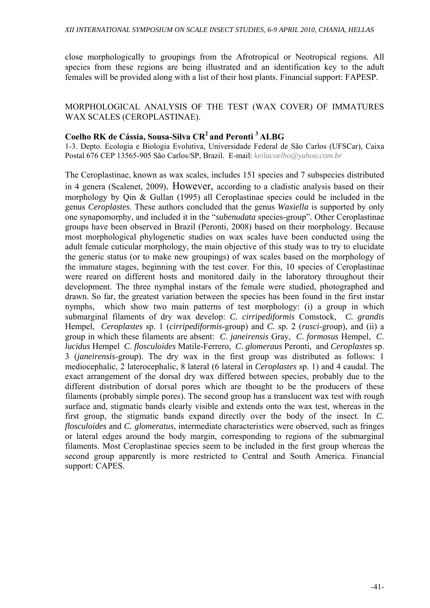close morphologically to groupings from the Afrotropical or Neotropical regions. All species from these regions are being illustrated and an identification key to the adult females will be provided along with a list of their host plants. Financial support: FAPESP.

## MORPHOLOGICAL ANALYSIS OF THE TEST (WAX COVER) OF IMMATURES WAX SCALES (CEROPLASTINAE).

## **Coelho RK de Cássia, Sousa-Silva CR2 and Peronti 3 ALBG**

1-3. Depto. Ecologia e Biologia Evolutiva, Universidade Federal de São Carlos (UFSCar), Caixa Postal 676 CEP 13565-905 São Carlos/SP, Brazil. E-mail: *keilacoelho@yahoo.com.br*

The Ceroplastinae, known as wax scales, includes 151 species and 7 subspecies distributed in 4 genera (Scalenet, 2009). However, according to a cladistic analysis based on their morphology by Qin & Gullan (1995) all Ceroplastinae species could be included in the genus *Ceroplastes*. These authors concluded that the genus *Waxiella* is supported by only one synapomorphy, and included it in the "*subenudata* species-group"*.* Other Ceroplastinae groups have been observed in Brazil (Peronti, 2008) based on their morphology. Because most morphological phylogenetic studies on wax scales have been conducted using the adult female cuticular morphology, the main objective of this study was to try to elucidate the generic status (or to make new groupings) of wax scales based on the morphology of the immature stages, beginning with the test cover. For this, 10 species of Ceroplastinae were reared on different hosts and monitored daily in the laboratory throughout their development. The three nymphal instars of the female were studied, photographed and drawn. So far, the greatest variation between the species has been found in the first instar nymphs, which show two main patterns of test morphology: (i) a group in which submarginal filaments of dry wax develop: *C. cirripediformis* Comstock, *C. grandis*  Hempel, *Ceroplastes* sp. 1 (*cirripediformis*-group) and *C.* sp. 2 (*rusci*-group), and (ii) a group in which these filaments are absent: *C*. *janeirensis* Gray, *C*. *formosus* Hempel, *C*. *lucidus* Hempel *C*. *flosculoides* Matile-Ferrero, *C*. *glomeraus* Peronti, and *Ceroplastes* sp. 3 (*janeirensis*-group). The dry wax in the first group was distributed as follows: 1 mediocephalic, 2 laterocephalic, 8 lateral (6 lateral in *Ceroplastes* sp. 1) and 4 caudal. The exact arrangement of the dorsal dry wax differed between species, probably due to the different distribution of dorsal pores which are thought to be the producers of these filaments (probably simple pores). The second group has a translucent wax test with rough surface and, stigmatic bands clearly visible and extends onto the wax test, whereas in the first group, the stigmatic bands expand directly over the body of the insect. In *C. flosculoides* and *C. glomeratus*, intermediate characteristics were observed, such as fringes or lateral edges around the body margin, corresponding to regions of the submarginal filaments. Most Ceroplastinae species seem to be included in the first group whereas the second group apparently is more restricted to Central and South America. Financial support: CAPES.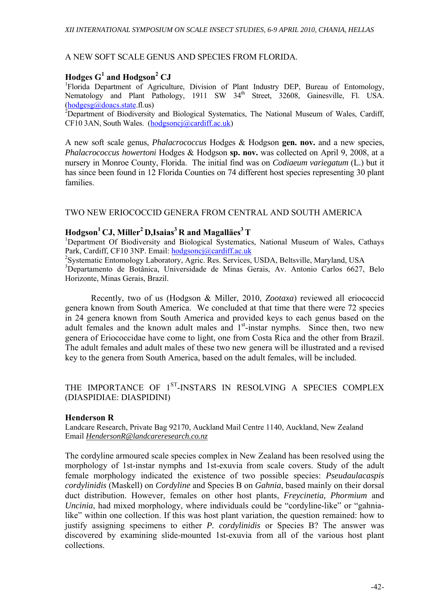#### A NEW SOFT SCALE GENUS AND SPECIES FROM FLORIDA.

## $H$ odges  $G^1$  and  $H$ odgson<sup>2</sup> CJ

<sup>1</sup>Florida Department of Agriculture, Division of Plant Industry DEP, Bureau of Entomology, Nematology and Plant Pathology, 1911 SW 34<sup>th</sup> Street, 32608, Gainesville, Fl. USA.  $(hodgesg@doacs.state.fl.us)$ 

<sup>2</sup>Department of Biodiversity and Biological Systematics, The National Museum of Wales, Cardiff, CF10 3AN, South Wales. (hodgsoncj@cardiff.ac.uk)

A new soft scale genus, *Phalacrococcus* Hodges & Hodgson **gen. nov.** and a new species, *Phalacrococcus howertoni* Hodges & Hodgson **sp. nov.** was collected on April 9, 2008, at a nursery in Monroe County, Florida. The initial find was on *Codiaeum variegatum* (L.) but it has since been found in 12 Florida Counties on 74 different host species representing 30 plant families.

#### TWO NEW ERIOCOCCID GENERA FROM CENTRAL AND SOUTH AMERICA

#### $H$ odgson<sup>1</sup> CJ, Miller<sup>2</sup> D,Isaias<sup>3</sup> R and Magalläes<sup>3</sup> T

<sup>1</sup>Department Of Biodiversity and Biological Systematics, National Museum of Wales, Cathays Park, Cardiff, CF10 3NP. Email: hodgsoncj@cardiff.ac.uk

2 Systematic Entomology Laboratory, Agric. Res. Services, USDA, Beltsville, Maryland, USA 3 Departamento de Botânica, Universidade de Minas Gerais, Av. Antonio Carlos 6627, Belo Horizonte, Minas Gerais, Brazil.

Recently, two of us (Hodgson & Miller, 2010, *Zootaxa*) reviewed all eriococcid genera known from South America. We concluded at that time that there were 72 species in 24 genera known from South America and provided keys to each genus based on the adult females and the known adult males and  $1<sup>st</sup>$ -instar nymphs. Since then, two new genera of Eriococcidae have come to light, one from Costa Rica and the other from Brazil. The adult females and adult males of these two new genera will be illustrated and a revised key to the genera from South America, based on the adult females, will be included.

## THE IMPORTANCE OF 1<sup>ST</sup>-INSTARS IN RESOLVING A SPECIES COMPLEX (DIASPIDIAE: DIASPIDINI)

#### **Henderson R**

Landcare Research, Private Bag 92170, Auckland Mail Centre 1140, Auckland, New Zealand Email *HendersonR@landcareresearch.co.nz*

The cordyline armoured scale species complex in New Zealand has been resolved using the morphology of 1st-instar nymphs and 1st-exuvia from scale covers. Study of the adult female morphology indicated the existence of two possible species: *Pseudaulacaspis cordylinidis* (Maskell) on *Cordyline* and Species B on *Gahnia*, based mainly on their dorsal duct distribution. However, females on other host plants, *Freycinetia, Phormium* and *Uncinia*, had mixed morphology, where individuals could be "cordyline-like" or "gahnialike" within one collection. If this was host plant variation, the question remained: how to justify assigning specimens to either *P. cordylinidis* or Species B? The answer was discovered by examining slide-mounted 1st-exuvia from all of the various host plant collections.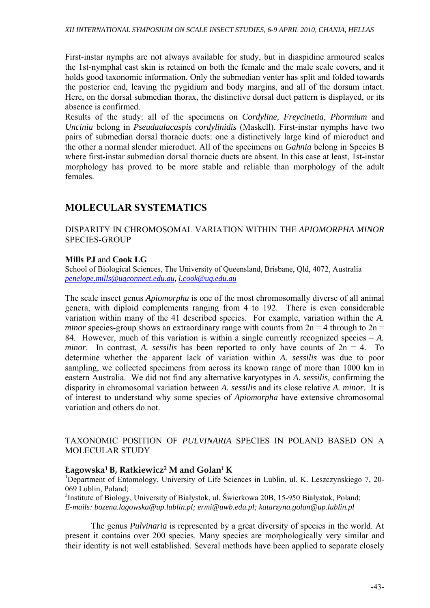First-instar nymphs are not always available for study, but in diaspidine armoured scales the 1st-nymphal cast skin is retained on both the female and the male scale covers, and it holds good taxonomic information. Only the submedian venter has split and folded towards the posterior end, leaving the pygidium and body margins, and all of the dorsum intact. Here, on the dorsal submedian thorax, the distinctive dorsal duct pattern is displayed, or its absence is confirmed.

Results of the study: all of the specimens on *Cordyline, Freycinetia*, *Phormium* and *Uncinia* belong in *Pseudaulacaspis cordylinidis* (Maskell). First-instar nymphs have two pairs of submedian dorsal thoracic ducts: one a distinctively large kind of microduct and the other a normal slender microduct. All of the specimens on *Gahnia* belong in Species B where first-instar submedian dorsal thoracic ducts are absent. In this case at least, 1st-instar morphology has proved to be more stable and reliable than morphology of the adult females.

## **MOLECULAR SYSTEMATICS**

### DISPARITY IN CHROMOSOMAL VARIATION WITHIN THE *APIOMORPHA MINOR*  SPECIES-GROUP

## **Mills PJ** and **Cook LG**

School of Biological Sciences, The University of Queensland, Brisbane, Qld, 4072, Australia *penelope.mills@uqconnect.edu.au, l.cook@uq.edu.au*

The scale insect genus *Apiomorpha* is one of the most chromosomally diverse of all animal genera, with diploid complements ranging from 4 to 192. There is even considerable variation within many of the 41 described species. For example, variation within the *A. minor* species-group shows an extraordinary range with counts from  $2n = 4$  through to  $2n =$ 84. However, much of this variation is within a single currently recognized species – *A. minor.* In contrast, *A. sessilis* has been reported to only have counts of  $2n = 4$ . To determine whether the apparent lack of variation within *A. sessilis* was due to poor sampling, we collected specimens from across its known range of more than 1000 km in eastern Australia. We did not find any alternative karyotypes in *A. sessilis*, confirming the disparity in chromosomal variation between *A. sessilis* and its close relative *A. minor*. It is of interest to understand why some species of *Apiomorpha* have extensive chromosomal variation and others do not.

### TAXONOMIC POSITION OF *PULVINARIA* SPECIES IN POLAND BASED ON A MOLECULAR STUDY

#### **Łagowska1 B, Ratkiewicz2 M and Golan1 K**

<sup>1</sup>Department of Entomology, University of Life Sciences in Lublin, ul. K. Leszczynskiego 7, 20-069 Lublin, Poland;

<sup>2</sup>Institute of Biology, University of Białystok, ul. Świerkowa 20B, 15-950 Białystok, Poland; *E-mails: bozena.lagowska@up.lublin.pl; ermi@uwb.edu.pl; katarzyna.golan@up.lublin.pl*

 The genus *Pulvinaria* is represented by a great diversity of species in the world. At present it contains over 200 species. Many species are morphologically very similar and their identity is not well established. Several methods have been applied to separate closely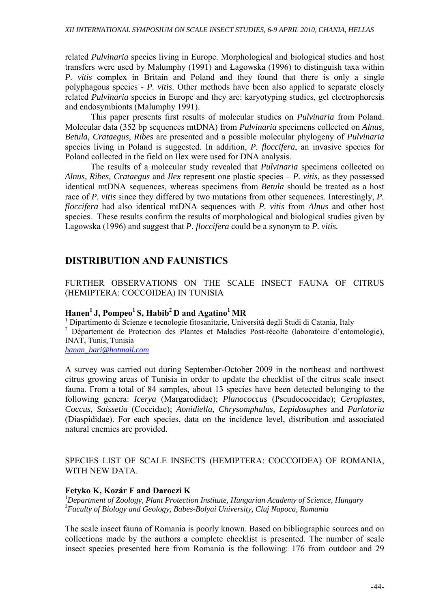related *Pulvinaria* species living in Europe. Morphological and biological studies and host transfers were used by Malumphy (1991) and Łagowska (1996) to distinguish taxa within *P. vitis* complex in Britain and Poland and they found that there is only a single polyphagous species - *P. vitis*. Other methods have been also applied to separate closely related *Pulvinaria* species in Europe and they are: karyotyping studies, gel electrophoresis and endosymbionts (Malumphy 1991).

 This paper presents first results of molecular studies on *Pulvinaria* from Poland. Molecular data (352 bp sequences mtDNA) from *Pulvinaria* specimens collected on *Alnus, Betula, Crataegus, Ribes* are presented and a possible molecular phylogeny of *Pulvinaria* species living in Poland is suggested. In addition, *P. floccifera*, an invasive species for Poland collected in the field on Ilex were used for DNA analysis.

The results of a molecular study revealed that *Pulvinaria* specimens collected on *Alnus, Ribes, Crataegus* and *Ilex* represent one plastic species – *P. vitis*, as they possessed identical mtDNA sequences, whereas specimens from *Betula* should be treated as a host race of *P. vitis* since they differed by two mutations from other sequences. Interestingly, *P. floccifera* had also identical mtDNA sequences with *P. vitis* from *Alnus* and other host species. These results confirm the results of morphological and biological studies given by Lagowska (1996) and suggest that *P. floccifera* could be a synonym to *P. vitis.*

## **DISTRIBUTION AND FAUNISTICS**

FURTHER OBSERVATIONS ON THE SCALE INSECT FAUNA OF CITRUS (HEMIPTERA: COCCOIDEA) IN TUNISIA

## Hanen<sup>1</sup> J, Pompeo<sup>1</sup> S, Habib<sup>2</sup> D and Agatino<sup>1</sup> MR

1 Dipartimento di Scienze e tecnologie fitosanitarie, Università degli Studi di Catania, Italy

<sup>2</sup> Département de Protection des Plantes et Maladies Post-récolte (laboratoire d'entomologie), INAT, Tunis, Tunisia

*hanan\_bari@hotmail.com*

A survey was carried out during September-October 2009 in the northeast and northwest citrus growing areas of Tunisia in order to update the checklist of the citrus scale insect fauna. From a total of 84 samples, about 13 species have been detected belonging to the following genera: *Icerya* (Margarodidae); *Planococcus* (Pseudococcidae); *Ceroplastes*, *Coccus, Saissetia* (Coccidae); *Aonidiella*, *Chrysomphalus, Lepidosaphes* and *Parlatoria*  (Diaspididae). For each species, data on the incidence level, distribution and associated natural enemies are provided.

## SPECIES LIST OF SCALE INSECTS (HEMIPTERA: COCCOIDEA) OF ROMANIA, WITH NEW DATA.

## **Fetyko K, Kozár F and Daroczi K**

<sup>1</sup>Department of Zoology, Plant Protection Institute, Hungarian Academy of Science, Hungary 2 *Faculty of Biology and Geology, Babes-Bolyai University, Cluj Napoca, Romania* 

The scale insect fauna of Romania is poorly known. Based on bibliographic sources and on collections made by the authors a complete checklist is presented. The number of scale insect species presented here from Romania is the following: 176 from outdoor and 29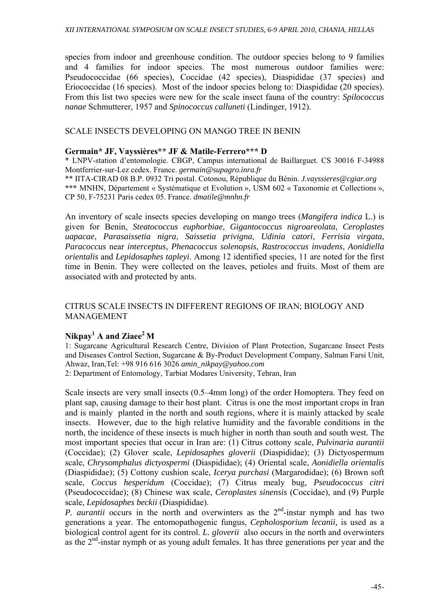species from indoor and greenhouse condition. The outdoor species belong to 9 families and 4 families for indoor species. The most numerous outdoor families were: Pseudococcidae (66 species), Coccidae (42 species), Diaspididae (37 species) and Eriococcidae (16 species). Most of the indoor species belong to: Diaspididae (20 species). From this list two species were new for the scale insect fauna of the country: *Spilococcus nanae* Schmutterer, 1957 and *Spinococcus calluneti* (Lindinger, 1912).

## SCALE INSECTS DEVELOPING ON MANGO TREE IN BENIN

#### **Germain\* JF, Vayssières\*\* JF & Matile-Ferrero\*\*\* D**

\* LNPV-station d'entomologie. CBGP, Campus international de Baillarguet. CS 30016 F-34988 Montferrier-sur-Lez cedex. France. *germain@supagro.inra.fr*

\*\* IITA-CIRAD 08 B.P. 0932 Tri postal. Cotonou, République du Bénin. *J.vayssieres@cgiar.org*  **\*\*\*** MNHN, Département « Systématique et Evolution », USM 602 « Taxonomie et Collections », CP 50, F-75231 Paris cedex 05. France. *dmatile@mnhn.fr*

An inventory of scale insects species developing on mango trees (*Mangifera indica* L.) is given for Benin, *Steatococcus euphorbiae*, *Gigantococcus nigroareolata*, *Ceroplastes uapacae*, *Parasaissetia nigra*, *Saissetia privigna*, *Udinia catori*, *Ferrisia virgata*, *Paracoccus* near *interceptus*, *Phenacoccus solenopsis*, *Rastrococcus invadens*, *Aonidiella orientalis* and *Lepidosaphes tapleyi*. Among 12 identified species, 11 are noted for the first time in Benin. They were collected on the leaves, petioles and fruits. Most of them are associated with and protected by ants.

## CITRUS SCALE INSECTS IN DIFFERENT REGIONS OF IRAN; BIOLOGY AND MANAGEMENT

## **Nikpay<sup>1</sup> A and Ziaee2 M**

1: Sugarcane Agricultural Research Centre, Division of Plant Protection, Sugarcane Insect Pests and Diseases Control Section, Sugarcane & By-Product Development Company, Salman Farsi Unit, Ahwaz, Iran,Tel: +98 916 616 3026 *amin\_nikpay@yahoo.com*

2: Department of Entomology, Tarbiat Modares University, Tehran, Iran

Scale insects are very small insects (0.5–4mm long) of the order Homoptera. They feed on plant sap, causing damage to their host plant. Citrus is one the most important crops in Iran and is mainly planted in the north and south regions, where it is mainly attacked by scale insects. However, due to the high relative humidity and the favorable conditions in the north, the incidence of these insects is much higher in north than south and south west. The most important species that occur in Iran are: (1) Citrus cottony scale, *Pulvinaria aurantii* (Coccidae); (2) Glover scale, *Lepidosaphes gloverii* (Diaspididae); (3) Dictyospermum scale, *Chrysomphalus dictyospermi* (Diaspididae); (4) Oriental scale, *Aonidiella orientalis* (Diaspididae); (5) Cottony cushion scale, *Icerya purchasi* (Margarodidae); (6) Brown soft scale, *Coccus hesperidum* (Coccidae); (7) Citrus mealy bug, *Pseudococcus citri* (Pseudococcidae); (8) Chinese wax scale, *Ceroplastes sinensis* (Coccidae), and (9) Purple scale, *Lepidosaphes beckii* (Diaspididae).

*P. aurantii* occurs in the north and overwinters as the 2<sup>nd</sup>-instar nymph and has two generations a year. The entomopathogenic fungus, *Cepholosporium lecanii,* is used as a biological control agent for its control. *L. gloverii* also occurs in the north and overwinters as the  $2<sup>nd</sup>$ -instar nymph or as young adult females. It has three generations per year and the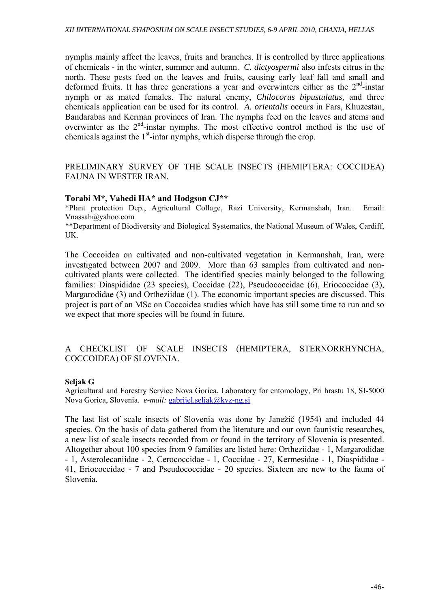nymphs mainly affect the leaves, fruits and branches. It is controlled by three applications of chemicals - in the winter, summer and autumn. *C. dictyospermi* also infests citrus in the north. These pests feed on the leaves and fruits, causing early leaf fall and small and deformed fruits. It has three generations a year and overwinters either as the  $2<sup>nd</sup>$ -instar nymph or as mated females. The natural enemy, *Chilocorus bipustulatus,* and three chemicals application can be used for its control. *A. orientalis* occurs in Fars, Khuzestan, Bandarabas and Kerman provinces of Iran. The nymphs feed on the leaves and stems and overwinter as the  $2<sup>nd</sup>$ -instar nymphs. The most effective control method is the use of chemicals against the  $1<sup>st</sup>$ -intar nymphs, which disperse through the crop.

## PRELIMINARY SURVEY OF THE SCALE INSECTS (HEMIPTERA: COCCIDEA) FAUNA IN WESTER IRAN.

### **Torabi M\*, Vahedi HA\* and Hodgson CJ\*\***

\*Plant protection Dep., Agricultural Collage, Razi University, Kermanshah, Iran. Email: Vnassah@yahoo.com

\*\*Department of Biodiversity and Biological Systematics, the National Museum of Wales, Cardiff, UK.

The Coccoidea on cultivated and non-cultivated vegetation in Kermanshah, Iran, were investigated between 2007 and 2009. More than 63 samples from cultivated and noncultivated plants were collected. The identified species mainly belonged to the following families: Diaspididae (23 species), Coccidae (22), Pseudococcidae (6), Eriococcidae (3), Margarodidae (3) and Ortheziidae (1). The economic important species are discussed. This project is part of an MSc on Coccoidea studies which have has still some time to run and so we expect that more species will be found in future.

## A CHECKLIST OF SCALE INSECTS (HEMIPTERA, STERNORRHYNCHA, COCCOIDEA) OF SLOVENIA.

#### **Seljak G**

Agricultural and Forestry Service Nova Gorica, Laboratory for entomology, Pri hrastu 18, SI-5000 Nova Gorica, Slovenia. *e-mail: gabrijel.seljak@kvz-ng.si* 

The last list of scale insects of Slovenia was done by Janežič (1954) and included 44 species. On the basis of data gathered from the literature and our own faunistic researches, a new list of scale insects recorded from or found in the territory of Slovenia is presented. Altogether about 100 species from 9 families are listed here: Ortheziidae - 1, Margarodidae - 1, Asterolecaniidae - 2, Cerococcidae - 1, Coccidae - 27, Kermesidae - 1, Diaspididae - 41, Eriococcidae - 7 and Pseudococcidae - 20 species. Sixteen are new to the fauna of Slovenia.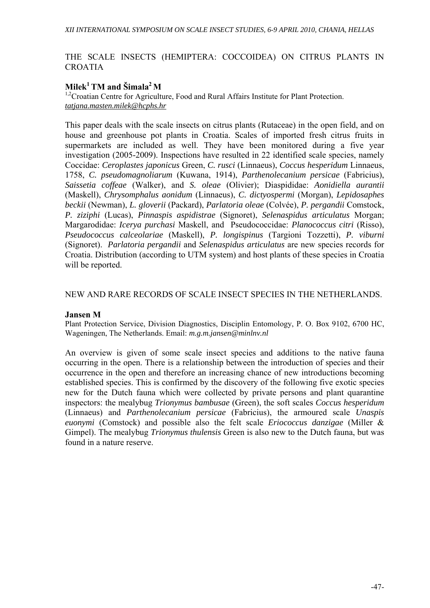#### THE SCALE INSECTS (HEMIPTERA: COCCOIDEA) ON CITRUS PLANTS IN CROATIA

## $Milek<sup>1</sup> TM$  and  $\widetilde{S}$ *imala*<sup>2</sup> M

<sup>1,2</sup>Croatian Centre for Agriculture, Food and Rural Affairs Institute for Plant Protection. *tatjana.masten.milek@hcphs.hr*

This paper deals with the scale insects on citrus plants (Rutaceae) in the open field, and on house and greenhouse pot plants in Croatia. Scales of imported fresh citrus fruits in supermarkets are included as well. They have been monitored during a five year investigation (2005-2009). Inspections have resulted in 22 identified scale species, namely Coccidae: *Ceroplastes japonicus* Green, *C. rusci* (Linnaeus), *Coccus hesperidum* Linnaeus, 1758, *C. pseudomagnoliarum* (Kuwana, 1914), *Parthenolecanium persicae* (Fabricius), *Saissetia coffeae* (Walker), and *S. oleae* (Olivier); Diaspididae: *Aonidiella aurantii*  (Maskell), *Chrysomphalus aonidum* (Linnaeus), *C. dictyospermi* (Morgan), *Lepidosaphes beckii* (Newman), *L. gloverii* (Packard), *Parlatoria oleae* (Colvée), *P. pergandii* Comstock, *P. ziziphi* (Lucas), *Pinnaspis aspidistrae* (Signoret), *Selenaspidus articulatus* Morgan; Margarodidae: *Icerya purchasi* Maskell, and Pseudococcidae: *Planococcus citri* (Risso), *Pseudococcus calceolariae* (Maskell), *P. longispinus* (Targioni Tozzetti), *P. viburni*  (Signoret). *Parlatoria pergandii* and *Selenaspidus articulatus* are new species records for Croatia. Distribution (according to UTM system) and host plants of these species in Croatia will be reported.

#### NEW AND RARE RECORDS OF SCALE INSECT SPECIES IN THE NETHERLANDS.

#### **Jansen M**

Plant Protection Service, Division Diagnostics, Disciplin Entomology, P. O. Box 9102, 6700 HC, Wageningen, The Netherlands. Email: *m.g.m.jansen@minlnv.nl*

An overview is given of some scale insect species and additions to the native fauna occurring in the open. There is a relationship between the introduction of species and their occurrence in the open and therefore an increasing chance of new introductions becoming established species. This is confirmed by the discovery of the following five exotic species new for the Dutch fauna which were collected by private persons and plant quarantine inspectors: the mealybug *Trionymus bambusae* (Green), the soft scales *Coccus hesperidum* (Linnaeus) and *Parthenolecanium persicae* (Fabricius), the armoured scale *Unaspis euonymi* (Comstock) and possible also the felt scale *Eriococcus danzigae* (Miller & Gimpel). The mealybug *Trionymus thulensis* Green is also new to the Dutch fauna, but was found in a nature reserve.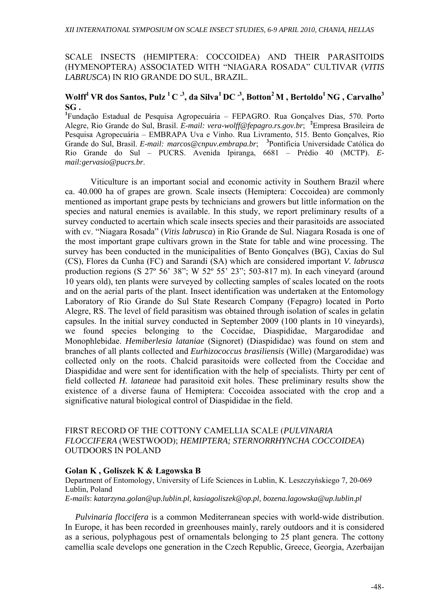### SCALE INSECTS (HEMIPTERA: COCCOIDEA) AND THEIR PARASITOIDS (HYMENOPTERA) ASSOCIATED WITH "NIAGARA ROSADA" CULTIVAR (*VITIS LABRUSCA*) IN RIO GRANDE DO SUL, BRAZIL.

## Wolff<sup>1</sup> VR dos Santos, Pulz<sup>1</sup> C<sup>3</sup>, da Silva<sup>1</sup> DC<sup>3</sup>, Botton<sup>2</sup> M, Bertoldo<sup>1</sup> NG, Carvalho<sup>3</sup> **SG .**

**1** Fundação Estadual de Pesquisa Agropecuária – FEPAGRO. Rua Gonçalves Dias, 570. Porto Alegre, Rio Grande do Sul, Brasil. *E-mail: vera-wolff@fepagro.rs.gov.br*; **<sup>2</sup>** Empresa Brasileira de Pesquisa Agropecuária – EMBRAPA Uva e Vinho. Rua Livramento, 515. Bento Gonçalves, Rio Grande do Sul, Brasil. *E-mail: marcos@cnpuv.embrapa.br*;**<sup>3</sup>** Pontifícia Universidade Católica do Rio Grande do Sul – PUCRS. Avenida Ipiranga, 6681 – Prédio 40 (MCTP). *Email:gervasio@pucrs.br*.

Viticulture is an important social and economic activity in Southern Brazil where ca. 40.000 ha of grapes are grown. Scale insects (Hemiptera: Coccoidea) are commonly mentioned as important grape pests by technicians and growers but little information on the species and natural enemies is available. In this study, we report preliminary results of a survey conducted to acertain which scale insects species and their parasitoids are associated with cv. "Niagara Rosada" (*Vitis labrusca*) in Rio Grande de Sul. Niagara Rosada is one of the most important grape cultivars grown in the State for table and wine processing. The survey has been conducted in the municipalities of Bento Gonçalves (BG), Caxias do Sul (CS), Flores da Cunha (FC) and Sarandi (SA) which are considered important *V. labrusca* production regions (S 27º 56' 38"; W 52º 55' 23"; 503-817 m). In each vineyard (around 10 years old), ten plants were surveyed by collecting samples of scales located on the roots and on the aerial parts of the plant. Insect identification was undertaken at the Entomology Laboratory of Rio Grande do Sul State Research Company (Fepagro) located in Porto Alegre, RS. The level of field parasitism was obtained through isolation of scales in gelatin capsules. In the initial survey conducted in September 2009 (100 plants in 10 vineyards), we found species belonging to the Coccidae, Diaspididae, Margarodidae and Monophlebidae. *Hemiberlesia lataniae* (Signoret) (Diaspididae) was found on stem and branches of all plants collected and *Eurhizococcus brasiliensis* (Wille) (Margarodidae) was collected only on the roots. Chalcid parasitoids were collected from the Coccidae and Diaspididae and were sent for identification with the help of specialists. Thirty per cent of field collected *H. lataneae* had parasitoid exit holes. These preliminary results show the existence of a diverse fauna of Hemiptera: Coccoidea associated with the crop and a significative natural biological control of Diaspididae in the field.

#### FIRST RECORD OF THE COTTONY CAMELLIA SCALE (*PULVINARIA FLOCCIFERA* (WESTWOOD); *HEMIPTERA; STERNORRHYNCHA COCCOIDEA*) OUTDOORS IN POLAND

#### **Golan K , Goliszek K & Łagowska B**

Department of Entomology, University of Life Sciences in Lublin, K. Leszczyńskiego 7, 20-069 Lublin, Poland *E-mails*: *katarzyna.golan@up.lublin.pl*, *kasiagoliszek@op.pl*, *bozena.lagowska@up.lublin.pl* 

*Pulvinaria floccifera* is a common Mediterranean species with world-wide distribution. In Europe, it has been recorded in greenhouses mainly, rarely outdoors and it is considered as a serious, polyphagous pest of ornamentals belonging to 25 plant genera. The cottony camellia scale develops one generation in the Czech Republic, Greece, Georgia, Azerbaijan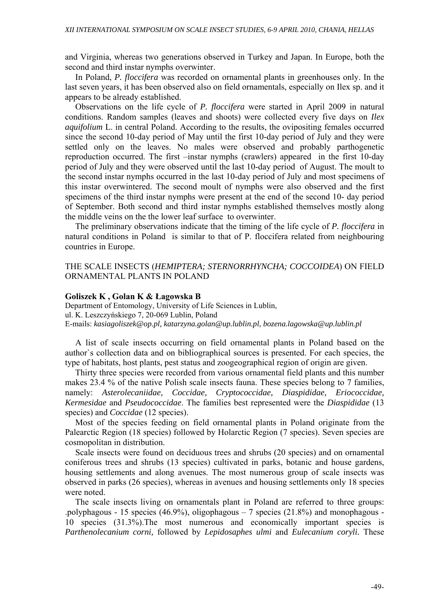and Virginia, whereas two generations observed in Turkey and Japan. In Europe, both the second and third instar nymphs overwinter.

In Poland, *P. floccifera* was recorded on ornamental plants in greenhouses only. In the last seven years, it has been observed also on field ornamentals, especially on Ilex sp. and it appears to be already established.

Observations on the life cycle of *P. floccifera* were started in April 2009 in natural conditions. Random samples (leaves and shoots) were collected every five days on *Ilex aquifolium* L. in central Poland. According to the results, the ovipositing females occurred since the second 10-day period of May until the first 10-day period of July and they were settled only on the leaves. No males were observed and probably parthogenetic reproduction occurred. The first –instar nymphs (crawlers) appeared in the first 10-day period of July and they were observed until the last 10-day period of August. The moult to the second instar nymphs occurred in the last 10-day period of July and most specimens of this instar overwintered. The second moult of nymphs were also observed and the first specimens of the third instar nymphs were present at the end of the second 10- day period of September. Both second and third instar nymphs established themselves mostly along the middle veins on the the lower leaf surface to overwinter.

The preliminary observations indicate that the timing of the life cycle of *P. floccifera* in natural conditions in Poland is similar to that of P. floccifera related from neighbouring countries in Europe.

#### THE SCALE INSECTS (*HEMIPTERA; STERNORRHYNCHA; COCCOIDEA*) ON FIELD ORNAMENTAL PLANTS IN POLAND

#### **Goliszek K , Golan K & Łagowska B**

Department of Entomology, University of Life Sciences in Lublin, ul. K. Leszczyńskiego 7, 20-069 Lublin, Poland E-mails: *kasiagoliszek@op.pl, katarzyna.golan@up.lublin.pl*, *bozena.lagowska@up.lublin.pl*

A list of scale insects occurring on field ornamental plants in Poland based on the author`s collection data and on bibliographical sources is presented. For each species, the type of habitats, host plants, pest status and zoogeographical region of origin are given.

Thirty three species were recorded from various ornamental field plants and this number makes 23.4 % of the native Polish scale insects fauna. These species belong to 7 families, namely: *Asterolecaniidae, Coccidae, Cryptococcidae, Diaspididae, Eriococcidae, Kermesidae* and *Pseudococcidae*. The families best represented were the *Diaspididae* (13 species) and *Coccidae* (12 species).

Most of the species feeding on field ornamental plants in Poland originate from the Palearctic Region (18 species) followed by Holarctic Region (7 species). Seven species are cosmopolitan in distribution.

Scale insects were found on deciduous trees and shrubs (20 species) and on ornamental coniferous trees and shrubs (13 species) cultivated in parks, botanic and house gardens, housing settlements and along avenues. The most numerous group of scale insects was observed in parks (26 species), whereas in avenues and housing settlements only 18 species were noted.

The scale insects living on ornamentals plant in Poland are referred to three groups: .polyphagous - 15 species (46.9%), oligophagous – 7 species (21.8%) and monophagous - 10 species (31.3%).The most numerous and economically important species is *Parthenolecanium corni,* followed by *Lepidosaphes ulmi* and *Eulecanium coryli.* These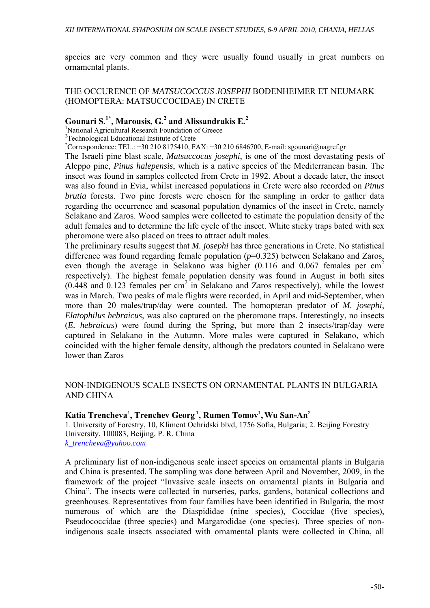species are very common and they were usually found usually in great numbers on ornamental plants.

ΤΗΕ OCCURENCE OF *MATSUCOCCUS JOSEPHI* BODENHEIMER ET NEUMARK (HOMOPTERA: MATSUCCOCIDAE) IN CRETE

## **Gounari S.1\*, Marousis, G.2 and Alissandrakis E.<sup>2</sup>**

<sup>1</sup>National Agricultural Research Foundation of Greece

<sup>2</sup>Technological Educational Institute of Crete

\* Correspondence: TEL.: +30 210 8175410, FAX: +30 210 6846700, E-mail: sgounari@nagref.gr

The Israeli pine blast scale, *Matsuccocus josephi*, is one of the most devastating pests of Aleppo pine, *Pinus halepensis*, which is a native species of the Mediterranean basin. The insect was found in samples collected from Crete in 1992. About a decade later, the insect was also found in Evia, whilst increased populations in Crete were also recorded on *Pinus brutia* forests. Two pine forests were chosen for the sampling in order to gather data regarding the occurrence and seasonal population dynamics of the insect in Crete, namely Selakano and Zaros. Wood samples were collected to estimate the population density of the adult females and to determine the life cycle of the insect. White sticky traps bated with sex pheromone were also placed on trees to attract adult males.

The preliminary results suggest that *M. josephi* has three generations in Crete. No statistical difference was found regarding female population ( $p=0.325$ ) between Selakano and Zaros, even though the average in Selakano was higher  $(0.116$  and  $0.067$  females per cm<sup>2</sup> respectively). The highest female population density was found in August in both sites  $(0.448$  and  $0.123$  females per cm<sup>2</sup> in Selakano and Zaros respectively), while the lowest was in March. Two peaks of male flights were recorded, in April and mid-September, when more than 20 males/trap/day were counted. The homopteran predator of *M. josephi*, *Elatophilus hebraicus*, was also captured on the pheromone traps. Interestingly, no insects (*E. hebraicus*) were found during the Spring, but more than 2 insects/trap/day were captured in Selakano in the Autumn. More males were captured in Selakano, which coincided with the higher female density, although the predators counted in Selakano were lower than Zaros

### NON-INDIGENOUS SCALE INSECTS ON ORNAMENTAL PLANTS IN BULGARIA AND CHINA

#### **Katia Trencheva**<sup>1</sup> **, Trenchev Georg**<sup>1</sup>**, Rumen Tomov**<sup>1</sup> **,Wu San-An**<sup>2</sup>

1. University of Forestry, 10, Kliment Ochridski blvd, 1756 Sofia, Bulgaria; 2. Beijing Forestry University, 100083, Beijing, P. R. China *k\_trencheva@yahoo.com*

A preliminary list of non-indigenous scale insect species on ornamental plants in Bulgaria and China is presented. The sampling was done between April and November, 2009, in the framework of the project "Invasive scale insects on ornamental plants in Bulgaria and China". The insects were collected in nurseries, parks, gardens, botanical collections and greenhouses. Representatives from four families have been identified in Bulgaria, the most numerous of which are the Diaspididae (nine species), Coccidae (five species), Pseudococcidae (three species) and Margarodidae (one species). Three species of nonindigenous scale insects associated with ornamental plants were collected in China, all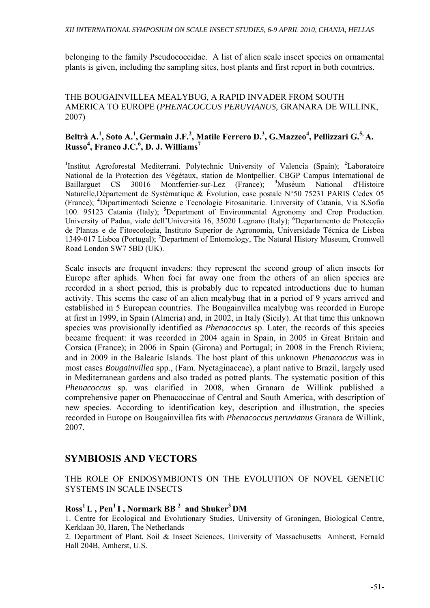belonging to the family Pseudococcidae. A list of alien scale insect species on ornamental plants is given, including the sampling sites, host plants and first report in both countries.

### THE BOUGAINVILLEA MEALYBUG, A RAPID INVADER FROM SOUTH AMERICA TO EUROPE (*PHENACOCCUS PERUVIANUS,* GRANARA DE WILLINK, 2007)

## **Beltrà A.<sup>1</sup> , Soto A.<sup>1</sup> , Germain J.F.<sup>2</sup> , Matile Ferrero D.<sup>3</sup> , G.Mazzeo<sup>4</sup> , Pellizzari G.5, A. Russo4 , Franco J.C.6 , D. J. Williams<sup>7</sup>**

<sup>1</sup>Institut Agroforestal Mediterrani. Polytechnic University of Valencia (Spain); <sup>2</sup>Laboratoire National de la Protection des Végétaux, station de Montpellier. CBGP Campus International de Baillarguet CS 30016 Montferrier-sur-Lez (France); **<sup>3</sup>** Muséum National d'Histoire Naturelle,Département de Systématique & Évolution, case postale N°50 75231 PARIS Cedex 05 (France); **<sup>4</sup>** Dipartimentodi Scienze e Tecnologie Fitosanitarie. University of Catania, Via S.Sofia 100. 95123 Catania (Italy); **<sup>5</sup>** Department of Environmental Agronomy and Crop Production. University of Padua, viale dell'Università 16, 35020 Legnaro (Italy); **<sup>6</sup>** Departamento de Protecção de Plantas e de Fitoecologia, Instituto Superior de Agronomia, Universidade Técnica de Lisboa 1349-017 Lisboa (Portugal); **<sup>7</sup>** Department of Entomology, The Natural History Museum, Cromwell Road London SW7 5BD (UK).

Scale insects are frequent invaders: they represent the second group of alien insects for Europe after aphids. When foci far away one from the others of an alien species are recorded in a short period, this is probably due to repeated introductions due to human activity. This seems the case of an alien mealybug that in a period of 9 years arrived and established in 5 European countries. The Bougainvillea mealybug was recorded in Europe at first in 1999, in Spain (Almeria) and, in 2002, in Italy (Sicily). At that time this unknown species was provisionally identified as *Phenacoccus* sp. Later, the records of this species became frequent: it was recorded in 2004 again in Spain, in 2005 in Great Britain and Corsica (France); in 2006 in Spain (Girona) and Portugal; in 2008 in the French Riviera; and in 2009 in the Balearic Islands. The host plant of this unknown *Phenacoccus* was in most cases *Bougainvillea* spp., (Fam. Nyctaginaceae), a plant native to Brazil, largely used in Mediterranean gardens and also traded as potted plants. The systematic position of this *Phenacoccus* sp. was clarified in 2008, when Granara de Willink published a comprehensive paper on Phenacoccinae of Central and South America, with description of new species. According to identification key, description and illustration, the species recorded in Europe on Bougainvillea fits with *Phenacoccus peruvianus* Granara de Willink, 2007.

## **SYMBIOSIS AND VECTORS**

### THE ROLE OF ENDOSYMBIONTS ON THE EVOLUTION OF NOVEL GENETIC SYSTEMS IN SCALE INSECTS

## **Ross1 L , Pen1 I , Normark BB 2 and Shuker3 DM**

1. Centre for Ecological and Evolutionary Studies, University of Groningen, Biological Centre, Kerklaan 30, Haren, The Netherlands

2. Department of Plant, Soil & Insect Sciences, University of Massachusetts Amherst, Fernald Hall 204B, Amherst, U.S.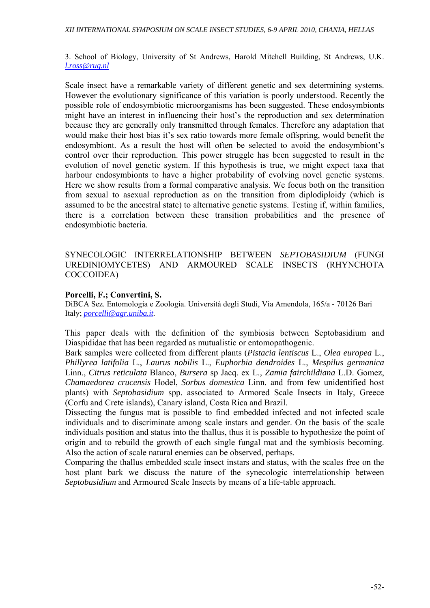3. School of Biology, University of St Andrews, Harold Mitchell Building, St Andrews, U.K. *l.ross@rug.nl*

Scale insect have a remarkable variety of different genetic and sex determining systems. However the evolutionary significance of this variation is poorly understood. Recently the possible role of endosymbiotic microorganisms has been suggested. These endosymbionts might have an interest in influencing their host's the reproduction and sex determination because they are generally only transmitted through females. Therefore any adaptation that would make their host bias it's sex ratio towards more female offspring, would benefit the endosymbiont. As a result the host will often be selected to avoid the endosymbiont's control over their reproduction. This power struggle has been suggested to result in the evolution of novel genetic system. If this hypothesis is true, we might expect taxa that harbour endosymbionts to have a higher probability of evolving novel genetic systems. Here we show results from a formal comparative analysis. We focus both on the transition from sexual to asexual reproduction as on the transition from diplodiploidy (which is assumed to be the ancestral state) to alternative genetic systems. Testing if, within families, there is a correlation between these transition probabilities and the presence of endosymbiotic bacteria.

### SYNECOLOGIC INTERRELATIONSHIP BETWEEN *SEPTOBASIDIUM* (FUNGI UREDINIOMYCETES) AND ARMOURED SCALE INSECTS (RHYNCHOTA COCCOIDEA)

#### **Porcelli, F.; Convertini, S.**

DiBCA Sez. Entomologia e Zoologia. Università degli Studi, Via Amendola, 165/a - 70126 Bari Italy; *porcelli@agr.uniba.it.* 

This paper deals with the definition of the symbiosis between Septobasidium and Diaspididae that has been regarded as mutualistic or entomopathogenic.

Bark samples were collected from different plants (*Pistacia lentiscus* L., *Olea europea* L., *Phillyrea latifolia* L., *Laurus nobilis* L., *Euphorbia dendroides* L., *Mespilus germanica* Linn., *Citrus reticulata* Blanco, *Bursera* sp Jacq. ex L.*, Zamia fairchildiana* L.D. Gomez, *Chamaedorea crucensis* Hodel, *Sorbus domestica* Linn. and from few unidentified host plants) with *Septobasidium* spp. associated to Armored Scale Insects in Italy, Greece (Corfu and Crete islands), Canary island, Costa Rica and Brazil.

Dissecting the fungus mat is possible to find embedded infected and not infected scale individuals and to discriminate among scale instars and gender. On the basis of the scale individuals position and status into the thallus, thus it is possible to hypothesize the point of origin and to rebuild the growth of each single fungal mat and the symbiosis becoming. Also the action of scale natural enemies can be observed, perhaps.

Comparing the thallus embedded scale insect instars and status, with the scales free on the host plant bark we discuss the nature of the synecologic interrelationship between *Septobasidium* and Armoured Scale Insects by means of a life-table approach.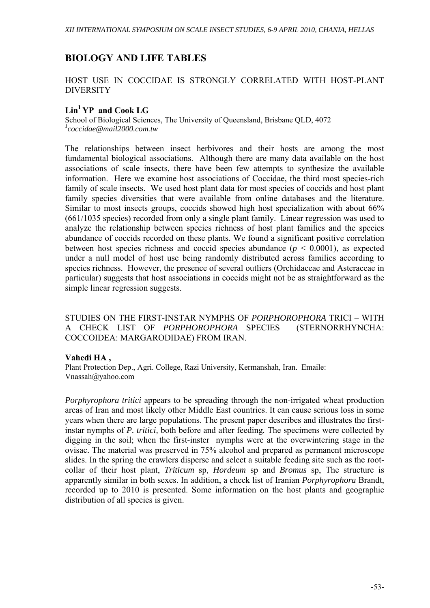## **BIOLOGY AND LIFE TABLES**

### HOST USE IN COCCIDAE IS STRONGLY CORRELATED WITH HOST-PLANT DIVERSITY

## **Lin1 YP and Cook LG**

School of Biological Sciences, The University of Queensland, Brisbane QLD, 4072 *1 coccidae@mail2000.com.tw* 

The relationships between insect herbivores and their hosts are among the most fundamental biological associations. Although there are many data available on the host associations of scale insects, there have been few attempts to synthesize the available information. Here we examine host associations of Coccidae, the third most species-rich family of scale insects. We used host plant data for most species of coccids and host plant family species diversities that were available from online databases and the literature. Similar to most insects groups, coccids showed high host specialization with about 66% (661/1035 species) recorded from only a single plant family. Linear regression was used to analyze the relationship between species richness of host plant families and the species abundance of coccids recorded on these plants. We found a significant positive correlation between host species richness and coccid species abundance  $(p < 0.0001)$ , as expected under a null model of host use being randomly distributed across families according to species richness. However, the presence of several outliers (Orchidaceae and Asteraceae in particular) suggests that host associations in coccids might not be as straightforward as the simple linear regression suggests.

STUDIES ON THE FIRST-INSTAR NYMPHS OF *PORPHOROPHORA* TRICI – WITH A CHECK LIST OF *PORPHOROPHORA* SPECIES (STERNORRHYNCHA: COCCOIDEA: MARGARODIDAE) FROM IRAN.

#### **Vahedi HA ,**

Plant Protection Dep., Agri. College, Razi University, Kermanshah, Iran. Emaile: Vnassah@yahoo.com

*Porphyrophora tritici* appears to be spreading through the non-irrigated wheat production areas of Iran and most likely other Middle East countries. It can cause serious loss in some years when there are large populations. The present paper describes and illustrates the firstinstar nymphs of *P. tritici,* both before and after feeding*.* The specimens were collected by digging in the soil; when the first-inster nymphs were at the overwintering stage in the ovisac. The material was preserved in 75% alcohol and prepared as permanent microscope slides. In the spring the crawlers disperse and select a suitable feeding site such as the rootcollar of their host plant, *Triticum* sp, *Hordeum* sp and *Bromus* sp, The structure is apparently similar in both sexes. In addition, a check list of Iranian *Porphyrophora* Brandt, recorded up to 2010 is presented. Some information on the host plants and geographic distribution of all species is given.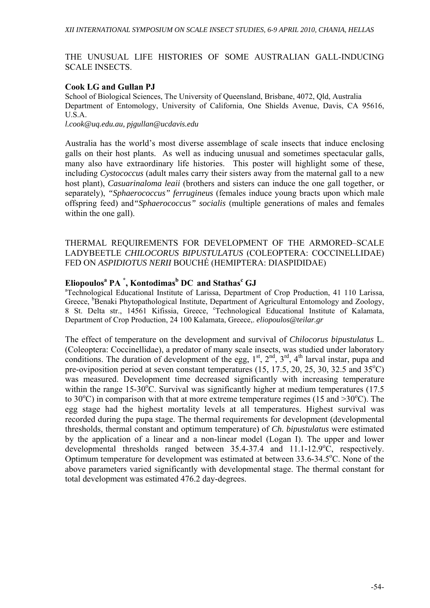#### THE UNUSUAL LIFE HISTORIES OF SOME AUSTRALIAN GALL-INDUCING SCALE INSECTS.

### **Cook LG and Gullan PJ**

School of Biological Sciences, The University of Queensland, Brisbane, 4072, Qld, Australia Department of Entomology, University of California, One Shields Avenue, Davis, CA 95616, U.S.A.

*l.cook@uq.edu.au, pjgullan@ucdavis.edu* 

Australia has the world's most diverse assemblage of scale insects that induce enclosing galls on their host plants. As well as inducing unusual and sometimes spectacular galls, many also have extraordinary life histories. This poster will highlight some of these, including *Cystococcus* (adult males carry their sisters away from the maternal gall to a new host plant), *Casuarinaloma leaii* (brothers and sisters can induce the one gall together, or separately), *"Sphaerococcus" ferrugineus* (females induce young bracts upon which male offspring feed) and*"Sphaerococcus" socialis* (multiple generations of males and females within the one gall).

THERMAL REQUIREMENTS FOR DEVELOPMENT OF THE ARMORED–SCALE LADYBEETLE *CHILOCORUS BIPUSTULATUS* (COLEOPTERA: COCCINELLIDAE) FED ON *ASPIDIOTUS NERII* BOUCHÉ (HEMIPTERA: DIASPIDIDAE)

# **Eliopoulos<sup>a</sup> PA \* , Kontodimas<sup>b</sup> DC and Stathas<sup>c</sup> GJ** <sup>a</sup>

<sup>a</sup>Technological Educational Institute of Larissa, Department of Crop Production, 41 110 Larissa, Greece, <sup>b</sup>Benaki Phytopathological Institute, Department of Agricultural Entomology and Zoology, 8 St. Delta str., 14561 Kifissia, Greece, 'Technological Educational Institute of Kalamata, Department of Crop Production, 24 100 Kalamata, Greece,. *eliopoulos@teilar.gr*

The effect of temperature on the development and survival of *Chilocorus bipustulatus* L. (Coleoptera: Coccinellidae), a predator of many scale insects, was studied under laboratory conditions. The duration of development of the egg,  $1^{st}$ ,  $2^{nd}$ ,  $3^{rd}$ ,  $4^{th}$  larval instar, pupa and pre-oviposition period at seven constant temperatures  $(15, 17.5, 20, 25, 30, 32.5, \text{and } 35^{\circ}\text{C})$ was measured. Development time decreased significantly with increasing temperature within the range  $15{\text -}30^{\circ}\text{C}$ . Survival was significantly higher at medium temperatures (17.5) to 30 $^{\circ}$ C) in comparison with that at more extreme temperature regimes (15 and >30 $^{\circ}$ C). The egg stage had the highest mortality levels at all temperatures. Highest survival was recorded during the pupa stage. The thermal requirements for development (developmental thresholds, thermal constant and optimum temperature) of *Ch. bipustulatus* were estimated by the application of a linear and a non-linear model (Logan I). The upper and lower developmental thresholds ranged between 35.4-37.4 and 11.1-12.9°C, respectively. Optimum temperature for development was estimated at between  $33.6 - 34.5$ °C. None of the above parameters varied significantly with developmental stage. The thermal constant for total development was estimated 476.2 day-degrees.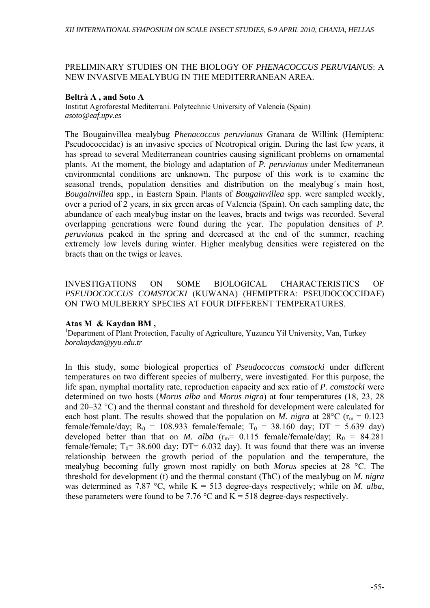### PRELIMINARY STUDIES ON THE BIOLOGY OF *PHENACOCCUS PERUVIANUS*: A NEW INVASIVE MEALYBUG IN THE MEDITERRANEAN AREA.

#### **Beltrà A , and Soto A**

Institut Agroforestal Mediterrani. Polytechnic University of Valencia (Spain) *asoto@eaf.upv.es* 

The Bougainvillea mealybug *Phenacoccus peruvianus* Granara de Willink (Hemiptera: Pseudococcidae) is an invasive species of Neotropical origin. During the last few years, it has spread to several Mediterranean countries causing significant problems on ornamental plants. At the moment, the biology and adaptation of *P. peruvianus* under Mediterranean environmental conditions are unknown. The purpose of this work is to examine the seasonal trends, population densities and distribution on the mealybug´s main host, *Bougainvillea* spp*.*, in Eastern Spain. Plants of *Bougainvillea* spp*.* were sampled weekly, over a period of 2 years, in six green areas of Valencia (Spain). On each sampling date, the abundance of each mealybug instar on the leaves, bracts and twigs was recorded. Several overlapping generations were found during the year. The population densities of *P. peruvianus* peaked in the spring and decreased at the end of the summer, reaching extremely low levels during winter. Higher mealybug densities were registered on the bracts than on the twigs or leaves.

### INVESTIGATIONS ON SOME BIOLOGICAL CHARACTERISTICS OF *PSEUDOCOCCUS COMSTOCKI* (KUWANA) (HEMIPTERA: PSEUDOCOCCIDAE) ON TWO MULBERRY SPECIES AT FOUR DIFFERENT TEMPERATURES.

#### **Atas M & Kaydan BM ,**

<sup>1</sup>Department of Plant Protection, Faculty of Agriculture, Yuzuncu Yil University, Van, Turkey *borakaydan@yyu.edu.tr* 

In this study, some biological properties of *Pseudococcus comstocki* under different temperatures on two different species of mulberry, were investigated. For this purpose, the life span, nymphal mortality rate, reproduction capacity and sex ratio of *P. comstocki* were determined on two hosts (*Morus alba* and *Morus nigra*) at four temperatures (18, 23, 28 and 20–32 °C) and the thermal constant and threshold for development were calculated for each host plant. The results showed that the population on *M. nigra* at 28<sup>o</sup>C ( $r_m = 0.123$ ) female/female/day;  $R_0 = 108.933$  female/female;  $T_0 = 38.160$  day;  $DT = 5.639$  day) developed better than that on *M. alba*  $(r_m= 0.115 \text{ female/female/day}; R_0 = 84.281$ female/female;  $T_0$ = 38.600 day; DT= 6.032 day). It was found that there was an inverse relationship between the growth period of the population and the temperature, the mealybug becoming fully grown most rapidly on both *Morus* species at 28 °C. The threshold for development (t) and the thermal constant (ThC) of the mealybug on *M. nigra*  was determined as 7.87 °C, while K = 513 degree-days respectively; while on *M. alba*, these parameters were found to be 7.76  $\degree$ C and K = 518 degree-days respectively.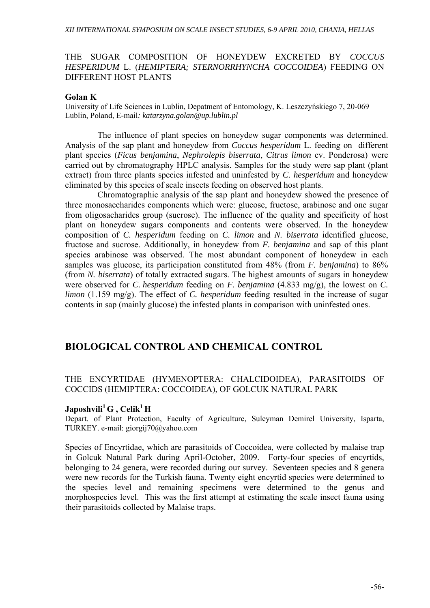#### THE SUGAR COMPOSITION OF HONEYDEW EXCRETED BY *COCCUS HESPERIDUM* L. (*HEMIPTERA; STERNORRHYNCHA COCCOIDEA*) FEEDING ON DIFFERENT HOST PLANTS

#### **Golan K**

University of Life Sciences in Lublin, Depatment of Entomology, K. Leszczyńskiego 7, 20-069 Lublin, Poland, E-mail*: katarzyna.golan@up.lublin.pl* 

 The influence of plant species on honeydew sugar components was determined. Analysis of the sap plant and honeydew from *Coccus hesperidum* L. feeding on different plant species (*Ficus benjamina*, *Nephrolepis biserrata*, *Citrus limon* cv. Ponderosa) were carried out by chromatography HPLC analysis. Samples for the study were sap plant (plant extract) from three plants species infested and uninfested by *C. hesperidum* and honeydew eliminated by this species of scale insects feeding on observed host plants.

 Chromatographic analysis of the sap plant and honeydew showed the presence of three monosaccharides components which were: glucose, fructose, arabinose and one sugar from oligosacharides group (sucrose). The influence of the quality and specificity of host plant on honeydew sugars components and contents were observed. In the honeydew composition of *C. hesperidum* feeding on *C. limon* and *N. biserrata* identified glucose, fructose and sucrose. Additionally, in honeydew from *F. benjamina* and sap of this plant species arabinose was observed. The most abundant component of honeydew in each samples was glucose, its participation constituted from 48% (from *F. benjamina*) to 86% (from *N. biserrata*) of totally extracted sugars. The highest amounts of sugars in honeydew were observed for *C. hesperidum* feeding on *F. benjamina* (4.833 mg/g), the lowest on *C. limon* (1.159 mg/g). The effect of *C. hesperidum* feeding resulted in the increase of sugar contents in sap (mainly glucose) the infested plants in comparison with uninfested ones.

## **BIOLOGICAL CONTROL AND CHEMICAL CONTROL**

## THE ENCYRTIDAE (HYMENOPTERA: CHALCIDOIDEA), PARASITOIDS OF COCCIDS (HEMIPTERA: COCCOIDEA), OF GOLCUK NATURAL PARK

#### $Ja$ poshvili<sup>1</sup> G , Celik<sup>1</sup> H

Depart. of Plant Protection, Faculty of Agriculture, Suleyman Demirel University, Isparta, TURKEY. e-mail: giorgij70@yahoo.com

Species of Encyrtidae, which are parasitoids of Coccoidea, were collected by malaise trap in Golcuk Natural Park during April-October, 2009. Forty-four species of encyrtids, belonging to 24 genera, were recorded during our survey. Seventeen species and 8 genera were new records for the Turkish fauna. Twenty eight encyrtid species were determined to the species level and remaining specimens were determined to the genus and morphospecies level. This was the first attempt at estimating the scale insect fauna using their parasitoids collected by Malaise traps.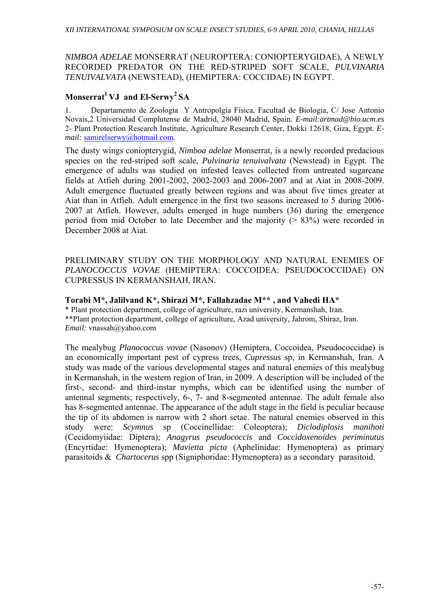## *NIMBOA ADELAE* MONSERRAT (NEUROPTERA: CONIOPTERYGIDAE), A NEWLY RECORDED PREDATOR ON THE RED-STRIPED SOFT SCALE, *PULVINARIA TENUIVALVATA* (NEWSTEAD), (HEMIPTERA: COCCIDAE) IN EGYPT.

## Monserrat<sup>1</sup> VJ and El-Serwy<sup>2</sup> SA

1. Departamento de Zoología Y Antropolgía Física, Facultad de Biologia, C/ Jose Antonio Novais,2 Universidad Complutense de Madrid, 28040 Madrid, Spain. *E-mail:artmad@bio.ucm.es* 2- Plant Protection Research Institute, Agriculture Research Center, Dokki 12618, Giza, Egypt. *Email:* samirelserwy@hotmail.com*.* 

The dusty wings coniopterygid, *Nimboa adelae* Monserrat, is a newly recorded predacious species on the red-striped soft scale, *Pulvinaria tenuivalvata* (Newstead) in Egypt. The emergence of adults was studied on infested leaves collected from untreated sugarcane fields at Atfieh during 2001-2002, 2002-2003 and 2006-2007 and at Aiat in 2008-2009. Adult emergence fluctuated greatly between regions and was about five times greater at Aiat than in Atfieh. Adult emergence in the first two seasons increased to 5 during 2006- 2007 at Atfieh. However, adults emerged in huge numbers (36) during the emergence period from mid October to late December and the majority ( $> 83\%$ ) were recorded in December 2008 at Aiat.

PRELIMINARY STUDY ON THE MORPHOLOGY AND NATURAL ENEMIES OF *PLANOCOCCUS VOVAE* (HEMIPTERA: COCCOIDEA: PSEUDOCOCCIDAE) ON CUPRESSUS IN KERMANSHAH, IRAN.

**Torabi M\*, Jalilvand K\*, Shirazi M\*, Fallahzadae M\*\* , and Vahedi HA\***  \* Plant protection department, college of agriculture, razi university, Kermanshah, Iran. \*\*Plant protection department, college of agriculture, Azad university, Jahrom, Shiraz, Iran. *Email:* vnassah@yahoo.com

The mealybug *Planococcus vovae* (Nasonov) (Hemiptera, Coccoidea, Pseudococcidae) is an economically important pest of cypress trees, *Cupressus* sp, in Kermanshah, Iran. A study was made of the various developmental stages and natural enemies of this mealybug in Kermanshah, in the western region of Iran, in 2009. A description will be included of the first-, second- and third-instar nymphs, which can be identified using the number of antennal segments; respectively, 6-, 7- and 8-segmented antennae. The adult female also has 8-segmented antennae. The appearance of the adult stage in the field is peculiar because the tip of its abdomen is narrow with 2 short setae. The natural enemies observed in this study were: *Scymnus* sp (Coccinellidae: Coleoptera); *Diclodiplosis manihoti* (Cecidomyiidae: Diptera); *Anagyrus pseudococcis* and *Coccidoxenoides periminutus* (Encyrtidae: Hymenoptera); *Mavietta picta* (Aphelinidae: Hymenoptera) as primary parasitoids & *Chartocerus* spp (Signiphoridae: Hymenoptera) as a secondary parasitoid.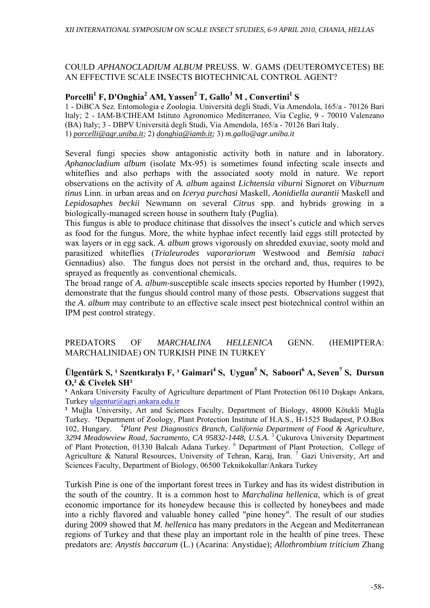## COULD *APHANOCLADIUM ALBUM* PREUSS. W. GAMS (DEUTEROMYCETES) BE AN EFFECTIVE SCALE INSECTS BIOTECHNICAL CONTROL AGENT?

## **Porcelli<sup>1</sup> F, D'Onghia2 AM, Yassen<sup>2</sup> T, Gallo3 M , Convertini<sup>1</sup> S**

1 - DiBCA Sez. Entomologia e Zoologia. Università degli Studi, Via Amendola, 165/a - 70126 Bari Italy; 2 - IAM-B/CIHEAM Istituto Agronomico Mediterraneo, Via Ceglie, 9 - 70010 Valenzano (BA) Italy; 3 - DBPV Università degli Studi, Via Amendola, 165/a - 70126 Bari Italy. 1) *porcelli@agr.uniba.it;* 2) *donghia@iamb.it;* 3) *m.gallo@agr.uniba.it* 

Several fungi species show antagonistic activity both in nature and in laboratory. *Aphanocladium album* (isolate Mx-95) is sometimes found infecting scale insects and whiteflies and also perhaps with the associated sooty mold in nature. We report observations on the activity of *A. album* against *Lichtensia viburni* Signoret on *Viburnum tinus* Linn. in urban areas and on *Icerya purchasi* Maskell, *Aonidiella aurantii* Maskell and *Lepidosaphes beckii* Newmann on several *Citrus* spp. and hybrids growing in a biologically-managed screen house in southern Italy (Puglia).

This fungus is able to produce chitinase that dissolves the insect's cuticle and which serves as food for the fungus. More, the white hyphae infect recently laid eggs still protected by wax layers or in egg sack. *A. album* grows vigorously on shredded exuviae, sooty mold and parasitized whiteflies (*Trialeurodes vaporariorum* Westwood and *Bemisia tabaci* Gennadius) also. The fungus does not persist in the orchard and, thus, requires to be sprayed as frequently as conventional chemicals.

The broad range of *A. album*-susceptible scale insects species reported by Humber (1992), demonstrate that the fungus should control many of those pests. Observations suggest that the *A. album* may contribute to an effective scale insect pest biotechnical control within an IPM pest control strategy.

### PREDATORS OF *MARCHALINA HELLENICA* GENN. (HEMIPTERA: MARCHALINIDAE) ON TURKISH PINE IN TURKEY

## **Ülgentürk S, <sup>1</sup> Szentkıralyı F, <sup>3</sup> Gaimari<sup>4</sup> S, Uygun<sup>5</sup> N, Saboori<sup>6</sup> A, Seven<sup>7</sup> S, Dursun O,² & Civelek SH²**

<sup>1</sup> Ankara University Faculty of Agriculture department of Plant Protection 06110 Dışkapı Ankara, Turkey ulgentur@agri.ankara.edu.tr

**²** Muğla University, Art and Sciences Faculty, Department of Biology, 48000 Kötekli Muğla Turkey. **³**Department of Zoology, Plant Protection Institute of H.A.S., H-1525 Budapest, P.O.Box 102, Hungary. <sup>4</sup> *Plant Pest Diagnostics Branch, California Department of Food & Agriculture, 3294 Meadowview Road, Sacramento, CA 95832-1448, U.S.A. <sup>5</sup>* Çukurova University Department of Plant Protection, 01330 Balcalı Adana Turkey. <sup>6</sup> Department of Plant Protection, College of Agriculture & Natural Resources, University of Tehran, Karaj, Iran.<sup>7</sup> Gazi University, Art and Sciences Faculty, Department of Biology, 06500 Teknikokullar/Ankara Turkey

Turkish Pine is one of the important forest trees in Turkey and has its widest distribution in the south of the country. It is a common host to *Marchalina hellenica*, which is of great economic importance for its honeydew because this is collected by honeybees and made into a richly flavored and valuable honey called "pine honey". The result of our studies during 2009 showed that *M. hellenica* has many predators in the Aegean and Mediterranean regions of Turkey and that these play an important role in the health of pine trees. These predators are: *Anystis baccarum* (L.) (Acarina: Anystidae); *Allothrombium triticium* Zhang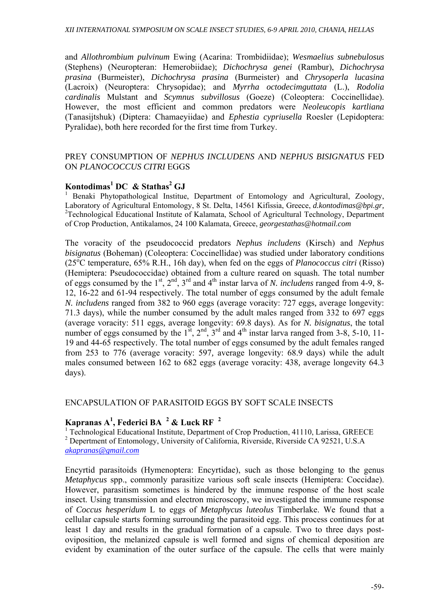and *Allothrombium pulvinum* Ewing (Acarina: Trombidiidae); *Wesmaelius subnebulosus* (Stephens) (Neuropteran: Hemerobiidae); *Dichochrysa genei* (Rambur), *Dichochrysa prasina* (Burmeister), *Dichochrysa prasina* (Burmeister) and *Chrysoperla lucasina* (Lacroix) (Neuroptera: Chrysopidae); and *Myrrha octodecimguttata* (L.), *Rodolia cardinalis* Mulstant and *Scymnus subvillosus* (Goeze) (Coleoptera: Coccinellidae). However, the most efficient and common predators were *Neoleucopis kartliana* (Tanasijtshuk) (Diptera: Chamaeyiidae) and *Ephestia cypriusella* Roesler (Lepidoptera: Pyralidae), both here recorded for the first time from Turkey.

#### PREY CONSUMPTION OF *NEPHUS INCLUDENS* AND *NEPHUS BISIGNATUS* FED ON *PLANOCOCCUS CITRI* EGGS

## **Kontodimas<sup>1</sup> DC & Stathas<sup>2</sup> GJ**

<sup>1</sup> Benaki Phytopathological Institue, Department of Entomology and Agricultural, Zoology, Laboratory of Agricultural Entomology, 8 St. Delta, 14561 Kifissia, Greece, *d.kontodimas@bpi.gr,* <sup>2</sup>Technological Educational Institute of Kalamata, School of Agricultural Technology, Department of Crop Production, Antikalamos, 24 100 Kalamata, Greece, *georgestathas@hotmail.com*

The voracity of the pseudococcid predators *Nephus includens* (Kirsch) and *Nephus bisignatus* (Boheman) (Coleoptera: Coccinellidae) was studied under laboratory conditions (25<sup>ο</sup> C temperature, 65% R.H., 16h day), when fed on the eggs of *Planococcus citri* (Risso) (Hemiptera: Pseudococcidae) obtained from a culture reared on squash. The total number of eggs consumed by the 1st, 2nd, 3rd and 4th instar larva of *N. includens* ranged from 4-9, 8- 12, 16-22 and 61-94 respectively. The total number of eggs consumed by the adult female *N. includens* ranged from 382 to 960 eggs (average voracity: 727 eggs*,* average longevity: 71.3 days), while the number consumed by the adult males ranged from 332 to 697 eggs (average voracity: 511 eggs*,* average longevity: 69.8 days). As for *N. bisignatus*, the total number of eggs consumed by the  $1^{\text{st}}$ ,  $2^{\text{nd}}$ ,  $3^{\text{rd}}$  and  $4^{\text{th}}$  instar larva ranged from 3-8, 5-10, 11-19 and 44-65 respectively. The total number of eggs consumed by the adult females ranged from 253 to 776 (average voracity: 597*,* average longevity: 68.9 days) while the adult males consumed between 162 to 682 eggs (average voracity: 438*,* average longevity 64.3 days).

#### ENCAPSULATION OF PARASITOID EGGS BY SOFT SCALE INSECTS

## **Kapranas A1 , Federici BA <sup>2</sup> & Luck RF <sup>2</sup>**

<sup>1</sup> Technological Educational Institute, Department of Crop Production, 41110, Larissa, GREECE <sup>2</sup> Depertment of Entomology, University of California, Riverside, Riverside CA 92521, U.S.A *akapranas@gmail.com*

Encyrtid parasitoids (Hymenoptera: Encyrtidae), such as those belonging to the genus *Metaphycus* spp., commonly parasitize various soft scale insects (Hemiptera: Coccidae). However, parasitism sometimes is hindered by the immune response of the host scale insect. Using transmission and electron microscopy, we investigated the immune response of *Coccus hesperidum* L to eggs of *Metaphycus luteolus* Timberlake. We found that a cellular capsule starts forming surrounding the parasitoid egg. This process continues for at least 1 day and results in the gradual formation of a capsule. Two to three days postoviposition, the melanized capsule is well formed and signs of chemical deposition are evident by examination of the outer surface of the capsule. The cells that were mainly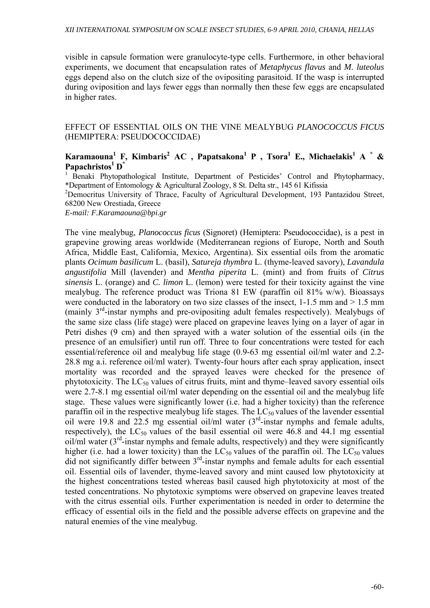visible in capsule formation were granulocyte-type cells. Furthermore, in other behavioral experiments, we document that encapsulation rates of *Metaphycus flavus* and *M. luteolus* eggs depend also on the clutch size of the ovipositing parasitoid. If the wasp is interrupted during oviposition and lays fewer eggs than normally then these few eggs are encapsulated in higher rates.

EFFECT OF ESSENTIAL OILS ON THE VINE MEALYBUG *PLANOCOCCUS FICUS* (HEMIPTERA: PSEUDOCOCCIDAE)

## **Karamaouna1 F, Kimbaris<sup>2</sup> AC , Papatsakona1 P , Τsora1 Ε., Michaelakis1 Α \* &**   $\mathbf{Papachristos}^1 \mathbf{D}^*$

<sup>1</sup> Benaki Phytopathological Institute, Department of Pesticides' Control and Phytopharmacy, \*Department of Entomology & Agricultural Zoology, 8 St. Delta str., 145 61 Kifissia

<sup>2</sup>Democritus University of Thrace, Faculty of Agricultural Development, 193 Pantazidou Street, 68200 New Orestiada, Greece

*E-mail: F.Karamaouna@bpi.gr* 

The vine mealybug, *Planococcus ficus* (Signoret) (Hemiptera: Pseudococcidae), is a pest in grapevine growing areas worldwide (Mediterranean regions of Europe, North and South Africa, Middle East, California, Mexico, Argentina). Six essential oils from the aromatic plants *Ocimum basilicum* L. (basil), *Satureja thymbra* L. (thyme-leaved savory), *Lavandula angustifolia* Mill (lavender) and *Mentha piperita* L. (mint) and from fruits of *Citrus sinensis* L. (orange) and *C. limon* L. (lemon) were tested for their toxicity against the vine mealybug. The reference product was Triona 81 EW (paraffin oil 81% w/w). Bioassays were conducted in the laboratory on two size classes of the insect, 1-1.5 mm and  $> 1.5$  mm (mainly 3rd-instar nymphs and pre-ovipositing adult females respectively). Mealybugs of the same size class (life stage) were placed on grapevine leaves lying on a layer of agar in Petri dishes (9 cm) and then sprayed with a water solution of the essential oils (in the presence of an emulsifier) until run off. Three to four concentrations were tested for each essential/reference oil and mealybug life stage (0.9-63 mg essential oil/ml water and 2.2- 28.8 mg a.i. reference oil/ml water). Twenty-four hours after each spray application, insect mortality was recorded and the sprayed leaves were checked for the presence of phytotoxicity. The  $LC_{50}$  values of citrus fruits, mint and thyme–leaved savory essential oils were 2.7-8.1 mg essential oil/ml water depending on the essential oil and the mealybug life stage. These values were significantly lower (i.e. had a higher toxicity) than the reference paraffin oil in the respective mealybug life stages. The  $LC_{50}$  values of the lavender essential oil were 19.8 and 22.5 mg essential oil/ml water  $(3<sup>rd</sup>$ -instar nymphs and female adults, respectively), the LC<sub>50</sub> values of the basil essential oil were 46.8 and 44.1 mg essential oil/ml water  $(3<sup>rd</sup>$ -instar nymphs and female adults, respectively) and they were significantly higher (i.e. had a lower toxicity) than the  $LC_{50}$  values of the paraffin oil. The  $LC_{50}$  values did not significantly differ between 3<sup>rd</sup>-instar nymphs and female adults for each essential oil. Essential oils of lavender, thyme-leaved savory and mint caused low phytotoxicity at the highest concentrations tested whereas basil caused high phytotoxicity at most of the tested concentrations. No phytotoxic symptoms were observed on grapevine leaves treated with the citrus essential oils. Further experimentation is needed in order to determine the efficacy of essential oils in the field and the possible adverse effects on grapevine and the natural enemies of the vine mealybug.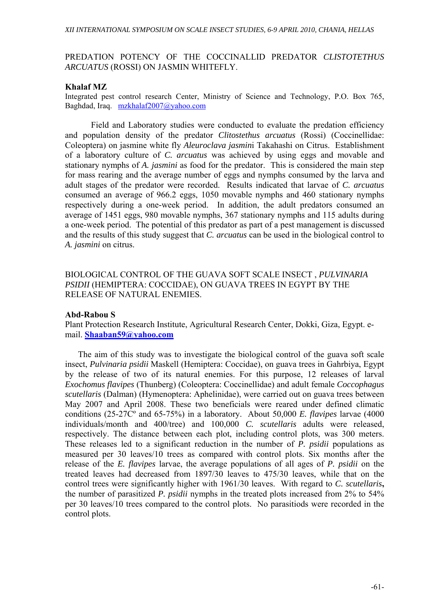### PREDATION POTENCY OF THE COCCINALLID PREDATOR *CLISTOTETHUS ARCUATUS* (ROSSI) ON JASMIN WHITEFLY.

#### **Khalaf MZ**

Integrated pest control research Center, Ministry of Science and Technology, P.O. Box 765, Baghdad, Iraq.mzkhalaf2007@yahoo.com

 Field and Laboratory studies were conducted to evaluate the predation efficiency and population density of the predator *Clitostethus arcuatus* (Rossi) (Coccinellidae: Coleoptera) on jasmine white fly *Aleuroclava jasmin*i Takahashi on Citrus. Establishment of a laboratory culture of *C. arcuatus* was achieved by using eggs and movable and stationary nymphs of *A. jasmini* as food for the predator. This is considered the main step for mass rearing and the average number of eggs and nymphs consumed by the larva and adult stages of the predator were recorded. Results indicated that larvae of *C. arcuatus* consumed an average of 966.2 eggs, 1050 movable nymphs and 460 stationary nymphs respectively during a one-week period. In addition, the adult predators consumed an average of 1451 eggs, 980 movable nymphs, 367 stationary nymphs and 115 adults during a one-week period. The potential of this predator as part of a pest management is discussed and the results of this study suggest that *C. arcuatus* can be used in the biological control to *A. jasmini* on citrus.

BIOLOGICAL CONTROL OF THE GUAVA SOFT SCALE INSECT , *PULVINARIA PSIDII* (HEMIPTERA: COCCIDAE), ON GUAVA TREES IN EGYPT BY THE RELEASE OF NATURAL ENEMIES.

#### **Abd-Rabou S**

Plant Protection Research Institute, Agricultural Research Center, Dokki, Giza, Egypt. email. **Shaaban59@yahoo.com**

 The aim of this study was to investigate the biological control of the guava soft scale insect, *Pulvinaria psidii* Maskell (Hemiptera: Coccidae), on guava trees in Gahrbiya, Egypt by the release of two of its natural enemies. For this purpose, 12 releases of larval *Exochomus flavipes* (Thunberg) (Coleoptera: Coccinellidae) and adult female *Coccophagus scutellaris* (Dalman) (Hymenoptera: Aphelinidae), were carried out on guava trees between May 2007 and April 2008. These two beneficials were reared under defined climatic conditions (25-27Cº and 65-75%) in a laboratory. About 50,000 *E. flavipes* larvae (4000 individuals/month and 400/tree) and 100,000 *C. scutellaris* adults were released, respectively. The distance between each plot, including control plots, was 300 meters. These releases led to a significant reduction in the number of *P. psidii* populations as measured per 30 leaves/10 trees as compared with control plots. Six months after the release of the *E. flavipes* larvae, the average populations of all ages of *P. psidii* on the treated leaves had decreased from 1897/30 leaves to 475/30 leaves, while that on the control trees were significantly higher with 1961/30 leaves. With regard to *C. scutellaris***,** the number of parasitized *P. psidii* nymphs in the treated plots increased from 2% to 54% per 30 leaves/10 trees compared to the control plots. No parasitiods were recorded in the control plots.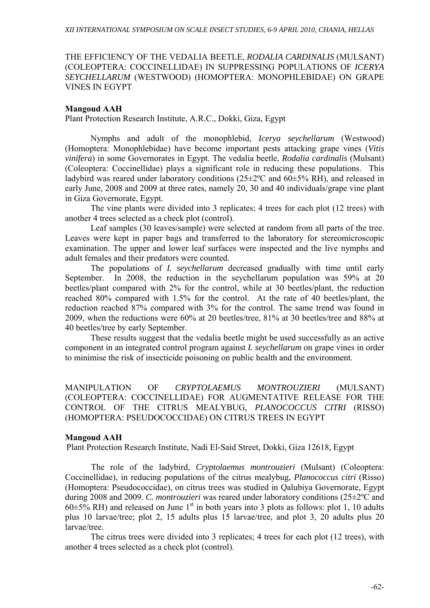### THE EFFICIENCY OF THE VEDALIA BEETLE, *RODALIA CARDINALIS* (MULSANT) (COLEOPTERA: COCCINELLIDAE) IN SUPPRESSING POPULATIONS OF *ICERYA SEYCHELLARUM* (WESTWOOD) (HOMOPTERA: MONOPHLEBIDAE) ON GRAPE VINES IN EGYPT

#### **Mangoud AAH**

Plant Protection Research Institute, A.R.C., Dokki, Giza, Egypt

Nymphs and adult of the monophlebid, *Icerya seychellarum* (Westwood) (Homoptera: Monophlebidae) have become important pests attacking grape vines (*Vitis vinifera*) in some Governorates in Egypt. The vedalia beetle, *Rodalia cardinalis* (Mulsant) (Coleoptera: Coccinellidae) plays a significant role in reducing these populations. This ladybird was reared under laboratory conditions  $(25\pm2$ °C and  $60\pm5\%$  RH), and released in early June, 2008 and 2009 at three rates, namely 20, 30 and 40 individuals/grape vine plant in Giza Governorate, Egypt.

The vine plants were divided into 3 replicates; 4 trees for each plot (12 trees) with another 4 trees selected as a check plot (control).

Leaf samples (30 leaves/sample) were selected at random from all parts of the tree. Leaves were kept in paper bags and transferred to the laboratory for stereomicroscopic examination. The upper and lower leaf surfaces were inspected and the live nymphs and adult females and their predators were counted.

The populations of *I. seychellarum* decreased gradually with time until early September. In 2008, the reduction in the seychellarum population was 59% at 20 beetles/plant compared with 2% for the control, while at 30 beetles/plant, the reduction reached 80% compared with 1.5% for the control. At the rate of 40 beetles/plant, the reduction reached 87% compared with 3% for the control. The same trend was found in 2009, when the reductions were 60% at 20 beetles/tree, 81% at 30 beetles/tree and 88% at 40 beetles/tree by early September.

These results suggest that the vedalia beetle might be used successfully as an active component in an integrated control program against *I. seychellarum* on grape vines in order to minimise the risk of insecticide poisoning on public health and the environment.

MANIPULATION OF *CRYPTOLAEMUS MONTROUZIERI* (MULSANT) (COLEOPTERA: COCCINELLIDAE) FOR AUGMENTATIVE RELEASE FOR THE CONTROL OF THE CITRUS MEALYBUG, *PLANOCOCCUS CITRI* (RISSO) (HOMOPTERA: PSEUDOCOCCIDAE) ON CITRUS TREES IN EGYPT

#### **Mangoud AAH**

Plant Protection Research Institute, Nadi El-Said Street, Dokki, Giza 12618, Egypt

The role of the ladybird, *Cryptolaemus montrouzieri* (Mulsant) (Coleoptera: Coccinellidae), in reducing populations of the citrus mealybug, *Planococcus citri* (Risso) (Homoptera: Pseudococcidae), on citrus trees was studied in Qalubiya Governorate, Egypt during 2008 and 2009. *C. montrouzieri* was reared under laboratory conditions (25±2ºC and  $60\pm5\%$  RH) and released on June 1<sup>st</sup> in both years into 3 plots as follows: plot 1, 10 adults plus 10 larvae/tree; plot 2, 15 adults plus 15 larvae/tree, and plot 3, 20 adults plus 20 larvae/tree.

The citrus trees were divided into 3 replicates; 4 trees for each plot (12 trees), with another 4 trees selected as a check plot (control).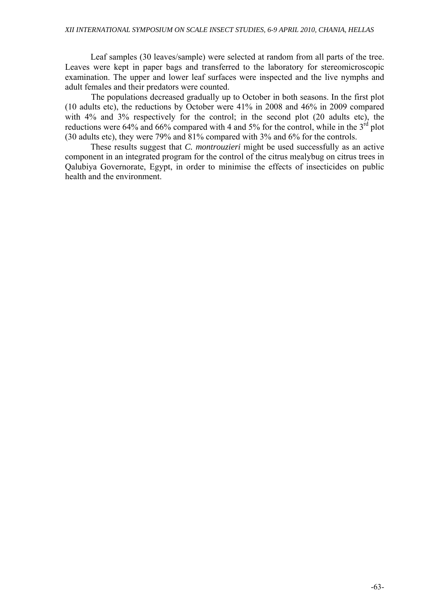Leaf samples (30 leaves/sample) were selected at random from all parts of the tree. Leaves were kept in paper bags and transferred to the laboratory for stereomicroscopic examination. The upper and lower leaf surfaces were inspected and the live nymphs and adult females and their predators were counted.

The populations decreased gradually up to October in both seasons. In the first plot (10 adults etc), the reductions by October were 41% in 2008 and 46% in 2009 compared with 4% and 3% respectively for the control; in the second plot (20 adults etc), the reductions were 64% and 66% compared with 4 and 5% for the control, while in the  $3<sup>rd</sup>$  plot (30 adults etc), they were 79% and 81% compared with 3% and 6% for the controls.

These results suggest that *C. montrouzieri* might be used successfully as an active component in an integrated program for the control of the citrus mealybug on citrus trees in Qalubiya Governorate, Egypt, in order to minimise the effects of insecticides on public health and the environment.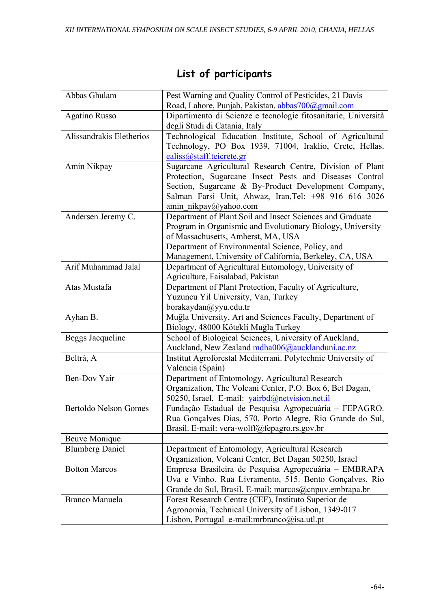| Abbas Ghulam                 | Pest Warning and Quality Control of Pesticides, 21 Davis       |
|------------------------------|----------------------------------------------------------------|
|                              | Road, Lahore, Punjab, Pakistan. abbas700@gmail.com             |
| <b>Agatino Russo</b>         | Dipartimento di Scienze e tecnologie fitosanitarie, Università |
|                              | degli Studi di Catania, Italy                                  |
| Alissandrakis Eletherios     | Technological Education Institute, School of Agricultural      |
|                              | Technology, PO Box 1939, 71004, Iraklio, Crete, Hellas.        |
|                              | ealiss@staff.teicrete.gr                                       |
| Amin Nikpay                  | Sugarcane Agricultural Research Centre, Division of Plant      |
|                              | Protection, Sugarcane Insect Pests and Diseases Control        |
|                              | Section, Sugarcane & By-Product Development Company,           |
|                              | Salman Farsi Unit, Ahwaz, Iran, Tel: +98 916 616 3026          |
|                              | amin nikpay@yahoo.com                                          |
| Andersen Jeremy C.           | Department of Plant Soil and Insect Sciences and Graduate      |
|                              | Program in Organismic and Evolutionary Biology, University     |
|                              | of Massachusetts, Amherst, MA, USA                             |
|                              | Department of Environmental Science, Policy, and               |
|                              | Management, University of California, Berkeley, CA, USA        |
| Arif Muhammad Jalal          | Department of Agricultural Entomology, University of           |
|                              | Agriculture, Faisalabad, Pakistan                              |
| Atas Mustafa                 | Department of Plant Protection, Faculty of Agriculture,        |
|                              | Yuzuncu Yil University, Van, Turkey                            |
|                              | borakaydan@yyu.edu.tr                                          |
| Ayhan B.                     | Muğla University, Art and Sciences Faculty, Department of      |
|                              | Biology, 48000 Kötekli Muğla Turkey                            |
| Beggs Jacqueline             | School of Biological Sciences, University of Auckland,         |
|                              | Auckland, New Zealand mdha006@aucklanduni.ac.nz                |
| Beltrà, A                    | Institut Agroforestal Mediterrani. Polytechnic University of   |
|                              | Valencia (Spain)                                               |
| Ben-Dov Yair                 | Department of Entomology, Agricultural Research                |
|                              | Organization, The Volcani Center, P.O. Box 6, Bet Dagan,       |
|                              | 50250, Israel. E-mail: yairbd@netvision.net.il                 |
| <b>Bertoldo Nelson Gomes</b> | Fundação Estadual de Pesquisa Agropecuária - FEPAGRO.          |
|                              | Rua Gonçalves Dias, 570. Porto Alegre, Rio Grande do Sul,      |
|                              | Brasil. E-mail: vera-wolff@fepagro.rs.gov.br                   |
| <b>Beuve Monique</b>         |                                                                |
| <b>Blumberg Daniel</b>       | Department of Entomology, Agricultural Research                |
|                              | Organization, Volcani Center, Bet Dagan 50250, Israel          |
| <b>Botton Marcos</b>         | Empresa Brasileira de Pesquisa Agropecuária - EMBRAPA          |
|                              | Uva e Vinho. Rua Livramento, 515. Bento Gonçalves, Rio         |
|                              | Grande do Sul, Brasil. E-mail: marcos@cnpuv.embrapa.br         |
| <b>Branco Manuela</b>        | Forest Research Centre (CEF), Instituto Superior de            |
|                              | Agronomia, Technical University of Lisbon, 1349-017            |
|                              | Lisbon, Portugal e-mail:mrbranco@isa.utl.pt                    |

# **List of participants**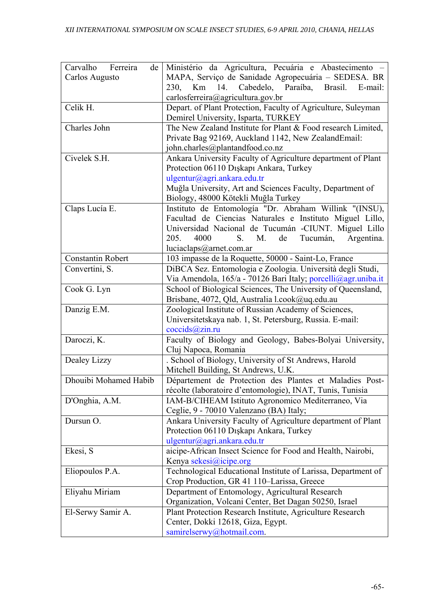| Carvalho Ferreira<br>de  | Ministério da Agricultura, Pecuária e Abastecimento -                           |
|--------------------------|---------------------------------------------------------------------------------|
| Carlos Augusto           | MAPA, Serviço de Sanidade Agropecuária - SEDESA. BR                             |
|                          | 14.<br>Cabedelo, Paraíba,<br>Brasil.<br>230,<br>Km<br>E-mail:                   |
|                          | carlosferreira@agricultura.gov.br                                               |
| Celik H.                 | Depart. of Plant Protection, Faculty of Agriculture, Suleyman                   |
|                          | Demirel University, Isparta, TURKEY                                             |
| Charles John             | The New Zealand Institute for Plant & Food research Limited,                    |
|                          | Private Bag 92169, Auckland 1142, New ZealandEmail:                             |
|                          | john.charles@plantandfood.co.nz                                                 |
| Civelek S.H.             | Ankara University Faculty of Agriculture department of Plant                    |
|                          | Protection 06110 Dışkapı Ankara, Turkey                                         |
|                          | ulgentur@agri.ankara.edu.tr                                                     |
|                          | Muğla University, Art and Sciences Faculty, Department of                       |
|                          | Biology, 48000 Kötekli Muğla Turkey                                             |
| Claps Lucía E.           | Instituto de Entomología "Dr. Abraham Willink "(INSU),                          |
|                          | Facultad de Ciencias Naturales e Instituto Miguel Lillo,                        |
|                          | Universidad Nacional de Tucumán -CIUNT. Miguel Lillo<br>4000                    |
|                          | Tucumán,<br>Argentina.<br>205.<br>S.<br>М.<br>de                                |
| <b>Constantin Robert</b> | luciaclaps@arnet.com.ar<br>103 impasse de la Roquette, 50000 - Saint-Lo, France |
| Convertini, S.           | DiBCA Sez. Entomologia e Zoologia. Università degli Studi,                      |
|                          | Via Amendola, 165/a - 70126 Bari Italy; porcelli@agr.uniba.it                   |
| Cook G. Lyn              | School of Biological Sciences, The University of Queensland,                    |
|                          | Brisbane, 4072, Qld, Australia l.cook@uq.edu.au                                 |
| Danzig E.M.              | Zoological Institute of Russian Academy of Sciences,                            |
|                          | Universitetskaya nab. 1, St. Petersburg, Russia. E-mail:                        |
|                          | cocids@zin.ru                                                                   |
| Daroczi, K.              | Faculty of Biology and Geology, Babes-Bolyai University,                        |
|                          | Cluj Napoca, Romania                                                            |
| Dealey Lizzy             | . School of Biology, University of St Andrews, Harold                           |
|                          | Mitchell Building, St Andrews, U.K.                                             |
| Dhouibi Mohamed Habib    | Département de Protection des Plantes et Maladies Post-                         |
|                          | récolte (laboratoire d'entomologie), INAT, Tunis, Tunisia                       |
| D'Onghia, A.M.           | IAM-B/CIHEAM Istituto Agronomico Mediterraneo, Via                              |
|                          | Ceglie, 9 - 70010 Valenzano (BA) Italy;                                         |
| Dursun O.                | Ankara University Faculty of Agriculture department of Plant                    |
|                          | Protection 06110 Dişkapı Ankara, Turkey                                         |
|                          | ulgentur@agri.ankara.edu.tr                                                     |
| Ekesi, S                 | aicipe-African Insect Science for Food and Health, Nairobi,                     |
|                          | Kenya sekesi@icipe.org                                                          |
| Eliopoulos P.A.          | Technological Educational Institute of Larissa, Department of                   |
|                          | Crop Production, GR 41 110-Larissa, Greece                                      |
| Eliyahu Miriam           | Department of Entomology, Agricultural Research                                 |
|                          | Organization, Volcani Center, Bet Dagan 50250, Israel                           |
| El-Serwy Samir A.        | Plant Protection Research Institute, Agriculture Research                       |
|                          | Center, Dokki 12618, Giza, Egypt.                                               |
|                          | samirelserwy@hotmail.com.                                                       |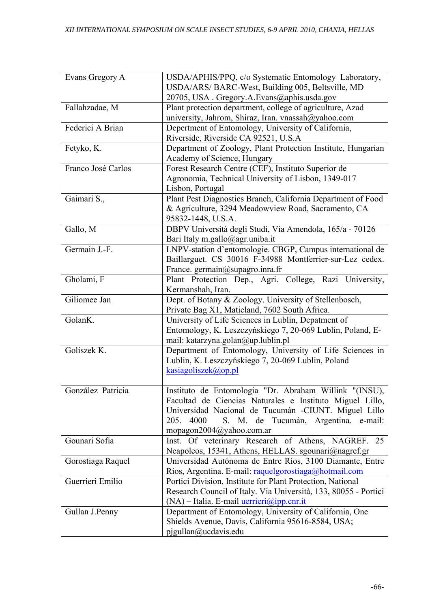| Evans Gregory A    | USDA/APHIS/PPQ, c/o Systematic Entomology Laboratory,<br>USDA/ARS/ BARC-West, Building 005, Beltsville, MD         |
|--------------------|--------------------------------------------------------------------------------------------------------------------|
|                    | 20705, USA. Gregory.A.Evans@aphis.usda.gov                                                                         |
| Fallahzadae, M     | Plant protection department, college of agriculture, Azad                                                          |
|                    | university, Jahrom, Shiraz, Iran. vnassah@yahoo.com                                                                |
| Federici A Brian   | Depertment of Entomology, University of California,<br>Riverside, Riverside CA 92521, U.S.A                        |
| Fetyko, K.         | Department of Zoology, Plant Protection Institute, Hungarian                                                       |
|                    | Academy of Science, Hungary                                                                                        |
| Franco José Carlos | Forest Research Centre (CEF), Instituto Superior de                                                                |
|                    | Agronomia, Technical University of Lisbon, 1349-017                                                                |
|                    | Lisbon, Portugal                                                                                                   |
| Gaimari S.,        | Plant Pest Diagnostics Branch, California Department of Food                                                       |
|                    | & Agriculture, 3294 Meadowview Road, Sacramento, CA                                                                |
|                    | 95832-1448, U.S.A.                                                                                                 |
| Gallo, M           | DBPV Università degli Studi, Via Amendola, 165/a - 70126                                                           |
|                    | Bari Italy m.gallo@agr.uniba.it                                                                                    |
| Germain J.-F.      | LNPV-station d'entomologie. CBGP, Campus international de                                                          |
|                    | Baillarguet. CS 30016 F-34988 Montferrier-sur-Lez cedex.                                                           |
|                    | France. germain@supagro.inra.fr                                                                                    |
| Gholami, F         | Plant Protection Dep., Agri. College, Razi University,                                                             |
|                    | Kermanshah, Iran.                                                                                                  |
| Giliomee Jan       | Dept. of Botany & Zoology. University of Stellenbosch,                                                             |
|                    | Private Bag X1, Matieland, 7602 South Africa.                                                                      |
| GolanK.            | University of Life Sciences in Lublin, Depatment of                                                                |
|                    | Entomology, K. Leszczyńskiego 7, 20-069 Lublin, Poland, E-                                                         |
|                    | mail: katarzyna.golan@up.lublin.pl                                                                                 |
| Goliszek K.        | Department of Entomology, University of Life Sciences in                                                           |
|                    | Lublin, K. Leszczyńskiego 7, 20-069 Lublin, Poland                                                                 |
|                    | kasiagoliszek@op.pl                                                                                                |
| González Patricia  |                                                                                                                    |
|                    | Instituto de Entomología "Dr. Abraham Willink "(INSU),<br>Facultad de Ciencias Naturales e Instituto Miguel Lillo, |
|                    | Universidad Nacional de Tucumán -CIUNT. Miguel Lillo                                                               |
|                    | 4000<br>S. M. de Tucumán, Argentina. e-mail:<br>205.                                                               |
|                    | mopagon2004@yahoo.com.ar                                                                                           |
| Gounari Sofia      | Inst. Of veterinary Research of Athens, NAGREF. 25                                                                 |
|                    | Neapoleos, 15341, Athens, HELLAS. sgounari@nagref.gr                                                               |
| Gorostiaga Raquel  | Universidad Autónoma de Entre Ríos, 3100 Diamante, Entre                                                           |
|                    | Ríos, Argentina. E-mail: raquelgorostiaga@hotmail.com                                                              |
| Guerrieri Emilio   | Portici Division, Institute for Plant Protection, National                                                         |
|                    | Research Council of Italy. Via Università, 133, 80055 - Portici                                                    |
|                    | $(NA)$ – Italia. E-mail <i>uerrieri@ipp.cnr.it</i>                                                                 |
| Gullan J.Penny     | Department of Entomology, University of California, One                                                            |
|                    | Shields Avenue, Davis, California 95616-8584, USA;                                                                 |
|                    | pjgullan@ucdavis.edu                                                                                               |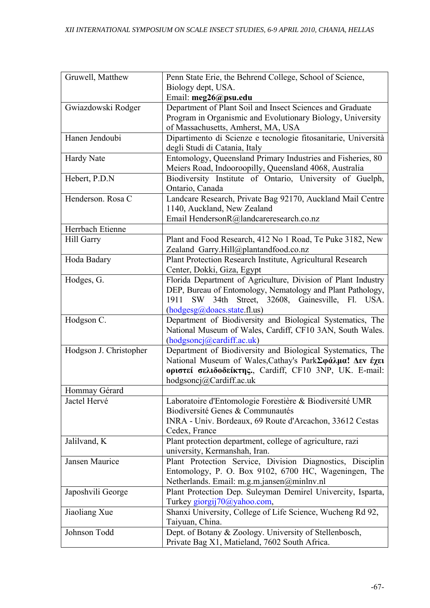| Gruwell, Matthew       | Penn State Erie, the Behrend College, School of Science,       |
|------------------------|----------------------------------------------------------------|
|                        | Biology dept, USA.                                             |
|                        | Email: meg26@psu.edu                                           |
| Gwiazdowski Rodger     | Department of Plant Soil and Insect Sciences and Graduate      |
|                        | Program in Organismic and Evolutionary Biology, University     |
|                        | of Massachusetts, Amherst, MA, USA                             |
| Hanen Jendoubi         | Dipartimento di Scienze e tecnologie fitosanitarie, Università |
|                        | degli Studi di Catania, Italy                                  |
| <b>Hardy Nate</b>      | Entomology, Queensland Primary Industries and Fisheries, 80    |
|                        | Meiers Road, Indooroopilly, Queensland 4068, Australia         |
| Hebert, P.D.N          | Biodiversity Institute of Ontario, University of Guelph,       |
|                        | Ontario, Canada                                                |
| Henderson. Rosa C      | Landcare Research, Private Bag 92170, Auckland Mail Centre     |
|                        | 1140, Auckland, New Zealand                                    |
|                        | Email HendersonR@landcareresearch.co.nz                        |
| Herrbach Etienne       |                                                                |
| Hill Garry             | Plant and Food Research, 412 No 1 Road, Te Puke 3182, New      |
|                        | Zealand Garry.Hill@plantandfood.co.nz                          |
| Hoda Badary            | Plant Protection Research Institute, Agricultural Research     |
|                        | Center, Dokki, Giza, Egypt                                     |
| Hodges, G.             | Florida Department of Agriculture, Division of Plant Industry  |
|                        | DEP, Bureau of Entomology, Nematology and Plant Pathology,     |
|                        | SW 34th Street,<br>32608, Gainesville, Fl. USA.<br>1911        |
|                        | (hodgesg@doacs.state.fl.us)                                    |
| Hodgson C.             | Department of Biodiversity and Biological Systematics, The     |
|                        | National Museum of Wales, Cardiff, CF10 3AN, South Wales.      |
|                        | (hodgsoncj@cardiff.ac.uk)                                      |
| Hodgson J. Christopher | Department of Biodiversity and Biological Systematics, The     |
|                        | National Museum of Wales, Cathay's ParkΣφάλμα! Δεν έχει        |
|                        | <b>οριστεί σελιδοδείκτης.</b> , Cardiff, CF10 3NP, UK. E-mail: |
|                        | hodgsoncj@Cardiff.ac.uk                                        |
| Hommay Gérard          |                                                                |
| Jactel Hervé           | Laboratoire d'Entomologie Forestière & Biodiversité UMR        |
|                        | Biodiversité Genes & Communautés                               |
|                        | INRA - Univ. Bordeaux, 69 Route d'Arcachon, 33612 Cestas       |
|                        | Cedex, France                                                  |
| Jalilvand, K           | Plant protection department, college of agriculture, razi      |
|                        | university, Kermanshah, Iran.                                  |
| Jansen Maurice         | Plant Protection Service, Division Diagnostics, Disciplin      |
|                        | Entomology, P. O. Box 9102, 6700 HC, Wageningen, The           |
|                        | Netherlands. Email: m.g.m.jansen@minlnv.nl                     |
| Japoshvili George      | Plant Protection Dep. Suleyman Demirel Univercity, Isparta,    |
|                        | Turkey giorgij70@yahoo.com,                                    |
| Jiaoliang Xue          | Shanxi University, College of Life Science, Wucheng Rd 92,     |
|                        | Taiyuan, China.                                                |
| Johnson Todd           | Dept. of Botany & Zoology. University of Stellenbosch,         |
|                        | Private Bag X1, Matieland, 7602 South Africa.                  |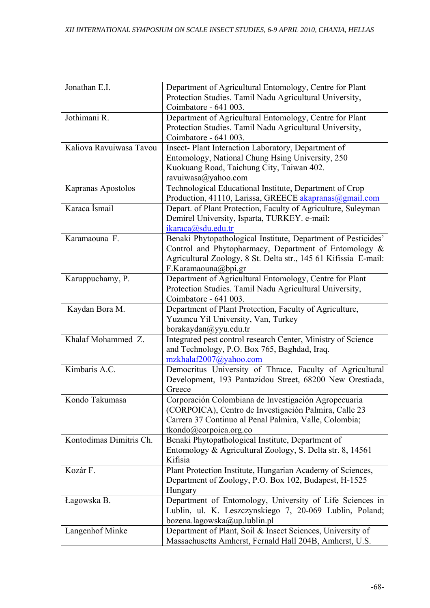| Jonathan E.I.           | Department of Agricultural Entomology, Centre for Plant         |
|-------------------------|-----------------------------------------------------------------|
|                         | Protection Studies. Tamil Nadu Agricultural University,         |
|                         | Coimbatore - 641 003.                                           |
| Jothimani R.            | Department of Agricultural Entomology, Centre for Plant         |
|                         | Protection Studies. Tamil Nadu Agricultural University,         |
|                         | Coimbatore - 641 003.                                           |
| Kaliova Ravuiwasa Tavou | Insect-Plant Interaction Laboratory, Department of              |
|                         | Entomology, National Chung Hsing University, 250                |
|                         | Kuokuang Road, Taichung City, Taiwan 402.                       |
|                         | ravuiwasa@yahoo.com                                             |
| Kapranas Apostolos      | Technological Educational Institute, Department of Crop         |
|                         | Production, 41110, Larissa, GREECE akapranas@gmail.com          |
| Karaca İsmail           | Depart. of Plant Protection, Faculty of Agriculture, Suleyman   |
|                         | Demirel University, Isparta, TURKEY. e-mail:                    |
|                         | ikaraca@sdu.edu.tr                                              |
| Karamaouna F.           | Benaki Phytopathological Institute, Department of Pesticides'   |
|                         | Control and Phytopharmacy, Department of Entomology &           |
|                         | Agricultural Zoology, 8 St. Delta str., 145 61 Kifissia E-mail: |
|                         | F.Karamaouna@bpi.gr                                             |
| Karuppuchamy, P.        | Department of Agricultural Entomology, Centre for Plant         |
|                         | Protection Studies. Tamil Nadu Agricultural University,         |
|                         | Coimbatore - 641 003.                                           |
| Kaydan Bora M.          | Department of Plant Protection, Faculty of Agriculture,         |
|                         | Yuzuncu Yil University, Van, Turkey                             |
|                         | borakaydan@yyu.edu.tr                                           |
| Khalaf Mohammed Z.      | Integrated pest control research Center, Ministry of Science    |
|                         | and Technology, P.O. Box 765, Baghdad, Iraq.                    |
|                         | mzkhalaf2007@yahoo.com                                          |
| Kimbaris A.C.           | Democritus University of Thrace, Faculty of Agricultural        |
|                         | Development, 193 Pantazidou Street, 68200 New Orestiada,        |
|                         | Greece                                                          |
| Kondo Takumasa          | Corporación Colombiana de Investigación Agropecuaria            |
|                         | (CORPOICA), Centro de Investigación Palmira, Calle 23           |
|                         | Carrera 37 Continuo al Penal Palmira, Valle, Colombia;          |
|                         | tkondo@corpoica.org.co                                          |
| Kontodimas Dimitris Ch. | Benaki Phytopathological Institute, Department of               |
|                         | Entomology & Agricultural Zoology, S. Delta str. 8, 14561       |
|                         | Kifisia                                                         |
| Kozár F.                | Plant Protection Institute, Hungarian Academy of Sciences,      |
|                         | Department of Zoology, P.O. Box 102, Budapest, H-1525           |
|                         | Hungary                                                         |
| Łagowska B.             | Department of Entomology, University of Life Sciences in        |
|                         | Lublin, ul. K. Leszczynskiego 7, 20-069 Lublin, Poland;         |
|                         | bozena.lagowska@up.lublin.pl                                    |
| Langenhof Minke         | Department of Plant, Soil & Insect Sciences, University of      |
|                         | Massachusetts Amherst, Fernald Hall 204B, Amherst, U.S.         |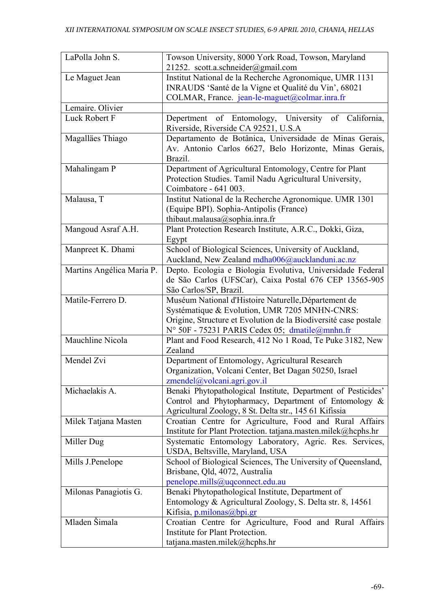| LaPolla John S.           | Towson University, 8000 York Road, Towson, Maryland<br>21252. scott.a.schneider@gmail.com                                                                                                                                  |
|---------------------------|----------------------------------------------------------------------------------------------------------------------------------------------------------------------------------------------------------------------------|
| Le Maguet Jean            | Institut National de la Recherche Agronomique, UMR 1131<br>INRAUDS 'Santé de la Vigne et Qualité du Vin', 68021<br>COLMAR, France. jean-le-maguet@colmar.inra.fr                                                           |
| Lemaire. Olivier          |                                                                                                                                                                                                                            |
| Luck Robert F             | Depertment of Entomology, University of California,<br>Riverside, Riverside CA 92521, U.S.A.                                                                                                                               |
| Magalläes Thiago          | Departamento de Botânica, Universidade de Minas Gerais,<br>Av. Antonio Carlos 6627, Belo Horizonte, Minas Gerais,<br>Brazil.                                                                                               |
| Mahalingam P              | Department of Agricultural Entomology, Centre for Plant<br>Protection Studies. Tamil Nadu Agricultural University,<br>Coimbatore - 641 003.                                                                                |
| Malausa, T                | Institut National de la Recherche Agronomique. UMR 1301<br>(Equipe BPI). Sophia-Antipolis (France)<br>thibaut.malausa@sophia.inra.fr                                                                                       |
| Mangoud Asraf A.H.        | Plant Protection Research Institute, A.R.C., Dokki, Giza,<br>Egypt                                                                                                                                                         |
| Manpreet K. Dhami         | School of Biological Sciences, University of Auckland,<br>Auckland, New Zealand mdha006@aucklanduni.ac.nz                                                                                                                  |
| Martins Angélica Maria P. | Depto. Ecologia e Biologia Evolutiva, Universidade Federal<br>de São Carlos (UFSCar), Caixa Postal 676 CEP 13565-905<br>São Carlos/SP, Brazil.                                                                             |
| Matile-Ferrero D.         | Muséum National d'Histoire Naturelle, Département de<br>Systématique & Evolution, UMR 7205 MNHN-CNRS:<br>Origine, Structure et Evolution de la Biodiversité case postale<br>N° 50F - 75231 PARIS Cedex 05; dmatile@mnhn.fr |
| Mauchline Nicola          | Plant and Food Research, 412 No 1 Road, Te Puke 3182, New<br>Zealand                                                                                                                                                       |
| Mendel Zvi                | Department of Entomology, Agricultural Research<br>Organization, Volcani Center, Bet Dagan 50250, Israel<br>$z$ mendel@volcani.agri.gov.il                                                                                 |
| Michaelakis A.            | Benaki Phytopathological Institute, Department of Pesticides'<br>Control and Phytopharmacy, Department of Entomology &<br>Agricultural Zoology, 8 St. Delta str., 145 61 Kifissia                                          |
| Milek Tatjana Masten      | Croatian Centre for Agriculture, Food and Rural Affairs<br>Institute for Plant Protection. tatjana.masten.milek@hcphs.hr                                                                                                   |
| Miller Dug                | Systematic Entomology Laboratory, Agric. Res. Services,<br>USDA, Beltsville, Maryland, USA                                                                                                                                 |
| Mills J.Penelope          | School of Biological Sciences, The University of Queensland,<br>Brisbane, Qld, 4072, Australia<br>penelope.mills@uqconnect.edu.au                                                                                          |
| Milonas Panagiotis G.     | Benaki Phytopathological Institute, Department of<br>Entomology & Agricultural Zoology, S. Delta str. 8, 14561<br>Kifisia, p.milonas@bpi.gr                                                                                |
| Mladen Šimala             | Croatian Centre for Agriculture, Food and Rural Affairs<br>Institute for Plant Protection.<br>tatjana.masten.milek@hcphs.hr                                                                                                |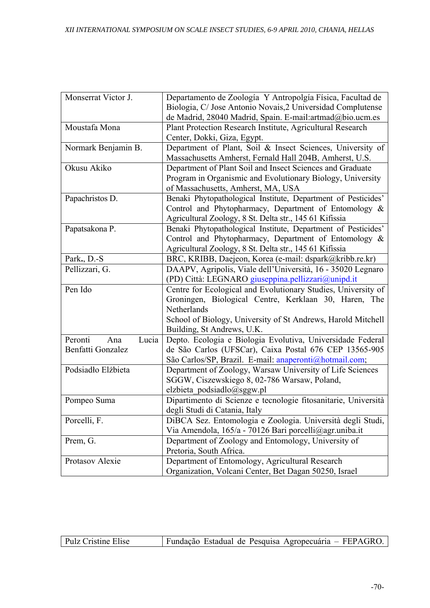| Monserrat Victor J.     | Departamento de Zoología Y Antropolgía Física, Facultad de     |
|-------------------------|----------------------------------------------------------------|
|                         | Biologia, C/ Jose Antonio Novais, 2 Universidad Complutense    |
|                         | de Madrid, 28040 Madrid, Spain. E-mail:artmad@bio.ucm.es       |
| Moustafa Mona           | Plant Protection Research Institute, Agricultural Research     |
|                         | Center, Dokki, Giza, Egypt.                                    |
| Normark Benjamin B.     | Department of Plant, Soil & Insect Sciences, University of     |
|                         | Massachusetts Amherst, Fernald Hall 204B, Amherst, U.S.        |
| Okusu Akiko             | Department of Plant Soil and Insect Sciences and Graduate      |
|                         | Program in Organismic and Evolutionary Biology, University     |
|                         | of Massachusetts, Amherst, MA, USA                             |
| Papachristos D.         | Benaki Phytopathological Institute, Department of Pesticides'  |
|                         | Control and Phytopharmacy, Department of Entomology &          |
|                         | Agricultural Zoology, 8 St. Delta str., 145 61 Kifissia        |
| Papatsakona P.          | Benaki Phytopathological Institute, Department of Pesticides'  |
|                         | Control and Phytopharmacy, Department of Entomology &          |
|                         | Agricultural Zoology, 8 St. Delta str., 145 61 Kifissia        |
| Park., D.-S             | BRC, KRIBB, Daejeon, Korea (e-mail: dspark@kribb.re.kr)        |
| Pellizzari, G.          | DAAPV, Agripolis, Viale dell'Università, 16 - 35020 Legnaro    |
|                         | (PD) Città: LEGNARO giuseppina.pellizzari@unipd.it             |
| Pen Ido                 | Centre for Ecological and Evolutionary Studies, University of  |
|                         | Groningen, Biological Centre, Kerklaan 30, Haren, The          |
|                         | Netherlands                                                    |
|                         | School of Biology, University of St Andrews, Harold Mitchell   |
|                         | Building, St Andrews, U.K.                                     |
| Peronti<br>Lucia<br>Ana | Depto. Ecologia e Biologia Evolutiva, Universidade Federal     |
| Benfatti Gonzalez       | de São Carlos (UFSCar), Caixa Postal 676 CEP 13565-905         |
|                         | São Carlos/SP, Brazil. E-mail: anaperonti@hotmail.com;         |
| Podsiadło Elżbieta      | Department of Zoology, Warsaw University of Life Sciences      |
|                         | SGGW, Ciszewskiego 8, 02-786 Warsaw, Poland,                   |
|                         | elzbieta podsiadlo@sggw.pl                                     |
| Pompeo Suma             | Dipartimento di Scienze e tecnologie fitosanitarie, Università |
|                         | degli Studi di Catania, Italy                                  |
| Porcelli, F.            | DiBCA Sez. Entomologia e Zoologia. Università degli Studi,     |
|                         | Via Amendola, 165/a - 70126 Bari porcelli@agr.uniba.it         |
| Prem, G.                | Department of Zoology and Entomology, University of            |
|                         | Pretoria, South Africa.                                        |
| Protasov Alexie         | Department of Entomology, Agricultural Research                |
|                         | Organization, Volcani Center, Bet Dagan 50250, Israel          |

| Fundação Estadual de Pesquisa Agropecuária – FEPAGRO.<br>Pulz Cristine Elise |
|------------------------------------------------------------------------------|
|------------------------------------------------------------------------------|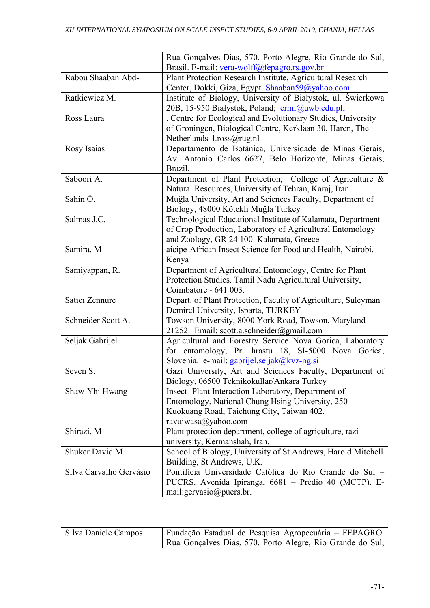|                         | Rua Gonçalves Dias, 570. Porto Alegre, Rio Grande do Sul,     |
|-------------------------|---------------------------------------------------------------|
|                         | Brasil. E-mail: vera-wolff@fepagro.rs.gov.br                  |
| Rabou Shaaban Abd-      | Plant Protection Research Institute, Agricultural Research    |
|                         | Center, Dokki, Giza, Egypt. Shaaban59@yahoo.com               |
| Ratkiewicz M.           | Institute of Biology, University of Białystok, ul. Świerkowa  |
|                         | 20B, 15-950 Białystok, Poland; ermi@uwb.edu.pl;               |
| Ross Laura              | . Centre for Ecological and Evolutionary Studies, University  |
|                         | of Groningen, Biological Centre, Kerklaan 30, Haren, The      |
|                         | Netherlands l.ross@rug.nl                                     |
| Rosy Isaias             | Departamento de Botânica, Universidade de Minas Gerais,       |
|                         | Av. Antonio Carlos 6627, Belo Horizonte, Minas Gerais,        |
|                         | Brazil.                                                       |
| Saboori A.              | Department of Plant Protection, College of Agriculture &      |
|                         | Natural Resources, University of Tehran, Karaj, Iran.         |
| Sahin Ö.                | Muğla University, Art and Sciences Faculty, Department of     |
|                         | Biology, 48000 Kötekli Muğla Turkey                           |
| Salmas J.C.             | Technological Educational Institute of Kalamata, Department   |
|                         | of Crop Production, Laboratory of Agricultural Entomology     |
|                         | and Zoology, GR 24 100-Kalamata, Greece                       |
| Samira, M               | aicipe-African Insect Science for Food and Health, Nairobi,   |
|                         | Kenya                                                         |
| Samiyappan, R.          | Department of Agricultural Entomology, Centre for Plant       |
|                         | Protection Studies. Tamil Nadu Agricultural University,       |
|                         | Coimbatore - 641 003.                                         |
| Satıcı Zennure          | Depart. of Plant Protection, Faculty of Agriculture, Suleyman |
|                         | Demirel University, Isparta, TURKEY                           |
| Schneider Scott A.      | Towson University, 8000 York Road, Towson, Maryland           |
|                         | 21252. Email: scott.a.schneider@gmail.com                     |
| Seljak Gabrijel         | Agricultural and Forestry Service Nova Gorica, Laboratory     |
|                         | for entomology, Pri hrastu 18, SI-5000 Nova Gorica,           |
|                         | Slovenia. e-mail: gabrijel.seljak@kvz-ng.si                   |
| Seven S.                | Gazi University, Art and Sciences Faculty, Department of      |
|                         | Biology, 06500 Teknikokullar/Ankara Turkey                    |
| Shaw-Yhi Hwang          | Insect-Plant Interaction Laboratory, Department of            |
|                         | Entomology, National Chung Hsing University, 250              |
|                         | Kuokuang Road, Taichung City, Taiwan 402.                     |
|                         | ravuiwasa@yahoo.com                                           |
| Shirazi, M              | Plant protection department, college of agriculture, razi     |
|                         | university, Kermanshah, Iran.                                 |
| Shuker David M.         | School of Biology, University of St Andrews, Harold Mitchell  |
|                         | Building, St Andrews, U.K.                                    |
| Silva Carvalho Gervásio | Pontifícia Universidade Católica do Rio Grande do Sul -       |
|                         | PUCRS. Avenida Ipiranga, 6681 - Prédio 40 (MCTP). E-          |
|                         | mail:gervasio@pucrs.br.                                       |

| Silva Daniele Campos | Fundação Estadual de Pesquisa Agropecuária – FEPAGRO.     |
|----------------------|-----------------------------------------------------------|
|                      | Rua Gonçalves Dias, 570. Porto Alegre, Rio Grande do Sul, |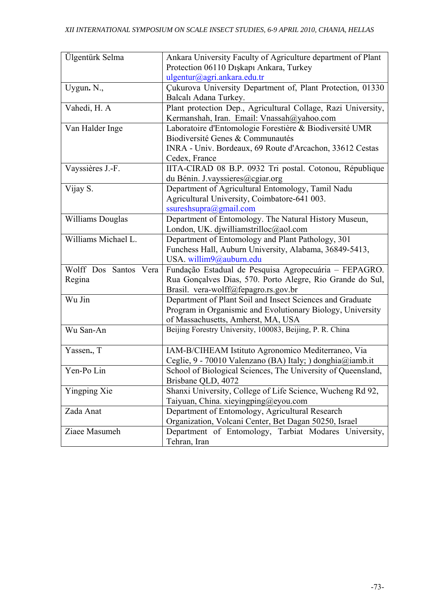| Ülgentürk Selma          | Ankara University Faculty of Agriculture department of Plant  |
|--------------------------|---------------------------------------------------------------|
|                          | Protection 06110 Dışkapı Ankara, Turkey                       |
|                          | ulgentur@agri.ankara.edu.tr                                   |
| Uygun. N.,               | Çukurova University Department of, Plant Protection, 01330    |
|                          | Balcalı Adana Turkey.                                         |
| Vahedi, H. A             | Plant protection Dep., Agricultural Collage, Razi University, |
|                          | Kermanshah, Iran. Email: Vnassah@yahoo.com                    |
| Van Halder Inge          | Laboratoire d'Entomologie Forestière & Biodiversité UMR       |
|                          | Biodiversité Genes & Communautés                              |
|                          | INRA - Univ. Bordeaux, 69 Route d'Arcachon, 33612 Cestas      |
|                          | Cedex, France                                                 |
| Vayssières J.-F.         | IITA-CIRAD 08 B.P. 0932 Tri postal. Cotonou, République       |
|                          | du Bénin. J.vayssieres@cgiar.org                              |
| Vijay S.                 | Department of Agricultural Entomology, Tamil Nadu             |
|                          | Agricultural University, Coimbatore-641 003.                  |
|                          | ssureshsupra@gmail.com                                        |
| <b>Williams Douglas</b>  | Department of Entomology. The Natural History Museun,         |
|                          | London, UK. djwilliamstrilloc@aol.com                         |
| Williams Michael L.      | Department of Entomology and Plant Pathology, 301             |
|                          | Funchess Hall, Auburn University, Alabama, 36849-5413,        |
|                          | USA willim9@auburn.edu                                        |
| Wolff Dos Santos<br>Vera | Fundação Estadual de Pesquisa Agropecuária - FEPAGRO.         |
| Regina                   | Rua Gonçalves Dias, 570. Porto Alegre, Rio Grande do Sul,     |
|                          | Brasil. vera-wolff@fepagro.rs.gov.br                          |
| Wu Jin                   | Department of Plant Soil and Insect Sciences and Graduate     |
|                          | Program in Organismic and Evolutionary Biology, University    |
|                          | of Massachusetts, Amherst, MA, USA                            |
| Wu San-An                | Beijing Forestry University, 100083, Beijing, P. R. China     |
|                          |                                                               |
| Yassen., T               | IAM-B/CIHEAM Istituto Agronomico Mediterraneo, Via            |
|                          | Ceglie, 9 - 70010 Valenzano (BA) Italy; ) donghia@iamb.it     |
| Yen-Po Lin               | School of Biological Sciences, The University of Queensland,  |
|                          | Brisbane QLD, 4072                                            |
| Yingping Xie             | Shanxi University, College of Life Science, Wucheng Rd 92,    |
|                          | Taiyuan, China. xieyingping@eyou.com                          |
| Zada Anat                | Department of Entomology, Agricultural Research               |
|                          | Organization, Volcani Center, Bet Dagan 50250, Israel         |
| Ziaee Masumeh            | Department of Entomology, Tarbiat Modares University,         |
|                          | Tehran, Iran                                                  |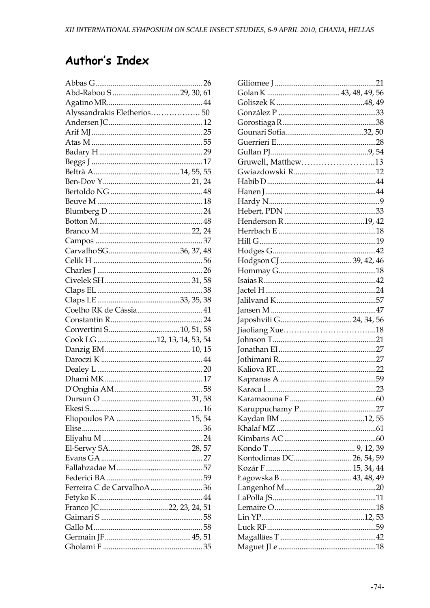## Author's Index

| Alyssandrakis Eletherios 50 |  |  |  |
|-----------------------------|--|--|--|
|                             |  |  |  |
|                             |  |  |  |
|                             |  |  |  |
|                             |  |  |  |
|                             |  |  |  |
|                             |  |  |  |
|                             |  |  |  |
|                             |  |  |  |
|                             |  |  |  |
|                             |  |  |  |
|                             |  |  |  |
|                             |  |  |  |
|                             |  |  |  |
|                             |  |  |  |
|                             |  |  |  |
|                             |  |  |  |
|                             |  |  |  |
|                             |  |  |  |
|                             |  |  |  |
|                             |  |  |  |
|                             |  |  |  |
|                             |  |  |  |
| Cook LG 12, 13, 14, 53, 54  |  |  |  |
|                             |  |  |  |
|                             |  |  |  |
|                             |  |  |  |
|                             |  |  |  |
|                             |  |  |  |
|                             |  |  |  |
|                             |  |  |  |
|                             |  |  |  |
|                             |  |  |  |
|                             |  |  |  |
|                             |  |  |  |
|                             |  |  |  |
|                             |  |  |  |
|                             |  |  |  |
| Ferreira C de CarvalhoA36   |  |  |  |
|                             |  |  |  |
|                             |  |  |  |
|                             |  |  |  |
|                             |  |  |  |
|                             |  |  |  |
|                             |  |  |  |
|                             |  |  |  |

| Gruwell, Matthew13       |  |  |
|--------------------------|--|--|
|                          |  |  |
|                          |  |  |
|                          |  |  |
|                          |  |  |
|                          |  |  |
|                          |  |  |
|                          |  |  |
|                          |  |  |
|                          |  |  |
|                          |  |  |
|                          |  |  |
|                          |  |  |
|                          |  |  |
|                          |  |  |
|                          |  |  |
|                          |  |  |
|                          |  |  |
|                          |  |  |
|                          |  |  |
|                          |  |  |
|                          |  |  |
|                          |  |  |
|                          |  |  |
|                          |  |  |
|                          |  |  |
|                          |  |  |
|                          |  |  |
|                          |  |  |
|                          |  |  |
| Kontodimas DC 26, 54, 59 |  |  |
|                          |  |  |
|                          |  |  |
|                          |  |  |
|                          |  |  |
|                          |  |  |
|                          |  |  |
|                          |  |  |
|                          |  |  |
|                          |  |  |
|                          |  |  |